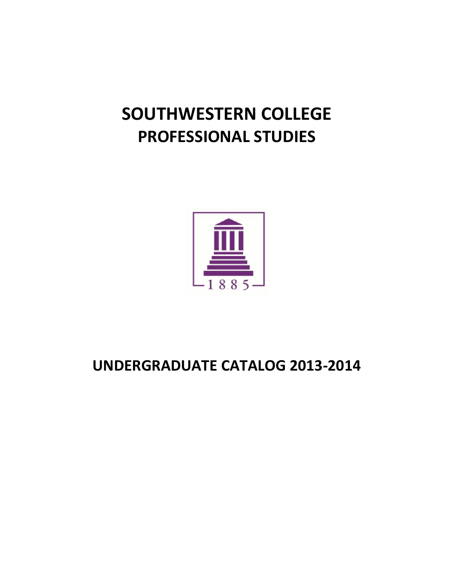# **SOUTHWESTERN COLLEGE PROFESSIONAL STUDIES**



## **UNDERGRADUATE CATALOG 2013-2014**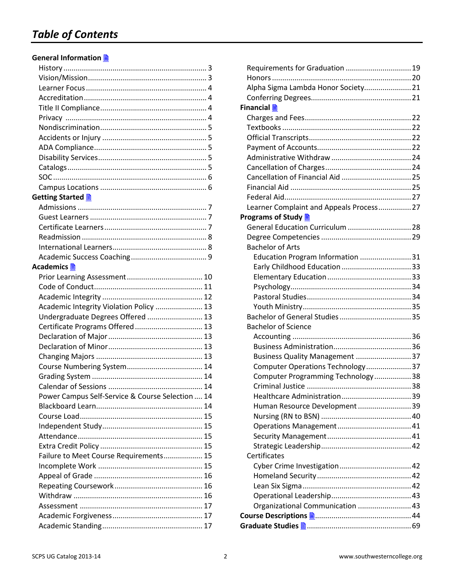## *Table of Contents*

## **General Information**

| Getting Started A                                |  |
|--------------------------------------------------|--|
|                                                  |  |
|                                                  |  |
|                                                  |  |
|                                                  |  |
|                                                  |  |
|                                                  |  |
|                                                  |  |
|                                                  |  |
|                                                  |  |
|                                                  |  |
| Academic Integrity Violation Policy  13          |  |
| Undergraduate Degrees Offered  13                |  |
| Certificate Programs Offered  13                 |  |
|                                                  |  |
|                                                  |  |
|                                                  |  |
|                                                  |  |
|                                                  |  |
|                                                  |  |
| Power Campus Self-Service & Course Selection  14 |  |
|                                                  |  |
|                                                  |  |
|                                                  |  |
|                                                  |  |
|                                                  |  |
| Failure to Meet Course Requirements 15           |  |
|                                                  |  |
|                                                  |  |
|                                                  |  |
|                                                  |  |
|                                                  |  |
|                                                  |  |
|                                                  |  |

| Requirements for Graduation  19          |  |  |  |
|------------------------------------------|--|--|--|
|                                          |  |  |  |
| Alpha Sigma Lambda Honor Society 21      |  |  |  |
|                                          |  |  |  |
| Financial ■                              |  |  |  |
|                                          |  |  |  |
|                                          |  |  |  |
|                                          |  |  |  |
|                                          |  |  |  |
|                                          |  |  |  |
|                                          |  |  |  |
|                                          |  |  |  |
|                                          |  |  |  |
|                                          |  |  |  |
| Learner Complaint and Appeals Process 27 |  |  |  |
| Programs of Study <u>■</u>               |  |  |  |
| General Education Curriculum  28         |  |  |  |
|                                          |  |  |  |
| <b>Bachelor of Arts</b>                  |  |  |  |
| Education Program Information 31         |  |  |  |
|                                          |  |  |  |
|                                          |  |  |  |
|                                          |  |  |  |
|                                          |  |  |  |
|                                          |  |  |  |
|                                          |  |  |  |
| <b>Bachelor of Science</b>               |  |  |  |
|                                          |  |  |  |
|                                          |  |  |  |
| Business Quality Management 37           |  |  |  |
| Computer Operations Technology37         |  |  |  |
| Computer Programming Technology 38       |  |  |  |
|                                          |  |  |  |
|                                          |  |  |  |
| Human Resource Development 39            |  |  |  |
|                                          |  |  |  |
|                                          |  |  |  |
|                                          |  |  |  |
|                                          |  |  |  |
| Certificates                             |  |  |  |
|                                          |  |  |  |
|                                          |  |  |  |
|                                          |  |  |  |
|                                          |  |  |  |
| Organizational Communication  43         |  |  |  |
|                                          |  |  |  |
|                                          |  |  |  |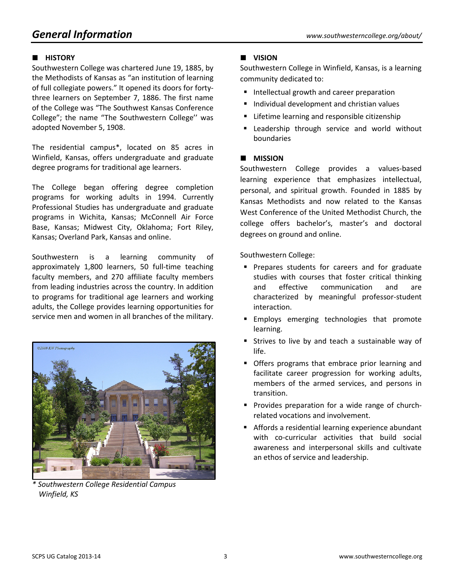## *General Information www.southwesterncollege.org/about/*

## **HISTORY**

Southwestern College was chartered June 19, 1885, by the Methodists of Kansas as "an institution of learning of full collegiate powers." It opened its doors for fortythree learners on September 7, 1886. The first name of the College was "The Southwest Kansas Conference College"; the name "The Southwestern College'' was adopted November 5, 1908.

The residential campus\*, located on 85 acres in Winfield, Kansas, offers undergraduate and graduate degree programs for traditional age learners.

The College began offering degree completion programs for working adults in 1994. Currently Professional Studies has undergraduate and graduate programs in Wichita, Kansas; McConnell Air Force Base, Kansas; Midwest City, Oklahoma; Fort Riley, Kansas; Overland Park, Kansas and online.

Southwestern is a learning community of approximately 1,800 learners, 50 full-time teaching faculty members, and 270 affiliate faculty members from leading industries across the country. In addition to programs for traditional age learners and working adults, the College provides learning opportunities for service men and women in all branches of the military.



*\* Southwestern College Residential Campus Winfield, KS*

## **VISION**

Southwestern College in Winfield, Kansas, is a learning community dedicated to:

- Intellectual growth and career preparation
- **Individual development and christian values**
- **EXTERGHERITH** Lifetime learning and responsible citizenship
- **E** Leadership through service and world without boundaries

## **MISSION**

Southwestern College provides a values-based learning experience that emphasizes intellectual, personal, and spiritual growth. Founded in 1885 by Kansas Methodists and now related to the Kansas West Conference of the United Methodist Church, the college offers bachelor's, master's and doctoral degrees on ground and online.

Southwestern College:

- **Prepares students for careers and for graduate** studies with courses that foster critical thinking and effective communication and are characterized by meaningful professor-student interaction.
- **Employs emerging technologies that promote** learning.
- **Strives to live by and teach a sustainable way of** life.
- **Offers programs that embrace prior learning and** facilitate career progression for working adults, members of the armed services, and persons in transition.
- **Provides preparation for a wide range of church**related vocations and involvement.
- Affords a residential learning experience abundant with co-curricular activities that build social awareness and interpersonal skills and cultivate an ethos of service and leadership.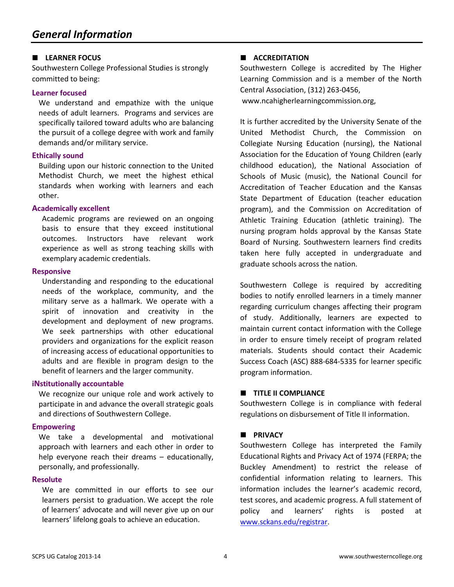#### **LEARNER FOCUS**

Southwestern College Professional Studies is strongly committed to being:

#### **Learner focused**

We understand and empathize with the unique needs of adult learners. Programs and services are specifically tailored toward adults who are balancing the pursuit of a college degree with work and family demands and/or military service.

#### **Ethically sound**

Building upon our historic connection to the United Methodist Church, we meet the highest ethical standards when working with learners and each other.

#### **Academically excellent**

Academic programs are reviewed on an ongoing basis to ensure that they exceed institutional outcomes. Instructors have relevant work experience as well as strong teaching skills with exemplary academic credentials.

#### **Responsive**

Understanding and responding to the educational needs of the workplace, community, and the military serve as a hallmark. We operate with a spirit of innovation and creativity in the development and deployment of new programs. We seek partnerships with other educational providers and organizations for the explicit reason of increasing access of educational opportunities to adults and are flexible in program design to the benefit of learners and the larger community.

#### **iNstitutionally accountable**

We recognize our unique role and work actively to participate in and advance the overall strategic goals and directions of Southwestern College.

#### **Empowering**

We take a developmental and motivational approach with learners and each other in order to help everyone reach their dreams – educationally, personally, and professionally.

#### **Resolute**

We are committed in our efforts to see our learners persist to graduation. We accept the role of learners' advocate and will never give up on our learners' lifelong goals to achieve an education.

## **ACCREDITATION**

Southwestern College is accredited by The Higher Learning Commission and is a member of the North Central Association, (312) 263-0456,

[www.ncahigherlearningcommission.org,](http://www.ncahigherlearningcommission.org/)

It is further accredited by the University Senate of the United Methodist Church, the Commission on Collegiate Nursing Education (nursing), the National Association for the Education of Young Children (early childhood education), the National Association of Schools of Music (music), the National Council for Accreditation of Teacher Education and the Kansas State Department of Education (teacher education program), and the Commission on Accreditation of Athletic Training Education (athletic training). The nursing program holds approval by the Kansas State Board of Nursing. Southwestern learners find credits taken here fully accepted in undergraduate and graduate schools across the nation.

Southwestern College is required by accrediting bodies to notify enrolled learners in a timely manner regarding curriculum changes affecting their program of study. Additionally, learners are expected to maintain current contact information with the College in order to ensure timely receipt of program related materials. Students should contact their Academic Success Coach (ASC) 888-684-5335 for learner specific program information.

## **TITLE II COMPLIANCE**

Southwestern College is in compliance with federal regulations on disbursement of Title II information.

## **PRIVACY**

Southwestern College has interpreted the Family Educational Rights and Privacy Act of 1974 (FERPA; the Buckley Amendment) to restrict the release of confidential information relating to learners. This information includes the learner's academic record, test scores, and academic progress. A full statement of policy and learners' rights is posted at [www.sckans.edu/registrar.](http://www.sckans.edu/registrar)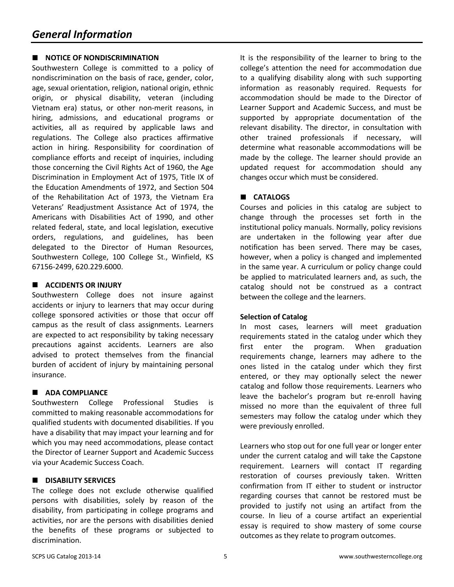## **NOTICE OF NONDISCRIMINATION**

Southwestern College is committed to a policy of nondiscrimination on the basis of race, gender, color, age, sexual orientation, religion, national origin, ethnic origin, or physical disability, veteran (including Vietnam era) status, or other non-merit reasons, in hiring, admissions, and educational programs or activities, all as required by applicable laws and regulations. The College also practices affirmative action in hiring. Responsibility for coordination of compliance efforts and receipt of inquiries, including those concerning the Civil Rights Act of 1960, the Age Discrimination in Employment Act of 1975, Title IX of the Education Amendments of 1972, and Section 504 of the Rehabilitation Act of 1973, the Vietnam Era Veterans' Readjustment Assistance Act of 1974, the Americans with Disabilities Act of 1990, and other related federal, state, and local legislation, executive orders, regulations, and guidelines, has been delegated to the Director of Human Resources, Southwestern College, 100 College St., Winfield, KS 67156-2499, 620.229.6000.

#### **ACCIDENTS OR INJURY**

Southwestern College does not insure against accidents or injury to learners that may occur during college sponsored activities or those that occur off campus as the result of class assignments. Learners are expected to act responsibility by taking necessary precautions against accidents. Learners are also advised to protect themselves from the financial burden of accident of injury by maintaining personal insurance.

## **ADA COMPLIANCE**

Southwestern College Professional Studies is committed to making reasonable accommodations for qualified students with documented disabilities. If you have a disability that may impact your learning and for which you may need accommodations, please contact the Director of Learner Support and Academic Success via your Academic Success Coach.

#### **DISABILITY SERVICES**

The college does not exclude otherwise qualified persons with disabilities, solely by reason of the disability, from participating in college programs and activities, nor are the persons with disabilities denied the benefits of these programs or subjected to discrimination.

It is the responsibility of the learner to bring to the college's attention the need for accommodation due to a qualifying disability along with such supporting information as reasonably required. Requests for accommodation should be made to the Director of Learner Support and Academic Success, and must be supported by appropriate documentation of the relevant disability. The director, in consultation with other trained professionals if necessary, will determine what reasonable accommodations will be made by the college. The learner should provide an updated request for accommodation should any changes occur which must be considered.

## **CATALOGS**

Courses and policies in this catalog are subject to change through the processes set forth in the institutional policy manuals. Normally, policy revisions are undertaken in the following year after due notification has been served. There may be cases, however, when a policy is changed and implemented in the same year. A curriculum or policy change could be applied to matriculated learners and, as such, the catalog should not be construed as a contract between the college and the learners.

#### **Selection of Catalog**

In most cases, learners will meet graduation requirements stated in the catalog under which they first enter the program. When graduation requirements change, learners may adhere to the ones listed in the catalog under which they first entered, or they may optionally select the newer catalog and follow those requirements. Learners who leave the bachelor's program but re-enroll having missed no more than the equivalent of three full semesters may follow the catalog under which they were previously enrolled.

Learners who stop out for one full year or longer enter under the current catalog and will take the Capstone requirement. Learners will contact IT regarding restoration of courses previously taken. Written confirmation from IT either to student or instructor regarding courses that cannot be restored must be provided to justify not using an artifact from the course. In lieu of a course artifact an experiential essay is required to show mastery of some course outcomes as they relate to program outcomes.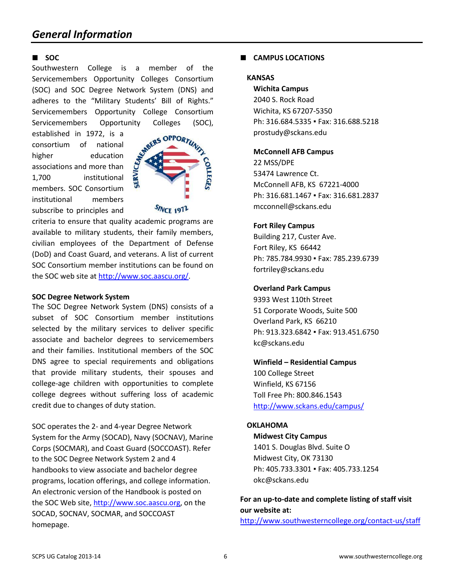### **SOC**

Southwestern College is a member of the Servicemembers Opportunity Colleges Consortium (SOC) and SOC Degree Network System (DNS) and adheres to the "Military Students' Bill of Rights." Servicemembers Opportunity College Consortium Servicemembers Opportunity Colleges (SOC),

established in 1972, is a consortium of national higher education associations and more than 1,700 institutional members. SOC Consortium institutional members subscribe to principles and



**SINCE 1972** 

criteria to ensure that quality academic programs are available to military students, their family members, civilian employees of the Department of Defense (DoD) and Coast Guard, and veterans. A list of current SOC Consortium member institutions can be found on the SOC web site at [http://www.soc.aascu.org/.](http://www.soc.aascu.org/)

#### **SOC Degree Network System**

The SOC Degree Network System (DNS) consists of a subset of SOC Consortium member institutions selected by the military services to deliver specific associate and bachelor degrees to servicemembers and their families. Institutional members of the SOC DNS agree to special requirements and obligations that provide military students, their spouses and college-age children with opportunities to complete college degrees without suffering loss of academic credit due to changes of duty station.

SOC operates the 2- and 4-year Degree Network System for the Army (SOCAD), Navy (SOCNAV), Marine Corps (SOCMAR), and Coast Guard (SOCCOAST). Refer to the SOC Degree Network System 2 and 4 handbooks to view associate and bachelor degree programs, location offerings, and college information. An electronic version of the Handbook is posted on the SOC Web site, [http://www.soc.aascu.org,](http://www.soc.aascu.org/) on the SOCAD, SOCNAV, SOCMAR, and SOCCOAST homepage.

### **CAMPUS LOCATIONS**

#### **KANSAS**

#### **Wichita Campus**

2040 S. Rock Road Wichita, KS 67207-5350 Ph: 316.684.5335 · Fax: 316.688.5218 [prostudy@sckans.edu](mailto:prostudy@sckans.edu)

#### **McConnell AFB Campus**

22 MSS/DPE 53474 Lawrence Ct. McConnell AFB, KS 67221-4000 Ph: 316.681.1467 · Fax: 316.681.2837 [mcconnell@sckans.edu](mailto:mcconnell@sckans.edu)

#### **Fort Riley Campus**

Building 217, Custer Ave. Fort Riley, KS 66442 Ph: 785.784.9930 · Fax: 785.239.6739 [fortriley@sckans.edu](mailto:fortriley@sckans.edu)

#### **Overland Park Campus**

9393 West 110th Street 51 Corporate Woods, Suite 500 Overland Park, KS 66210 Ph: 913.323.6842 · Fax: 913.451.6750 kc@sckans.edu

#### **Winfield – Residential Campus**

100 College Street Winfield, KS 67156 Toll Free Ph: 800.846.1543 <http://www.sckans.edu/campus/>

#### **OKLAHOMA**

#### **Midwest City Campus**

1401 S. Douglas Blvd. Suite O Midwest City, OK 73130 Ph: 405.733.3301 · Fax: 405.733.1254 [okc@sckans.edu](mailto:okc@sckans.edu)

## **For an up-to-date and complete listing of staff visit our website at:**

<http://www.southwesterncollege.org/contact-us/staff>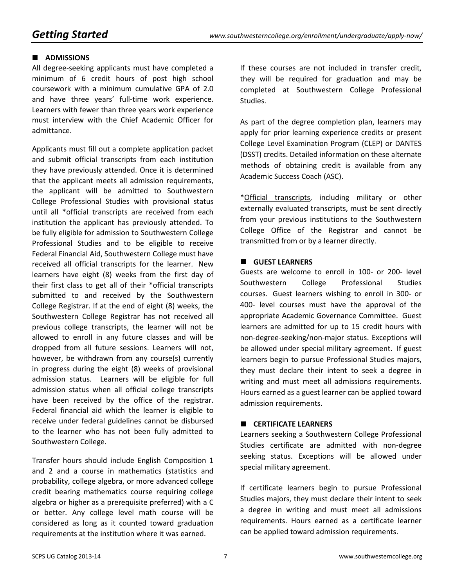## **ADMISSIONS**

All degree-seeking applicants must have completed a minimum of 6 credit hours of post high school coursework with a minimum cumulative GPA of 2.0 and have three years' full-time work experience. Learners with fewer than three years work experience must interview with the Chief Academic Officer for admittance.

Applicants must fill out a complete application packet and submit official transcripts from each institution they have previously attended. Once it is determined that the applicant meets all admission requirements, the applicant will be admitted to Southwestern College Professional Studies with provisional status until all \*official transcripts are received from each institution the applicant has previously attended. To be fully eligible for admission to Southwestern College Professional Studies and to be eligible to receive Federal Financial Aid, Southwestern College must have received all official transcripts for the learner. New learners have eight (8) weeks from the first day of their first class to get all of their \*official transcripts submitted to and received by the Southwestern College Registrar. If at the end of eight (8) weeks, the Southwestern College Registrar has not received all previous college transcripts, the learner will not be allowed to enroll in any future classes and will be dropped from all future sessions. Learners will not, however, be withdrawn from any course(s) currently in progress during the eight (8) weeks of provisional admission status. Learners will be eligible for full admission status when all official college transcripts have been received by the office of the registrar. Federal financial aid which the learner is eligible to receive under federal guidelines cannot be disbursed to the learner who has not been fully admitted to Southwestern College.

Transfer hours should include English Composition 1 and 2 and a course in mathematics (statistics and probability, college algebra, or more advanced college credit bearing mathematics course requiring college algebra or higher as a prerequisite preferred) with a C or better. Any college level math course will be considered as long as it counted toward graduation requirements at the institution where it was earned.

If these courses are not included in transfer credit, they will be required for graduation and may be completed at Southwestern College Professional Studies.

As part of the degree completion plan, learners may apply for prior learning experience credits or present College Level Examination Program (CLEP) or DANTES (DSST) credits. Detailed information on these alternate methods of obtaining credit is available from any Academic Success Coach (ASC).

\*Official transcripts, including military or other externally evaluated transcripts, must be sent directly from your previous institutions to the Southwestern College Office of the Registrar and cannot be transmitted from or by a learner directly.

## **GUEST LEARNERS**

Guests are welcome to enroll in 100- or 200- level Southwestern College Professional Studies courses. Guest learners wishing to enroll in 300- or 400- level courses must have the approval of the appropriate Academic Governance Committee. Guest learners are admitted for up to 15 credit hours with non-degree-seeking/non-major status. Exceptions will be allowed under special military agreement. If guest learners begin to pursue Professional Studies majors, they must declare their intent to seek a degree in writing and must meet all admissions requirements. Hours earned as a guest learner can be applied toward admission requirements.

#### **CERTIFICATE LEARNERS**

Learners seeking a Southwestern College Professional Studies certificate are admitted with non-degree seeking status. Exceptions will be allowed under special military agreement.

If certificate learners begin to pursue Professional Studies majors, they must declare their intent to seek a degree in writing and must meet all admissions requirements. Hours earned as a certificate learner can be applied toward admission requirements.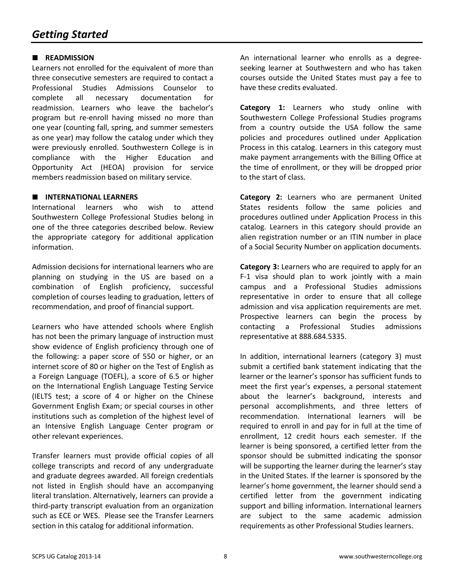## **READMISSION**

Learners not enrolled for the equivalent of more than three consecutive semesters are required to contact a Professional Studies Admissions Counselor to complete all necessary documentation for readmission. Learners who leave the bachelor's program but re-enroll having missed no more than one year (counting fall, spring, and summer semesters as one year) may follow the catalog under which they were previously enrolled. Southwestern College is in compliance with the Higher Education and Opportunity Act (HEOA) provision for service members readmission based on military service.

## **INTERNATIONAL LEARNERS**

International learners who wish to attend Southwestern College Professional Studies belong in one of the three categories described below. Review the appropriate category for additional application information.

Admission decisions for international learners who are planning on studying in the US are based on a combination of English proficiency, successful completion of courses leading to graduation, letters of recommendation, and proof of financial support.

Learners who have attended schools where English has not been the primary language of instruction must show evidence of English proficiency through one of the following: a paper score of 550 or higher, or an internet score of 80 or higher on the Test of English as a Foreign Language (TOEFL), a score of 6.5 or higher on the International English Language Testing Service (IELTS test; a score of 4 or higher on the Chinese Government English Exam; or special courses in other institutions such as completion of the highest level of an Intensive English Language Center program or other relevant experiences.

Transfer learners must provide official copies of all college transcripts and record of any undergraduate and graduate degrees awarded. All foreign credentials not listed in English should have an accompanying literal translation. Alternatively, learners can provide a third-party transcript evaluation from an organization such as ECE or WES. Please see the Transfer Learners section in this catalog for additional information.

An international learner who enrolls as a degreeseeking learner at Southwestern and who has taken courses outside the United States must pay a fee to have these credits evaluated.

**Category 1:** Learners who study online with Southwestern College Professional Studies programs from a country outside the USA follow the same policies and procedures outlined under Application Process in this catalog. Learners in this category must make payment arrangements with the Billing Office at the time of enrollment, or they will be dropped prior to the start of class.

**Category 2:** Learners who are permanent United States residents follow the same policies and procedures outlined under Application Process in this catalog. Learners in this category should provide an alien registration number or an ITIN number in place of a Social Security Number on application documents.

**Category 3:** Learners who are required to apply for an F-1 visa should plan to work jointly with a main campus and a Professional Studies admissions representative in order to ensure that all college admission and visa application requirements are met. Prospective learners can begin the process by contacting a Professional Studies admissions representative at 888.684.5335.

In addition, international learners (category 3) must submit a certified bank statement indicating that the learner or the learner's sponsor has sufficient funds to meet the first year's expenses, a personal statement about the learner's background, interests and personal accomplishments, and three letters of recommendation. International learners will be required to enroll in and pay for in full at the time of enrollment, 12 credit hours each semester. If the learner is being sponsored, a certified letter from the sponsor should be submitted indicating the sponsor will be supporting the learner during the learner's stay in the United States. If the learner is sponsored by the learner's home government, the learner should send a certified letter from the government indicating support and billing information. International learners are subject to the same academic admission requirements as other Professional Studies learners.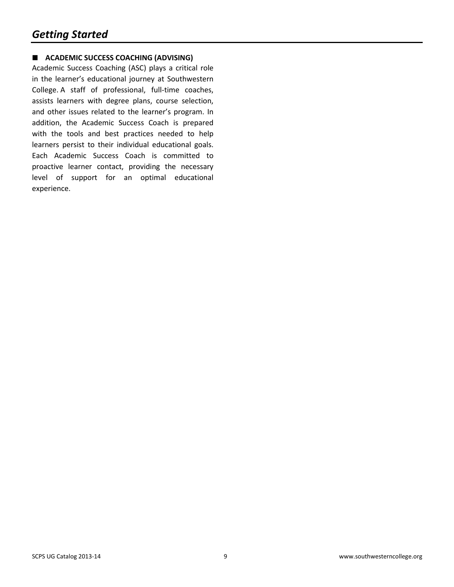## **ACADEMIC SUCCESS COACHING (ADVISING)**

Academic Success Coaching (ASC) plays a critical role in the learner's educational journey at Southwestern College. A staff of professional, full-time coaches, assists learners with degree plans, course selection, and other issues related to the learner's program. In addition, the Academic Success Coach is prepared with the tools and best practices needed to help learners persist to their individual educational goals. Each Academic Success Coach is committed to proactive learner contact, providing the necessary level of support for an optimal educational experience.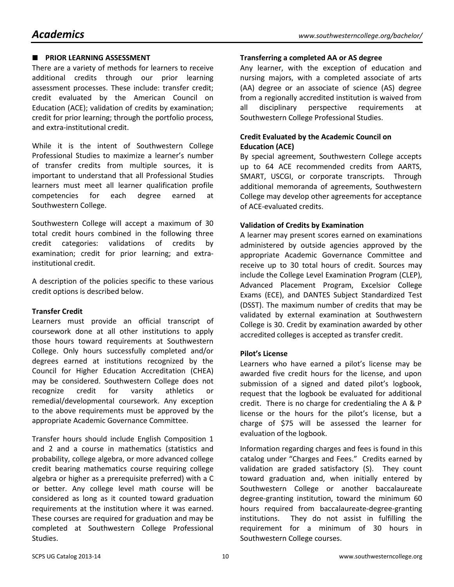## **PRIOR LEARNING ASSESSMENT**

There are a variety of methods for learners to receive additional credits through our prior learning assessment processes. These include: transfer credit; credit evaluated by the American Council on Education (ACE); validation of credits by examination; credit for prior learning; through the portfolio process, and extra-institutional credit.

While it is the intent of Southwestern College Professional Studies to maximize a learner's number of transfer credits from multiple sources, it is important to understand that all Professional Studies learners must meet all learner qualification profile competencies for each degree earned at Southwestern College.

Southwestern College will accept a maximum of 30 total credit hours combined in the following three credit categories: validations of credits by examination; credit for prior learning; and extrainstitutional credit.

A description of the policies specific to these various credit options is described below.

## **Transfer Credit**

Learners must provide an official transcript of coursework done at all other institutions to apply those hours toward requirements at Southwestern College. Only hours successfully completed and/or degrees earned at institutions recognized by the Council for Higher Education Accreditation (CHEA) may be considered. Southwestern College does not recognize credit for varsity athletics or remedial/developmental coursework. Any exception to the above requirements must be approved by the appropriate Academic Governance Committee.

Transfer hours should include English Composition 1 and 2 and a course in mathematics (statistics and probability, college algebra, or more advanced college credit bearing mathematics course requiring college algebra or higher as a prerequisite preferred) with a C or better. Any college level math course will be considered as long as it counted toward graduation requirements at the institution where it was earned. These courses are required for graduation and may be completed at Southwestern College Professional Studies.

#### **Transferring a completed AA or AS degree**

Any learner, with the exception of education and nursing majors, with a completed associate of arts (AA) degree or an associate of science (AS) degree from a regionally accredited institution is waived from all disciplinary perspective requirements at Southwestern College Professional Studies.

## **Credit Evaluated by the Academic Council on Education (ACE)**

By special agreement, Southwestern College accepts up to 64 ACE recommended credits from AARTS, SMART, USCGI, or corporate transcripts. Through additional memoranda of agreements, Southwestern College may develop other agreements for acceptance of ACE-evaluated credits.

## **Validation of Credits by Examination**

A learner may present scores earned on examinations administered by outside agencies approved by the appropriate Academic Governance Committee and receive up to 30 total hours of credit. Sources may include the College Level Examination Program (CLEP), Advanced Placement Program, Excelsior College Exams (ECE), and DANTES Subject Standardized Test (DSST). The maximum number of credits that may be validated by external examination at Southwestern College is 30. Credit by examination awarded by other accredited colleges is accepted as transfer credit.

## **Pilot's License**

Learners who have earned a pilot's license may be awarded five credit hours for the license, and upon submission of a signed and dated pilot's logbook, request that the logbook be evaluated for additional credit. There is no charge for credentialing the A & P license or the hours for the pilot's license, but a charge of \$75 will be assessed the learner for evaluation of the logbook.

Information regarding charges and fees is found in this catalog under "Charges and Fees." Credits earned by validation are graded satisfactory (S). They count toward graduation and, when initially entered by Southwestern College or another baccalaureate degree-granting institution, toward the minimum 60 hours required from baccalaureate-degree-granting institutions. They do not assist in fulfilling the requirement for a minimum of 30 hours in Southwestern College courses.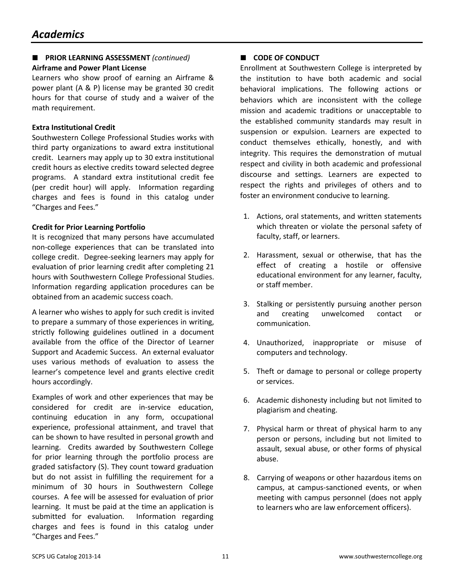## **PRIOR LEARNING ASSESSMENT** *(continued)*

## **Airframe and Power Plant License**

Learners who show proof of earning an Airframe & power plant (A & P) license may be granted 30 credit hours for that course of study and a waiver of the math requirement.

## **Extra Institutional Credit**

Southwestern College Professional Studies works with third party organizations to award extra institutional credit. Learners may apply up to 30 extra institutional credit hours as elective credits toward selected degree programs. A standard extra institutional credit fee (per credit hour) will apply. Information regarding charges and fees is found in this catalog under "Charges and Fees."

## **Credit for Prior Learning Portfolio**

It is recognized that many persons have accumulated non-college experiences that can be translated into college credit. Degree-seeking learners may apply for evaluation of prior learning credit after completing 21 hours with Southwestern College Professional Studies. Information regarding application procedures can be obtained from an academic success coach.

A learner who wishes to apply for such credit is invited to prepare a summary of those experiences in writing, strictly following guidelines outlined in a document available from the office of the Director of Learner Support and Academic Success. An external evaluator uses various methods of evaluation to assess the learner's competence level and grants elective credit hours accordingly.

Examples of work and other experiences that may be considered for credit are in-service education, continuing education in any form, occupational experience, professional attainment, and travel that can be shown to have resulted in personal growth and learning. Credits awarded by Southwestern College for prior learning through the portfolio process are graded satisfactory (S). They count toward graduation but do not assist in fulfilling the requirement for a minimum of 30 hours in Southwestern College courses. A fee will be assessed for evaluation of prior learning. It must be paid at the time an application is submitted for evaluation. Information regarding charges and fees is found in this catalog under "Charges and Fees."

## **CODE OF CONDUCT**

Enrollment at Southwestern College is interpreted by the institution to have both academic and social behavioral implications. The following actions or behaviors which are inconsistent with the college mission and academic traditions or unacceptable to the established community standards may result in suspension or expulsion. Learners are expected to conduct themselves ethically, honestly, and with integrity. This requires the demonstration of mutual respect and civility in both academic and professional discourse and settings. Learners are expected to respect the rights and privileges of others and to foster an environment conducive to learning.

- 1. Actions, oral statements, and written statements which threaten or violate the personal safety of faculty, staff, or learners.
- 2. Harassment, sexual or otherwise, that has the effect of creating a hostile or offensive educational environment for any learner, faculty, or staff member.
- 3. Stalking or persistently pursuing another person and creating unwelcomed contact or communication.
- 4. Unauthorized, inappropriate or misuse of computers and technology.
- 5. Theft or damage to personal or college property or services.
- 6. Academic dishonesty including but not limited to plagiarism and cheating.
- 7. Physical harm or threat of physical harm to any person or persons, including but not limited to assault, sexual abuse, or other forms of physical abuse.
- 8. Carrying of weapons or other hazardous items on campus, at campus-sanctioned events, or when meeting with campus personnel (does not apply to learners who are law enforcement officers).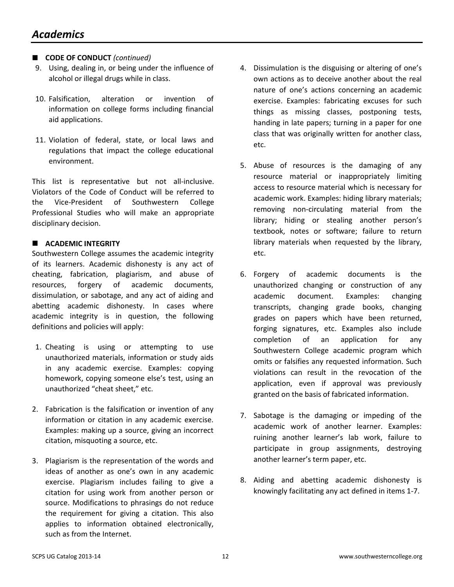## ■ **CODE OF CONDUCT** (continued)

- 9. Using, dealing in, or being under the influence of alcohol or illegal drugs while in class.
- 10. Falsification, alteration or invention of information on college forms including financial aid applications.
- 11. Violation of federal, state, or local laws and regulations that impact the college educational environment.

This list is representative but not all-inclusive. Violators of the Code of Conduct will be referred to the Vice-President of Southwestern College Professional Studies who will make an appropriate disciplinary decision.

## **ACADEMIC INTEGRITY**

Southwestern College assumes the academic integrity of its learners. Academic dishonesty is any act of cheating, fabrication, plagiarism, and abuse of resources, forgery of academic documents, dissimulation, or sabotage, and any act of aiding and abetting academic dishonesty. In cases where academic integrity is in question, the following definitions and policies will apply:

- 1. Cheating is using or attempting to use unauthorized materials, information or study aids in any academic exercise. Examples: copying homework, copying someone else's test, using an unauthorized "cheat sheet," etc.
- 2. Fabrication is the falsification or invention of any information or citation in any academic exercise. Examples: making up a source, giving an incorrect citation, misquoting a source, etc.
- 3. Plagiarism is the representation of the words and ideas of another as one's own in any academic exercise. Plagiarism includes failing to give a citation for using work from another person or source. Modifications to phrasings do not reduce the requirement for giving a citation. This also applies to information obtained electronically, such as from the Internet.
- 4. Dissimulation is the disguising or altering of one's own actions as to deceive another about the real nature of one's actions concerning an academic exercise. Examples: fabricating excuses for such things as missing classes, postponing tests, handing in late papers; turning in a paper for one class that was originally written for another class, etc.
- 5. Abuse of resources is the damaging of any resource material or inappropriately limiting access to resource material which is necessary for academic work. Examples: hiding library materials; removing non-circulating material from the library; hiding or stealing another person's textbook, notes or software; failure to return library materials when requested by the library, etc.
- 6. Forgery of academic documents is the unauthorized changing or construction of any academic document. Examples: changing transcripts, changing grade books, changing grades on papers which have been returned, forging signatures, etc. Examples also include completion of an application for any Southwestern College academic program which omits or falsifies any requested information. Such violations can result in the revocation of the application, even if approval was previously granted on the basis of fabricated information.
- 7. Sabotage is the damaging or impeding of the academic work of another learner. Examples: ruining another learner's lab work, failure to participate in group assignments, destroying another learner's term paper, etc.
- 8. Aiding and abetting academic dishonesty is knowingly facilitating any act defined in items 1-7.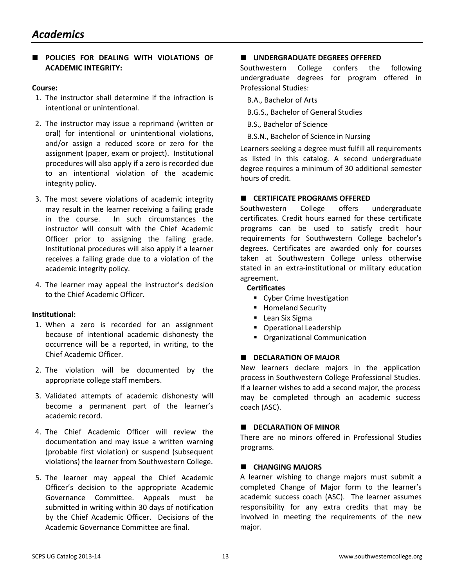## **POLICIES FOR DEALING WITH VIOLATIONS OF ACADEMIC INTEGRITY:**

#### **Course:**

- 1. The instructor shall determine if the infraction is intentional or unintentional.
- 2. The instructor may issue a reprimand (written or oral) for intentional or unintentional violations, and/or assign a reduced score or zero for the assignment (paper, exam or project). Institutional procedures will also apply if a zero is recorded due to an intentional violation of the academic integrity policy.
- 3. The most severe violations of academic integrity may result in the learner receiving a failing grade in the course. In such circumstances the instructor will consult with the Chief Academic Officer prior to assigning the failing grade. Institutional procedures will also apply if a learner receives a failing grade due to a violation of the academic integrity policy.
- 4. The learner may appeal the instructor's decision to the Chief Academic Officer.

## **Institutional:**

- 1. When a zero is recorded for an assignment because of intentional academic dishonesty the occurrence will be a reported, in writing, to the Chief Academic Officer.
- 2. The violation will be documented by the appropriate college staff members.
- 3. Validated attempts of academic dishonesty will become a permanent part of the learner's academic record.
- 4. The Chief Academic Officer will review the documentation and may issue a written warning (probable first violation) or suspend (subsequent violations) the learner from Southwestern College.
- 5. The learner may appeal the Chief Academic Officer's decision to the appropriate Academic Governance Committee. Appeals must be submitted in writing within 30 days of notification by the Chief Academic Officer. Decisions of the Academic Governance Committee are final.

## **UNDERGRADUATE DEGREES OFFERED**

Southwestern College confers the following undergraduate degrees for program offered in Professional Studies:

- B.A., Bachelor of Arts
- B.G.S., Bachelor of General Studies
- B.S., Bachelor of Science
- B.S.N., Bachelor of Science in Nursing

Learners seeking a degree must fulfill all requirements as listed in this catalog. A second undergraduate degree requires a minimum of 30 additional semester hours of credit.

## **CERTIFICATE PROGRAMS OFFERED**

Southwestern College offers undergraduate certificates. Credit hours earned for these certificate programs can be used to satisfy credit hour requirements for Southwestern College bachelor's degrees. Certificates are awarded only for courses taken at Southwestern College unless otherwise stated in an extra-institutional or military education agreement.

#### **Certificates**

- **Cyber Crime Investigation**
- **Homeland Security**
- **Lean Six Sigma**
- **Operational Leadership**
- **Organizational Communication**

## **DECLARATION OF MAJOR**

New learners declare majors in the application process in Southwestern College Professional Studies. If a learner wishes to add a second major, the process may be completed through an academic success coach (ASC).

## **DECLARATION OF MINOR**

There are no minors offered in Professional Studies programs.

## **CHANGING MAJORS**

A learner wishing to change majors must submit a completed Change of Major form to the learner's academic success coach (ASC). The learner assumes responsibility for any extra credits that may be involved in meeting the requirements of the new major.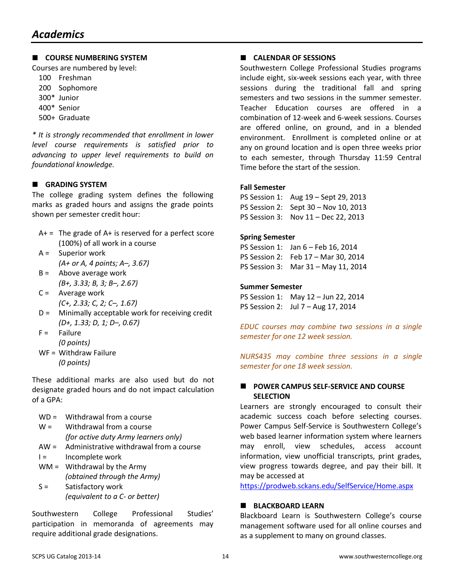## **COURSE NUMBERING SYSTEM**

Courses are numbered by level:

- 100 Freshman
- 200 Sophomore
- 300\* Junior
- 400\* Senior
- 500+ Graduate

*\* It is strongly recommended that enrollment in lower level course requirements is satisfied prior to advancing to upper level requirements to build on foundational knowledge.*

## **GRADING SYSTEM**

The college grading system defines the following marks as graded hours and assigns the grade points shown per semester credit hour:

- $A+=$  The grade of  $A+$  is reserved for a perfect score (100%) of all work in a course
- A = Superior work  *(A+ or A, 4 points; A–, 3.67)*
- $B =$  Above average work  *(B+, 3.33; B, 3; B–, 2.67)*
- C = Average work  *(C+, 2.33; C, 2; C–, 1.67)*
- D = Minimally acceptable work for receiving credit  *(D+, 1.33; D, 1; D–, 0.67)*
- $F =$  Failure  *(0 points)*
- WF = Withdraw Failure  *(0 points)*

These additional marks are also used but do not designate graded hours and do not impact calculation of a GPA:

- WD = Withdrawal from a course
- $W =$  Withdrawal from a course *(for active duty Army learners only)*
- AW = Administrative withdrawal from a course
- I = Incomplete work
- $WM =$  Withdrawal by the Army *(obtained through the Army)*
- S = Satisfactory work *(equivalent to a C- or better)*

Southwestern College Professional Studies' participation in memoranda of agreements may require additional grade designations.

## **CALENDAR OF SESSIONS**

Southwestern College Professional Studies programs include eight, six-week sessions each year, with three sessions during the traditional fall and spring semesters and two sessions in the summer semester. Teacher Education courses are offered in a combination of 12-week and 6-week sessions. Courses are offered online, on ground, and in a blended environment. Enrollment is completed online or at any on ground location and is open three weeks prior to each semester, through Thursday 11:59 Central Time before the start of the session.

## **Fall Semester**

PS Session 1: Aug 19 – Sept 29, 2013 PS Session 2: Sept 30 – Nov 10, 2013 PS Session 3: Nov 11 – Dec 22, 2013

## **Spring Semester**

PS Session 1: Jan 6 – Feb 16, 2014 PS Session 2: Feb 17 – Mar 30, 2014 PS Session 3: Mar 31 – May 11, 2014

## **Summer Semester**

PS Session 1: May 12 – Jun 22, 2014 PS Session 2: Jul 7 – Aug 17, 2014

*EDUC courses may combine two sessions in a single semester for one 12 week session.*

*NURS435 may combine three sessions in a single semester for one 18 week session.*

## **POWER CAMPUS SELF-SERVICE AND COURSE SELECTION**

Learners are strongly encouraged to consult their academic success coach before selecting courses. Power Campus Self-Service is Southwestern College's web based learner information system where learners may enroll, view schedules, access account information, view unofficial transcripts, print grades, view progress towards degree, and pay their bill. It [may be accessed at](https://prodweb.sckans.edu/SelfService/Home.aspx)

https://prodweb.sckans.edu/SelfService/Home.aspx

## **BLACKBOARD LEARN**

Blackboard Learn is Southwestern College's course management software used for all online courses and as a supplement to many on ground classes.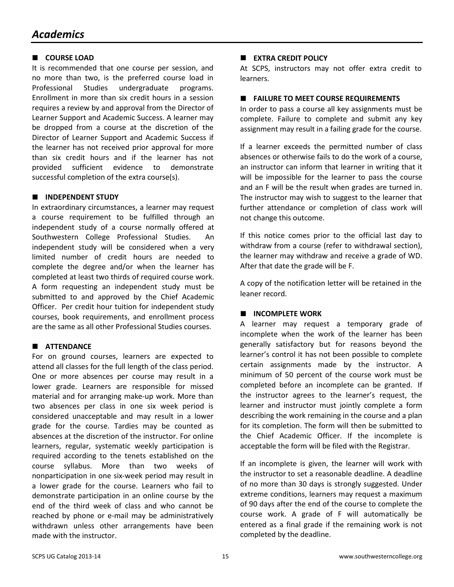## **COURSE LOAD**

It is recommended that one course per session, and no more than two, is the preferred course load in Professional Studies undergraduate programs. Enrollment in more than six credit hours in a session requires a review by and approval from the Director of Learner Support and Academic Success. A learner may be dropped from a course at the discretion of the Director of Learner Support and Academic Success if the learner has not received prior approval for more than six credit hours and if the learner has not provided sufficient evidence to demonstrate successful completion of the extra course(s).

## **INDEPENDENT STUDY**

In extraordinary circumstances, a learner may request a course requirement to be fulfilled through an independent study of a course normally offered at Southwestern College Professional Studies. An independent study will be considered when a very limited number of credit hours are needed to complete the degree and/or when the learner has completed at least two thirds of required course work. A form requesting an independent study must be submitted to and approved by the Chief Academic Officer. Per credit hour tuition for independent study courses, book requirements, and enrollment process are the same as all other Professional Studies courses.

## **ATTENDANCE**

For on ground courses, learners are expected to attend all classes for the full length of the class period. One or more absences per course may result in a lower grade. Learners are responsible for missed material and for arranging make-up work. More than two absences per class in one six week period is considered unacceptable and may result in a lower grade for the course. Tardies may be counted as absences at the discretion of the instructor. For online learners, regular, systematic weekly participation is required according to the tenets established on the course syllabus. More than two weeks of nonparticipation in one six-week period may result in a lower grade for the course. Learners who fail to demonstrate participation in an online course by the end of the third week of class and who cannot be reached by phone or e-mail may be administratively withdrawn unless other arrangements have been made with the instructor.

### **EXTRA CREDIT POLICY**

At SCPS, instructors may not offer extra credit to learners.

#### **FAILURE TO MEET COURSE REQUIREMENTS**

In order to pass a course all key assignments must be complete. Failure to complete and submit any key assignment may result in a failing grade for the course.

If a learner exceeds the permitted number of class absences or otherwise fails to do the work of a course, an instructor can inform that learner in writing that it will be impossible for the learner to pass the course and an F will be the result when grades are turned in. The instructor may wish to suggest to the learner that further attendance or completion of class work will not change this outcome.

If this notice comes prior to the official last day to withdraw from a course (refer to withdrawal section), the learner may withdraw and receive a grade of WD. After that date the grade will be F.

A copy of the notification letter will be retained in the leaner record.

## **INCOMPLETE WORK**

A learner may request a temporary grade of incomplete when the work of the learner has been generally satisfactory but for reasons beyond the learner's control it has not been possible to complete certain assignments made by the instructor. A minimum of 50 percent of the course work must be completed before an incomplete can be granted. If the instructor agrees to the learner's request, the learner and instructor must jointly complete a form describing the work remaining in the course and a plan for its completion. The form will then be submitted to the Chief Academic Officer. If the incomplete is acceptable the form will be filed with the Registrar.

If an incomplete is given, the learner will work with the instructor to set a reasonable deadline. A deadline of no more than 30 days is strongly suggested. Under extreme conditions, learners may request a maximum of 90 days after the end of the course to complete the course work. A grade of F will automatically be entered as a final grade if the remaining work is not completed by the deadline.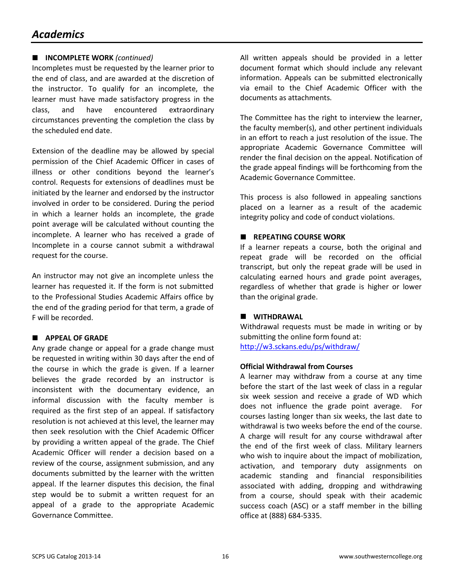## *Academics*

## **INCOMPLETE WORK** *(continued)*

Incompletes must be requested by the learner prior to the end of class, and are awarded at the discretion of the instructor. To qualify for an incomplete, the learner must have made satisfactory progress in the class, and have encountered extraordinary circumstances preventing the completion the class by the scheduled end date.

Extension of the deadline may be allowed by special permission of the Chief Academic Officer in cases of illness or other conditions beyond the learner's control. Requests for extensions of deadlines must be initiated by the learner and endorsed by the instructor involved in order to be considered. During the period in which a learner holds an incomplete, the grade point average will be calculated without counting the incomplete. A learner who has received a grade of Incomplete in a course cannot submit a withdrawal request for the course.

An instructor may not give an incomplete unless the learner has requested it. If the form is not submitted to the Professional Studies Academic Affairs office by the end of the grading period for that term, a grade of F will be recorded.

## **APPEAL OF GRADE**

Any grade change or appeal for a grade change must be requested in writing within 30 days after the end of the course in which the grade is given. If a learner believes the grade recorded by an instructor is inconsistent with the documentary evidence, an informal discussion with the faculty member is required as the first step of an appeal. If satisfactory resolution is not achieved at this level, the learner may then seek resolution with the Chief Academic Officer by providing a written appeal of the grade. The Chief Academic Officer will render a decision based on a review of the course, assignment submission, and any documents submitted by the learner with the written appeal. If the learner disputes this decision, the final step would be to submit a written request for an appeal of a grade to the appropriate Academic Governance Committee.

All written appeals should be provided in a letter document format which should include any relevant information. Appeals can be submitted electronically via email to the Chief Academic Officer with the documents as attachments.

The Committee has the right to interview the learner, the faculty member(s), and other pertinent individuals in an effort to reach a just resolution of the issue. The appropriate Academic Governance Committee will render the final decision on the appeal. Notification of the grade appeal findings will be forthcoming from the Academic Governance Committee.

This process is also followed in appealing sanctions placed on a learner as a result of the academic integrity policy and code of conduct violations.

## **REPEATING COURSE WORK**

If a learner repeats a course, both the original and repeat grade will be recorded on the official transcript, but only the repeat grade will be used in calculating earned hours and grade point averages, regardless of whether that grade is higher or lower than the original grade.

## **WITHDRAWAL**

Withdrawal requests must be made in writing or by submitting the online form found at: <http://w3.sckans.edu/ps/withdraw/>

## **Official Withdrawal from Courses**

A learner may withdraw from a course at any time before the start of the last week of class in a regular six week session and receive a grade of WD which does not influence the grade point average. For courses lasting longer than six weeks, the last date to withdrawal is two weeks before the end of the course. A charge will result for any course withdrawal after the end of the first week of class. Military learners who wish to inquire about the impact of mobilization, activation, and temporary duty assignments on academic standing and financial responsibilities associated with adding, dropping and withdrawing from a course, should speak with their academic success coach (ASC) or a staff member in the billing office at (888) 684-5335.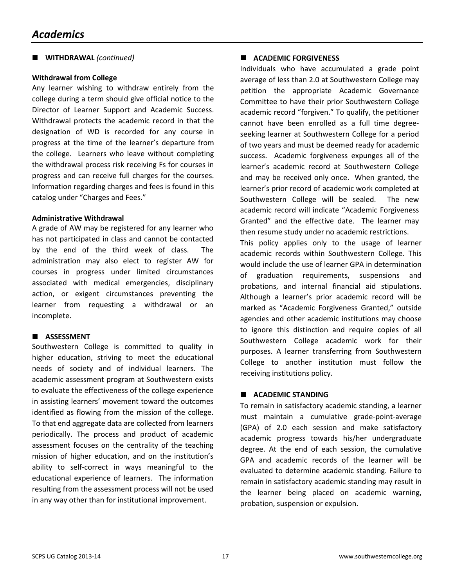## **WITHDRAWAL** *(continued)*

#### **Withdrawal from College**

Any learner wishing to withdraw entirely from the college during a term should give official notice to the Director of Learner Support and Academic Success. Withdrawal protects the academic record in that the designation of WD is recorded for any course in progress at the time of the learner's departure from the college. Learners who leave without completing the withdrawal process risk receiving Fs for courses in progress and can receive full charges for the courses. Information regarding charges and fees is found in this catalog under "Charges and Fees."

#### **Administrative Withdrawal**

A grade of AW may be registered for any learner who has not participated in class and cannot be contacted by the end of the third week of class. The administration may also elect to register AW for courses in progress under limited circumstances associated with medical emergencies, disciplinary action, or exigent circumstances preventing the learner from requesting a withdrawal or an incomplete.

#### **ASSESSMENT**

Southwestern College is committed to quality in higher education, striving to meet the educational needs of society and of individual learners. The academic assessment program at Southwestern exists to evaluate the effectiveness of the college experience in assisting learners' movement toward the outcomes identified as flowing from the mission of the college. To that end aggregate data are collected from learners periodically. The process and product of academic assessment focuses on the centrality of the teaching mission of higher education, and on the institution's ability to self-correct in ways meaningful to the educational experience of learners. The information resulting from the assessment process will not be used in any way other than for institutional improvement.

#### **ACADEMIC FORGIVENESS**

Individuals who have accumulated a grade point average of less than 2.0 at Southwestern College may petition the appropriate Academic Governance Committee to have their prior Southwestern College academic record "forgiven." To qualify, the petitioner cannot have been enrolled as a full time degreeseeking learner at Southwestern College for a period of two years and must be deemed ready for academic success. Academic forgiveness expunges all of the learner's academic record at Southwestern College and may be received only once. When granted, the learner's prior record of academic work completed at Southwestern College will be sealed. The new academic record will indicate "Academic Forgiveness Granted" and the effective date. The learner may then resume study under no academic restrictions.

This policy applies only to the usage of learner academic records within Southwestern College. This would include the use of learner GPA in determination of graduation requirements, suspensions and probations, and internal financial aid stipulations. Although a learner's prior academic record will be marked as "Academic Forgiveness Granted," outside agencies and other academic institutions may choose to ignore this distinction and require copies of all Southwestern College academic work for their purposes. A learner transferring from Southwestern College to another institution must follow the receiving institutions policy.

## **ACADEMIC STANDING**

To remain in satisfactory academic standing, a learner must maintain a cumulative grade-point-average (GPA) of 2.0 each session and make satisfactory academic progress towards his/her undergraduate degree. At the end of each session, the cumulative GPA and academic records of the learner will be evaluated to determine academic standing. Failure to remain in satisfactory academic standing may result in the learner being placed on academic warning, probation, suspension or expulsion.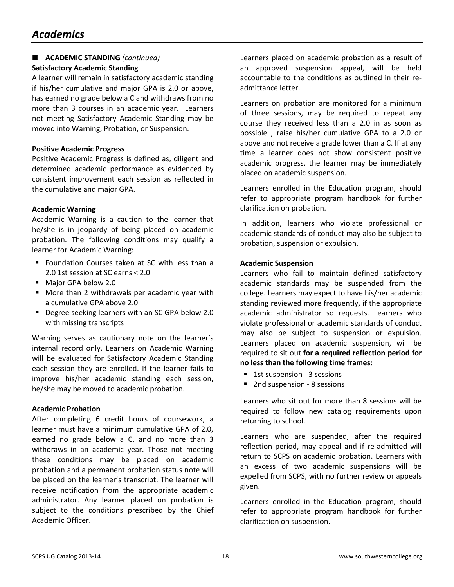## *Academics*

## **ACADEMIC STANDING** *(continued)* **Satisfactory Academic Standing**

A learner will remain in satisfactory academic standing if his/her cumulative and major GPA is 2.0 or above, has earned no grade below a C and withdraws from no more than 3 courses in an academic year. Learners not meeting Satisfactory Academic Standing may be moved into Warning, Probation, or Suspension.

## **Positive Academic Progress**

Positive Academic Progress is defined as, diligent and determined academic performance as evidenced by consistent improvement each session as reflected in the cumulative and major GPA.

#### **Academic Warning**

Academic Warning is a caution to the learner that he/she is in jeopardy of being placed on academic probation. The following conditions may qualify a learner for Academic Warning:

- **F** Foundation Courses taken at SC with less than a 2.0 1st session at SC earns < 2.0
- Major GPA below 2.0
- More than 2 withdrawals per academic year with a cumulative GPA above 2.0
- Degree seeking learners with an SC GPA below 2.0 with missing transcripts

Warning serves as cautionary note on the learner's internal record only. Learners on Academic Warning will be evaluated for Satisfactory Academic Standing each session they are enrolled. If the learner fails to improve his/her academic standing each session, he/she may be moved to academic probation.

#### **Academic Probation**

After completing 6 credit hours of coursework, a learner must have a minimum cumulative GPA of 2.0, earned no grade below a C, and no more than 3 withdraws in an academic year. Those not meeting these conditions may be placed on academic probation and a permanent probation status note will be placed on the learner's transcript. The learner will receive notification from the appropriate academic administrator. Any learner placed on probation is subject to the conditions prescribed by the Chief Academic Officer.

Learners placed on academic probation as a result of an approved suspension appeal, will be held accountable to the conditions as outlined in their readmittance letter.

Learners on probation are monitored for a minimum of three sessions, may be required to repeat any course they received less than a 2.0 in as soon as possible , raise his/her cumulative GPA to a 2.0 or above and not receive a grade lower than a C. If at any time a learner does not show consistent positive academic progress, the learner may be immediately placed on academic suspension.

Learners enrolled in the Education program, should refer to appropriate program handbook for further clarification on probation.

In addition, learners who violate professional or academic standards of conduct may also be subject to probation, suspension or expulsion.

## **Academic Suspension**

Learners who fail to maintain defined satisfactory academic standards may be suspended from the college. Learners may expect to have his/her academic standing reviewed more frequently, if the appropriate academic administrator so requests. Learners who violate professional or academic standards of conduct may also be subject to suspension or expulsion. Learners placed on academic suspension, will be required to sit out **for a required reflection period for no less than the following time frames:** 

- **1st suspension 3 sessions**
- 2nd suspension 8 sessions

Learners who sit out for more than 8 sessions will be required to follow new catalog requirements upon returning to school.

Learners who are suspended, after the required reflection period, may appeal and if re-admitted will return to SCPS on academic probation. Learners with an excess of two academic suspensions will be expelled from SCPS, with no further review or appeals given.

Learners enrolled in the Education program, should refer to appropriate program handbook for further clarification on suspension.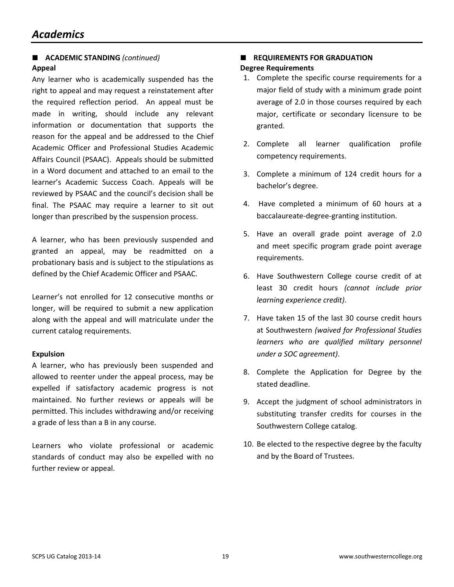## **ACADEMIC STANDING** *(continued)* **Appeal**

Any learner who is academically suspended has the right to appeal and may request a reinstatement after the required reflection period. An appeal must be made in writing, should include any relevant information or documentation that supports the reason for the appeal and be addressed to the Chief Academic Officer and Professional Studies Academic Affairs Council (PSAAC). Appeals should be submitted in a Word document and attached to an email to the learner's Academic Success Coach. Appeals will be reviewed by PSAAC and the council's decision shall be final. The PSAAC may require a learner to sit out longer than prescribed by the suspension process.

A learner, who has been previously suspended and granted an appeal, may be readmitted on a probationary basis and is subject to the stipulations as defined by the Chief Academic Officer and PSAAC.

Learner's not enrolled for 12 consecutive months or longer, will be required to submit a new application along with the appeal and will matriculate under the current catalog requirements.

## **Expulsion**

A learner, who has previously been suspended and allowed to reenter under the appeal process, may be expelled if satisfactory academic progress is not maintained. No further reviews or appeals will be permitted. This includes withdrawing and/or receiving a grade of less than a B in any course.

Learners who violate professional or academic standards of conduct may also be expelled with no further review or appeal.

## **REQUIREMENTS FOR GRADUATION Degree Requirements**

- 1. Complete the specific course requirements for a major field of study with a minimum grade point average of 2.0 in those courses required by each major, certificate or secondary licensure to be granted.
- 2. Complete all learner qualification profile competency requirements.
- 3. Complete a minimum of 124 credit hours for a bachelor's degree.
- 4. Have completed a minimum of 60 hours at a baccalaureate-degree-granting institution.
- 5. Have an overall grade point average of 2.0 and meet specific program grade point average requirements.
- 6. Have Southwestern College course credit of at least 30 credit hours *(cannot include prior learning experience credit)*.
- 7. Have taken 15 of the last 30 course credit hours at Southwestern *(waived for Professional Studies learners who are qualified military personnel under a SOC agreement)*.
- 8. Complete the Application for Degree by the stated deadline.
- 9. Accept the judgment of school administrators in substituting transfer credits for courses in the Southwestern College catalog.
- 10. Be elected to the respective degree by the faculty and by the Board of Trustees.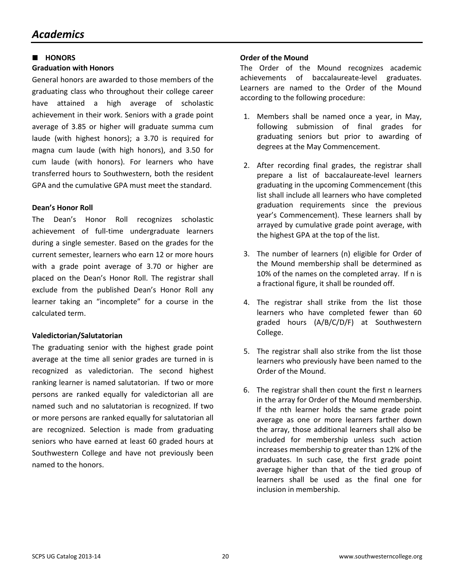#### **HONORS**

#### **Graduation with Honors**

General honors are awarded to those members of the graduating class who throughout their college career have attained a high average of scholastic achievement in their work. Seniors with a grade point average of 3.85 or higher will graduate summa cum laude (with highest honors); a 3.70 is required for magna cum laude (with high honors), and 3.50 for cum laude (with honors). For learners who have transferred hours to Southwestern, both the resident GPA and the cumulative GPA must meet the standard.

#### **Dean's Honor Roll**

The Dean's Honor Roll recognizes scholastic achievement of full-time undergraduate learners during a single semester. Based on the grades for the current semester, learners who earn 12 or more hours with a grade point average of 3.70 or higher are placed on the Dean's Honor Roll. The registrar shall exclude from the published Dean's Honor Roll any learner taking an "incomplete" for a course in the calculated term.

## **Valedictorian/Salutatorian**

The graduating senior with the highest grade point average at the time all senior grades are turned in is recognized as valedictorian. The second highest ranking learner is named salutatorian. If two or more persons are ranked equally for valedictorian all are named such and no salutatorian is recognized. If two or more persons are ranked equally for salutatorian all are recognized. Selection is made from graduating seniors who have earned at least 60 graded hours at Southwestern College and have not previously been named to the honors.

#### **Order of the Mound**

The Order of the Mound recognizes academic achievements of baccalaureate-level graduates. Learners are named to the Order of the Mound according to the following procedure:

- 1. Members shall be named once a year, in May, following submission of final grades for graduating seniors but prior to awarding of degrees at the May Commencement.
- 2. After recording final grades, the registrar shall prepare a list of baccalaureate-level learners graduating in the upcoming Commencement (this list shall include all learners who have completed graduation requirements since the previous year's Commencement). These learners shall by arrayed by cumulative grade point average, with the highest GPA at the top of the list.
- 3. The number of learners (n) eligible for Order of the Mound membership shall be determined as 10% of the names on the completed array. If n is a fractional figure, it shall be rounded off.
- 4. The registrar shall strike from the list those learners who have completed fewer than 60 graded hours (A/B/C/D/F) at Southwestern College.
- 5. The registrar shall also strike from the list those learners who previously have been named to the Order of the Mound.
- 6. The registrar shall then count the first n learners in the array for Order of the Mound membership. If the nth learner holds the same grade point average as one or more learners farther down the array, those additional learners shall also be included for membership unless such action increases membership to greater than 12% of the graduates. In such case, the first grade point average higher than that of the tied group of learners shall be used as the final one for inclusion in membership.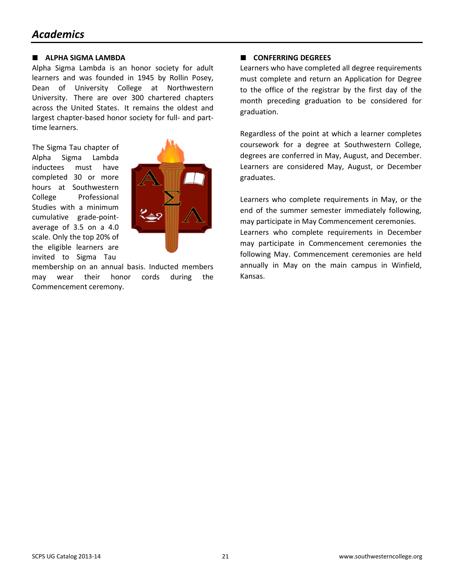## *Academics*

#### **ALPHA SIGMA LAMBDA**

Alpha Sigma Lambda is an honor society for adult learners and was founded in 1945 by Rollin Posey, Dean of University College at Northwestern University. There are over 300 chartered chapters across the United States. It remains the oldest and largest chapter-based honor society for full- and parttime learners.

The Sigma Tau chapter of Alpha Sigma Lambda inductees must have completed 30 or more hours at Southwestern College Professional Studies with a minimum cumulative grade-pointaverage of 3.5 on a 4.0 scale. Only the top 20% of the eligible learners are invited to Sigma Tau



membership on an annual basis. Inducted members may wear their honor cords during the Commencement ceremony.

## **CONFERRING DEGREES**

Learners who have completed all degree requirements must complete and return an Application for Degree to the office of the registrar by the first day of the month preceding graduation to be considered for graduation.

Regardless of the point at which a learner completes coursework for a degree at Southwestern College, degrees are conferred in May, August, and December. Learners are considered May, August, or December graduates.

Learners who complete requirements in May, or the end of the summer semester immediately following, may participate in May Commencement ceremonies. Learners who complete requirements in December may participate in Commencement ceremonies the following May. Commencement ceremonies are held annually in May on the main campus in Winfield, Kansas.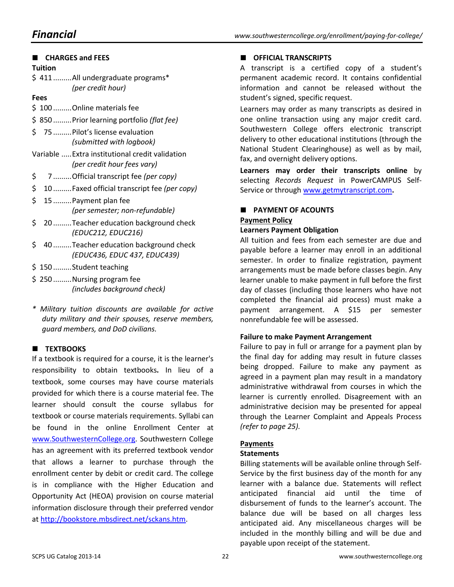| <b>CHARGES and FEES</b>                                                        |
|--------------------------------------------------------------------------------|
| <b>Tuition</b>                                                                 |
| \$411All undergraduate programs*<br>(per credit hour)                          |
| Fees                                                                           |
| \$100 Online materials fee                                                     |
| \$850Prior learning portfolio (flat fee)                                       |
| \$<br>75  Pilot's license evaluation<br>(submitted with logbook)               |
| Variable  Extra institutional credit validation<br>(per credit hour fees vary) |
| \$<br>7Official transcript fee (per copy)                                      |
| \$<br>10Faxed official transcript fee (per copy)                               |
| \$<br>15 Payment plan fee<br>(per semester; non-refundable)                    |
| \$<br>20 Teacher education background check<br>(EDUC212, EDUC216)              |
| \$<br>40Teacher education background check<br>(EDUC436, EDUC 437, EDUC439)     |
| \$150Student teaching                                                          |
| \$250  Nursing program fee<br>(includes background check)                      |

*\* Military tuition discounts are available for active duty military and their spouses, reserve members, guard members, and DoD civilians.*

## **TEXTBOOKS**

If a textbook is required for a course, it is the learner's responsibility to obtain textbooks**.** In lieu of a textbook, some courses may have course materials provided for which there is a course material fee. The learner should consult the course syllabus for textbook or course materials requirements. Syllabi can be found in the online Enrollment Center at [www.SouthwesternCollege.org.](http://www.southwesterncollege.org/) Southwestern College has an agreement with its preferred textbook vendor that allows a learner to purchase through the enrollment center by debit or credit card. The college is in compliance with the Higher Education and Opportunity Act (HEOA) provision on course material information disclosure through their preferred vendor a[t http://bookstore.mbsdirect.net/sckans.htm.](http://bookstore.mbsdirect.net/sckans.htm)

## **CEFICIAL TRANSCRIPTS**

A transcript is a certified copy of a student's permanent academic record. It contains confidential information and cannot be released without the student's signed, specific request.

Learners may order as many transcripts as desired in one online transaction using any major credit card. Southwestern College offers electronic transcript delivery to other educational institutions (through the National Student Clearinghouse) as well as by mail, fax, and overnight delivery options.

**Learners may order their transcripts online** by selecting *Records Request* in PowerCAMPUS Self-Service or through [www.getmytranscript.com](http://www.getmytranscript.com/)**.**

## **PAYMENT OF ACOUNTS Payment Policy Learners Payment Obligation**

All tuition and fees from each semester are due and payable before a learner may enroll in an additional semester. In order to finalize registration, payment arrangements must be made before classes begin. Any learner unable to make payment in full before the first day of classes (including those learners who have not completed the financial aid process) must make a payment arrangement. A \$15 per semester nonrefundable fee will be assessed.

## **Failure to make Payment Arrangement**

Failure to pay in full or arrange for a payment plan by the final day for adding may result in future classes being dropped. Failure to make any payment as agreed in a payment plan may result in a mandatory administrative withdrawal from courses in which the learner is currently enrolled. Disagreement with an administrative decision may be presented for appeal through the Learner Complaint and Appeals Process *(refer to page 25).*

## **Payments**

## **Statements**

Billing statements will be available online through Self-Service by the first business day of the month for any learner with a balance due. Statements will reflect anticipated financial aid until the time of disbursement of funds to the learner's account. The balance due will be based on all charges less anticipated aid. Any miscellaneous charges will be included in the monthly billing and will be due and payable upon receipt of the statement.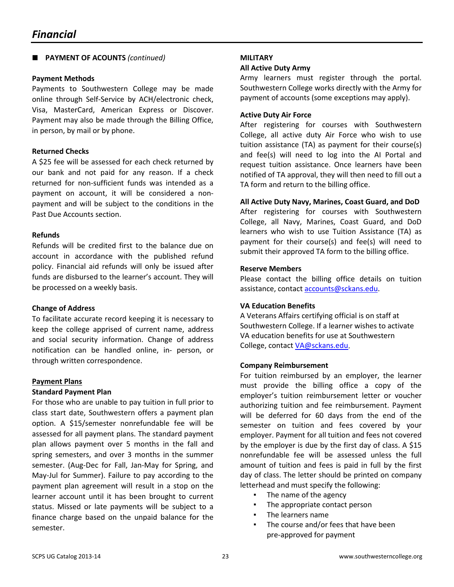## **PAYMENT OF ACOUNTS** *(continued)*

#### **Payment Methods**

Payments to Southwestern College may be made online through Self-Service by ACH/electronic check, Visa, MasterCard, American Express or Discover. Payment may also be made through the Billing Office, in person, by mail or by phone.

## **Returned Checks**

A \$25 fee will be assessed for each check returned by our bank and not paid for any reason. If a check returned for non-sufficient funds was intended as a payment on account, it will be considered a nonpayment and will be subject to the conditions in the Past Due Accounts section.

#### **Refunds**

Refunds will be credited first to the balance due on account in accordance with the published refund policy. Financial aid refunds will only be issued after funds are disbursed to the learner's account. They will be processed on a weekly basis.

## **Change of Address**

To facilitate accurate record keeping it is necessary to keep the college apprised of current name, address and social security information. Change of address notification can be handled online, in- person, or through written correspondence.

## **Payment Plans**

#### **Standard Payment Plan**

For those who are unable to pay tuition in full prior to class start date, Southwestern offers a payment plan option. A \$15/semester nonrefundable fee will be assessed for all payment plans. The standard payment plan allows payment over 5 months in the fall and spring semesters, and over 3 months in the summer semester. (Aug-Dec for Fall, Jan-May for Spring, and May-Jul for Summer). Failure to pay according to the payment plan agreement will result in a stop on the learner account until it has been brought to current status. Missed or late payments will be subject to a finance charge based on the unpaid balance for the semester.

#### **MILITARY**

#### **All Active Duty Army**

Army learners must register through the portal. Southwestern College works directly with the Army for payment of accounts (some exceptions may apply).

#### **Active Duty Air Force**

After registering for courses with Southwestern College, all active duty Air Force who wish to use tuition assistance (TA) as payment for their course(s) and fee(s) will need to log into the AI Portal and request tuition assistance. Once learners have been notified of TA approval, they will then need to fill out a TA form and return to the billing office.

#### **All Active Duty Navy, Marines, Coast Guard, and DoD**

After registering for courses with Southwestern College, all Navy, Marines, Coast Guard, and DoD learners who wish to use Tuition Assistance (TA) as payment for their course(s) and fee(s) will need to submit their approved TA form to the billing office.

#### **Reserve Members**

Please contact the billing office details on tuition assistance, contact accounts@sckans.edu.

## **VA Education Benefits**

A Veterans Affairs certifying official is on staff at Southwestern College. If a learner wishes to activate VA education benefits for use at Southwestern College, contact VA@sckans.edu.

#### **Company Reimbursement**

For tuition reimbursed by an employer, the learner must provide the billing office a copy of the employer's tuition reimbursement letter or voucher authorizing tuition and fee reimbursement. Payment will be deferred for 60 days from the end of the semester on tuition and fees covered by your employer. Payment for all tuition and fees not covered by the employer is due by the first day of class. A \$15 nonrefundable fee will be assessed unless the full amount of tuition and fees is paid in full by the first day of class. The letter should be printed on company letterhead and must specify the following:

- The name of the agency
- The appropriate contact person
- The learners name
- The course and/or fees that have been pre-approved for payment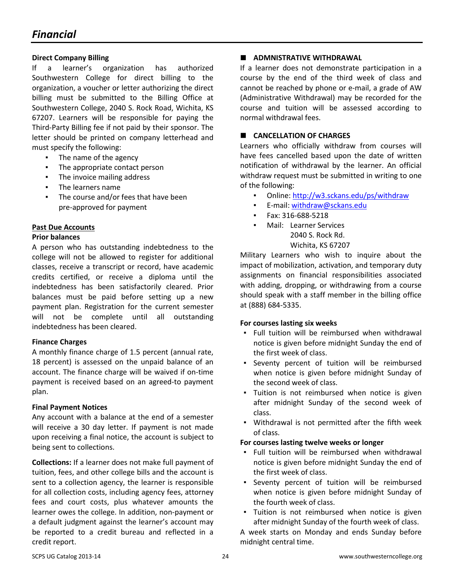## **Direct Company Billing**

If a learner's organization has authorized Southwestern College for direct billing to the organization, a voucher or letter authorizing the direct billing must be submitted to the Billing Office at Southwestern College, 2040 S. Rock Road, Wichita, KS 67207. Learners will be responsible for paying the Third-Party Billing fee if not paid by their sponsor. The letter should be printed on company letterhead and must specify the following:

- The name of the agency
- The appropriate contact person
- The invoice mailing address
- The learners name
- The course and/or fees that have been pre-approved for payment

## **Past Due Accounts**

#### **Prior balances**

A person who has outstanding indebtedness to the college will not be allowed to register for additional classes, receive a transcript or record, have academic credits certified, or receive a diploma until the indebtedness has been satisfactorily cleared. Prior balances must be paid before setting up a new payment plan. Registration for the current semester will not be complete until all outstanding indebtedness has been cleared.

## **Finance Charges**

A monthly finance charge of 1.5 percent (annual rate, 18 percent) is assessed on the unpaid balance of an account. The finance charge will be waived if on-time payment is received based on an agreed-to payment plan.

## **Final Payment Notices**

Any account with a balance at the end of a semester will receive a 30 day letter. If payment is not made upon receiving a final notice, the account is subject to being sent to collections.

**Collections:** If a learner does not make full payment of tuition, fees, and other college bills and the account is sent to a collection agency, the learner is responsible for all collection costs, including agency fees, attorney fees and court costs, plus whatever amounts the learner owes the college. In addition, non-payment or a default judgment against the learner's account may be reported to a credit bureau and reflected in a credit report.

## **ADMNISTRATIVE WITHDRAWAL**

If a learner does not demonstrate participation in a course by the end of the third week of class and cannot be reached by phone or e-mail, a grade of AW (Administrative Withdrawal) may be recorded for the course and tuition will be assessed according to normal withdrawal fees.

## **CANCELLATION OF CHARGES**

Learners who officially withdraw from courses will have fees cancelled based upon the date of written notification of withdrawal by the learner. An official withdraw request must be submitted in writing to one of the following:

- Online:<http://w3.sckans.edu/ps/withdraw>
- E-mail: withdraw@sckans.edu
- Fax: 316-688-5218
- Mail: Learner Services 2040 S. Rock Rd. Wichita, KS 67207

Military Learners who wish to inquire about the impact of mobilization, activation, and temporary duty assignments on financial responsibilities associated with adding, dropping, or withdrawing from a course should speak with a staff member in the billing office at (888) 684-5335.

#### **For courses lasting six weeks**

- Full tuition will be reimbursed when withdrawal notice is given before midnight Sunday the end of the first week of class.
- Seventy percent of tuition will be reimbursed when notice is given before midnight Sunday of the second week of class.
- Tuition is not reimbursed when notice is given after midnight Sunday of the second week of class.
- Withdrawal is not permitted after the fifth week of class.

## **For courses lasting twelve weeks or longer**

- Full tuition will be reimbursed when withdrawal notice is given before midnight Sunday the end of the first week of class.
- Seventy percent of tuition will be reimbursed when notice is given before midnight Sunday of the fourth week of class.
- Tuition is not reimbursed when notice is given after midnight Sunday of the fourth week of class.

A week starts on Monday and ends Sunday before midnight central time.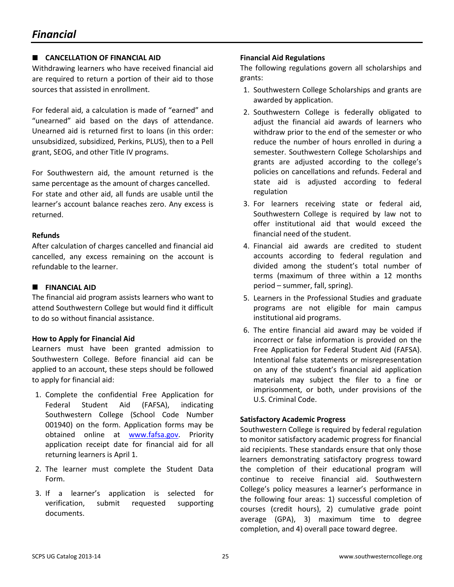## **CANCELLATION OF FINANCIAL AID**

Withdrawing learners who have received financial aid are required to return a portion of their aid to those sources that assisted in enrollment.

For federal aid, a calculation is made of "earned" and "unearned" aid based on the days of attendance. Unearned aid is returned first to loans (in this order: unsubsidized, subsidized, Perkins, PLUS), then to a Pell grant, SEOG, and other Title IV programs.

For Southwestern aid, the amount returned is the same percentage as the amount of charges cancelled. For state and other aid, all funds are usable until the learner's account balance reaches zero. Any excess is returned.

## **Refunds**

After calculation of charges cancelled and financial aid cancelled, any excess remaining on the account is refundable to the learner.

## **FINANCIAL AID**

The financial aid program assists learners who want to attend Southwestern College but would find it difficult to do so without financial assistance.

## **How to Apply for Financial Aid**

Learners must have been granted admission to Southwestern College. Before financial aid can be applied to an account, these steps should be followed to apply for financial aid:

- 1. Complete the confidential Free Application for Federal Student Aid (FAFSA), indicating Southwestern College (School Code Number 001940) on the form. Application forms may be obtained online at [www.fafsa.gov.](http://www.fafsa.gov/) Priority application receipt date for financial aid for all returning learners is April 1.
- 2. The learner must complete the Student Data Form.
- 3. If a learner's application is selected for verification, submit requested supporting documents.

## **Financial Aid Regulations**

The following regulations govern all scholarships and grants:

- 1. Southwestern College Scholarships and grants are awarded by application.
- 2. Southwestern College is federally obligated to adjust the financial aid awards of learners who withdraw prior to the end of the semester or who reduce the number of hours enrolled in during a semester. Southwestern College Scholarships and grants are adjusted according to the college's policies on cancellations and refunds. Federal and state aid is adjusted according to federal regulation
- 3. For learners receiving state or federal aid, Southwestern College is required by law not to offer institutional aid that would exceed the financial need of the student.
- 4. Financial aid awards are credited to student accounts according to federal regulation and divided among the student's total number of terms (maximum of three within a 12 months period – summer, fall, spring).
- 5. Learners in the Professional Studies and graduate programs are not eligible for main campus institutional aid programs.
- 6. The entire financial aid award may be voided if incorrect or false information is provided on the Free Application for Federal Student Aid (FAFSA). Intentional false statements or misrepresentation on any of the student's financial aid application materials may subject the filer to a fine or imprisonment, or both, under provisions of the U.S. Criminal Code.

## **Satisfactory Academic Progress**

Southwestern College is required by federal regulation to monitor satisfactory academic progress for financial aid recipients. These standards ensure that only those learners demonstrating satisfactory progress toward the completion of their educational program will continue to receive financial aid. Southwestern College's policy measures a learner's performance in the following four areas: 1) successful completion of courses (credit hours), 2) cumulative grade point average (GPA), 3) maximum time to degree completion, and 4) overall pace toward degree.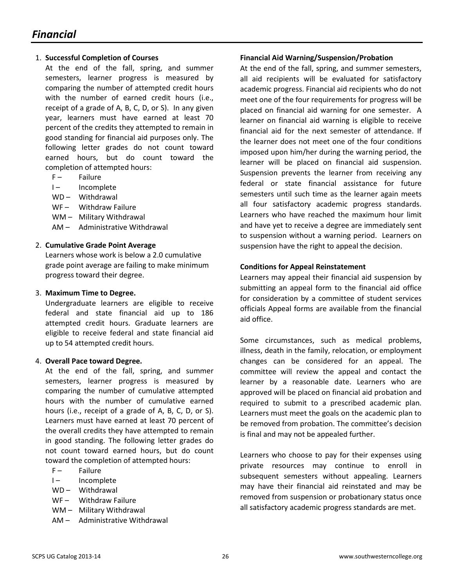#### 1. **Successful Completion of Courses**

At the end of the fall, spring, and summer semesters, learner progress is measured by comparing the number of attempted credit hours with the number of earned credit hours (i.e., receipt of a grade of A, B, C, D, or S). In any given year, learners must have earned at least 70 percent of the credits they attempted to remain in good standing for financial aid purposes only. The following letter grades do not count toward earned hours, but do count toward the completion of attempted hours:

- F- Failure
- I- Incomplete
- WD Withdrawal
- WF- Withdraw Failure
- WM Military Withdrawal
- AM Administrative Withdrawal

#### 2. **Cumulative Grade Point Average**

Learners whose work is below a 2.0 cumulative grade point average are failing to make minimum progress toward their degree.

#### 3. **Maximum Time to Degree.**

Undergraduate learners are eligible to receive federal and state financial aid up to 186 attempted credit hours. Graduate learners are eligible to receive federal and state financial aid up to 54 attempted credit hours.

#### 4. **Overall Pace toward Degree.**

At the end of the fall, spring, and summer semesters, learner progress is measured by comparing the number of cumulative attempted hours with the number of cumulative earned hours (i.e., receipt of a grade of A, B, C, D, or S). Learners must have earned at least 70 percent of the overall credits they have attempted to remain in good standing. The following letter grades do not count toward earned hours, but do count toward the completion of attempted hours:

- F Failure
- I- Incomplete
- WD Withdrawal
- WF- Withdraw Failure
- WM Military Withdrawal
- AM Administrative Withdrawal

#### **Financial Aid Warning/Suspension/Probation**

At the end of the fall, spring, and summer semesters, all aid recipients will be evaluated for satisfactory academic progress. Financial aid recipients who do not meet one of the four requirements for progress will be placed on financial aid warning for one semester. A learner on financial aid warning is eligible to receive financial aid for the next semester of attendance. If the learner does not meet one of the four conditions imposed upon him/her during the warning period, the learner will be placed on financial aid suspension. Suspension prevents the learner from receiving any federal or state financial assistance for future semesters until such time as the learner again meets all four satisfactory academic progress standards. Learners who have reached the maximum hour limit and have yet to receive a degree are immediately sent to suspension without a warning period. Learners on suspension have the right to appeal the decision.

#### **Conditions for Appeal Reinstatement**

Learners may appeal their financial aid suspension by submitting an appeal form to the financial aid office for consideration by a committee of student services officials Appeal forms are available from the financial aid office.

Some circumstances, such as medical problems, illness, death in the family, relocation, or employment changes can be considered for an appeal. The committee will review the appeal and contact the learner by a reasonable date. Learners who are approved will be placed on financial aid probation and required to submit to a prescribed academic plan. Learners must meet the goals on the academic plan to be removed from probation. The committee's decision is final and may not be appealed further.

Learners who choose to pay for their expenses using private resources may continue to enroll in subsequent semesters without appealing. Learners may have their financial aid reinstated and may be removed from suspension or probationary status once all satisfactory academic progress standards are met.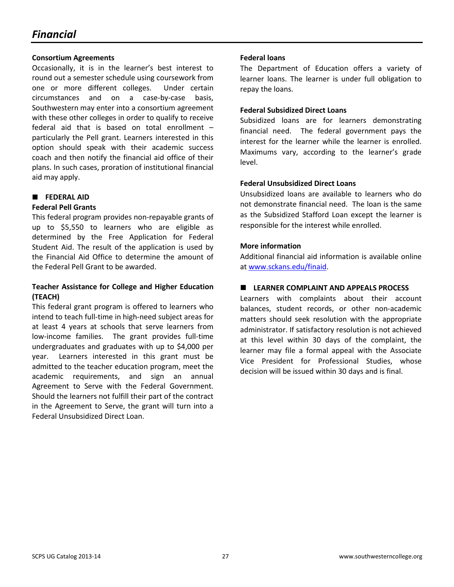## *Financial*

### **Consortium Agreements**

Occasionally, it is in the learner's best interest to round out a semester schedule using coursework from one or more different colleges. Under certain circumstances and on a case-by-case basis, Southwestern may enter into a consortium agreement with these other colleges in order to qualify to receive federal aid that is based on total enrollment – particularly the Pell grant. Learners interested in this option should speak with their academic success coach and then notify the financial aid office of their plans. In such cases, proration of institutional financial aid may apply.

## **FEDERAL AID**

## **Federal Pell Grants**

This federal program provides non-repayable grants of up to \$5,550 to learners who are eligible as determined by the Free Application for Federal Student Aid. The result of the application is used by the Financial Aid Office to determine the amount of the Federal Pell Grant to be awarded.

## **Teacher Assistance for College and Higher Education (TEACH)**

This federal grant program is offered to learners who intend to teach full-time in high-need subject areas for at least 4 years at schools that serve learners from low-income families. The grant provides full-time undergraduates and graduates with up to \$4,000 per year. Learners interested in this grant must be admitted to the teacher education program, meet the academic requirements, and sign an annual Agreement to Serve with the Federal Government. Should the learners not fulfill their part of the contract in the Agreement to Serve, the grant will turn into a Federal Unsubsidized Direct Loan.

## **Federal loans**

The Department of Education offers a variety of learner loans. The learner is under full obligation to repay the loans.

## **Federal Subsidized Direct Loans**

Subsidized loans are for learners demonstrating financial need. The federal government pays the interest for the learner while the learner is enrolled. Maximums vary, according to the learner's grade level.

## **Federal Unsubsidized Direct Loans**

Unsubsidized loans are available to learners who do not demonstrate financial need. The loan is the same as the Subsidized Stafford Loan except the learner is responsible for the interest while enrolled.

## **More information**

Additional financial aid information is available online at www.sckans.edu/finaid.

## **LEARNER COMPLAINT AND APPEALS PROCESS**

Learners with complaints about their account balances, student records, or other non-academic matters should seek resolution with the appropriate administrator. If satisfactory resolution is not achieved at this level within 30 days of the complaint, the learner may file a formal appeal with the Associate Vice President for Professional Studies, whose decision will be issued within 30 days and is final.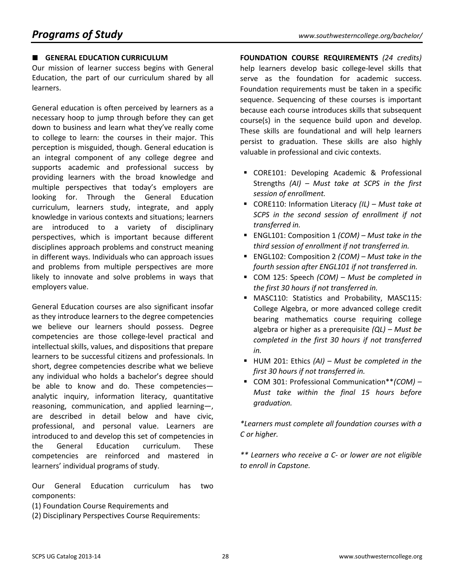## **GENERAL EDUCATION CURRICULUM**

Our mission of learner success begins with General Education, the part of our curriculum shared by all learners.

General education is often perceived by learners as a necessary hoop to jump through before they can get down to business and learn what they've really come to college to learn: the courses in their major. This perception is misguided, though. General education is an integral component of any college degree and supports academic and professional success by providing learners with the broad knowledge and multiple perspectives that today's employers are looking for. Through the General Education curriculum, learners study, integrate, and apply knowledge in various contexts and situations; learners are introduced to a variety of disciplinary perspectives, which is important because different disciplines approach problems and construct meaning in different ways. Individuals who can approach issues and problems from multiple perspectives are more likely to innovate and solve problems in ways that employers value.

General Education courses are also significant insofar as they introduce learners to the degree competencies we believe our learners should possess. Degree competencies are those college-level practical and intellectual skills, values, and dispositions that prepare learners to be successful citizens and professionals. In short, degree competencies describe what we believe any individual who holds a bachelor's degree should be able to know and do. These competencies analytic inquiry, information literacy, quantitative reasoning, communication, and applied learning—, are described in detail below and have civic, professional, and personal value. Learners are introduced to and develop this set of competencies in the General Education curriculum. These competencies are reinforced and mastered in learners' individual programs of study.

Our General Education curriculum has two components:

- (1) Foundation Course Requirements and
- (2) Disciplinary Perspectives Course Requirements:

**FOUNDATION COURSE REQUIREMENTS** *(24 credits)* help learners develop basic college-level skills that serve as the foundation for academic success. Foundation requirements must be taken in a specific sequence. Sequencing of these courses is important because each course introduces skills that subsequent course(s) in the sequence build upon and develop. These skills are foundational and will help learners persist to graduation. These skills are also highly valuable in professional and civic contexts.

- CORE101: Developing Academic & Professional Strengths *(AI) – Must take at SCPS in the first session of enrollment.*
- CORE110: Information Literacy *(IL) Must take at SCPS in the second session of enrollment if not transferred in.*
- ENGL101: Composition 1 *(COM) Must take in the third session of enrollment if not transferred in.*
- ENGL102: Composition 2 *(COM) Must take in the fourth session after ENGL101 if not transferred in.*
- COM 125: Speech *(COM) Must be completed in the first 30 hours if not transferred in.*
- **MASC110: Statistics and Probability, MASC115:** College Algebra, or more advanced college credit bearing mathematics course requiring college algebra or higher as a prerequisite *(QL) – Must be completed in the first 30 hours if not transferred in.*
- HUM 201: Ethics *(AI) Must be completed in the first 30 hours if not transferred in.*
- COM 301: Professional Communication\*\**(COM) Must take within the final 15 hours before graduation.*

*\*Learners must complete all foundation courses with a C or higher.*

*\*\* Learners who receive a C- or lower are not eligible to enroll in Capstone.*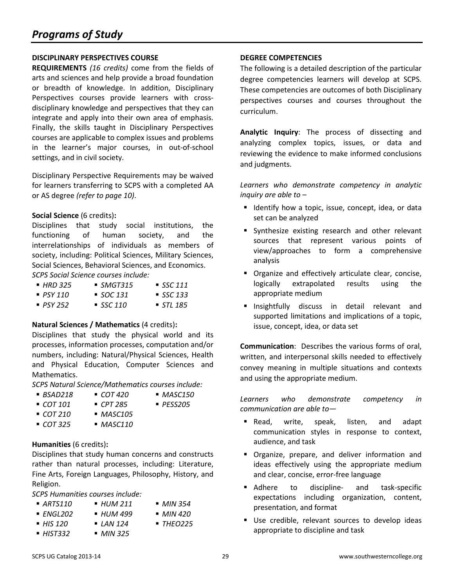### **DISCIPLINARY PERSPECTIVES COURSE**

**REQUIREMENTS** *(16 credits)* come from the fields of arts and sciences and help provide a broad foundation or breadth of knowledge. In addition, Disciplinary Perspectives courses provide learners with crossdisciplinary knowledge and perspectives that they can integrate and apply into their own area of emphasis. Finally, the skills taught in Disciplinary Perspectives courses are applicable to complex issues and problems in the learner's major courses, in out-of-school settings, and in civil society.

Disciplinary Perspective Requirements may be waived for learners transferring to SCPS with a completed AA or AS degree *(refer to page 10)*.

#### **Social Science** (6 credits)**:**

Disciplines that study social institutions, the functioning of human society, and the interrelationships of individuals as members of society, including: Political Sciences, Military Sciences, Social Sciences, Behavioral Sciences, and Economics. *SCPS Social Science courses include:* 

| ■ HRD 325   | $\blacksquare$ SMGT315 | $\blacksquare$ SSC 111 |
|-------------|------------------------|------------------------|
| $-$ PSY 110 | $\blacksquare$ SOC 131 | $\blacksquare$ SSC 133 |
| $-$ PSY 252 | $\blacksquare$ SSC 110 | $\blacksquare$ STL 185 |

## **Natural Sciences / Mathematics** (4 credits)**:**

Disciplines that study the physical world and its processes, information processes, computation and/or numbers, including: Natural/Physical Sciences, Health and Physical Education, Computer Sciences and Mathematics.

*SCPS Natural Science/Mathematics courses include:*

- *BSAD218 COT 420 MASC150*
	-
- *COT 101 CPT 285 PESS205*
- *COT 210 MASC105 COT 325 MASC110*

## **Humanities** (6 credits)**:**

Disciplines that study human concerns and constructs rather than natural processes, including: Literature, Fine Arts, Foreign Languages, Philosophy, History, and Religion.

*SCPS Humanities courses include:* 

- *ARTS110 HUM 211 MIN 354 ENGL202 HUM 499 MIN 420*
- *HIS 120 LAN 124 THEO225*
- *HIST332 MIN 325*

**DEGREE COMPETENCIES**

The following is a detailed description of the particular degree competencies learners will develop at SCPS. These competencies are outcomes of both Disciplinary perspectives courses and courses throughout the curriculum.

**Analytic Inquiry**: The process of dissecting and analyzing complex topics, issues, or data and reviewing the evidence to make informed conclusions and judgments.

*Learners who demonstrate competency in analytic inquiry are able to –*

- **If** Identify how a topic, issue, concept, idea, or data set can be analyzed
- **Synthesize existing research and other relevant** sources that represent various points of view/approaches to form a comprehensive analysis
- **•** Organize and effectively articulate clear, concise, logically extrapolated results using the appropriate medium
- **Insightfully discuss in detail relevant and** supported limitations and implications of a topic, issue, concept, idea, or data set

**Communication**: Describes the various forms of oral, written, and interpersonal skills needed to effectively convey meaning in multiple situations and contexts and using the appropriate medium.

*Learners who demonstrate competency in communication are able to—*

- Read, write, speak, listen, and adapt communication styles in response to context, audience, and task
- **Diamagery Diamager of System** Prepare, and deliver information and ideas effectively using the appropriate medium and clear, concise, error-free language
- Adhere to discipline- and task-specific expectations including organization, content, presentation, and format
- Use credible, relevant sources to develop ideas appropriate to discipline and task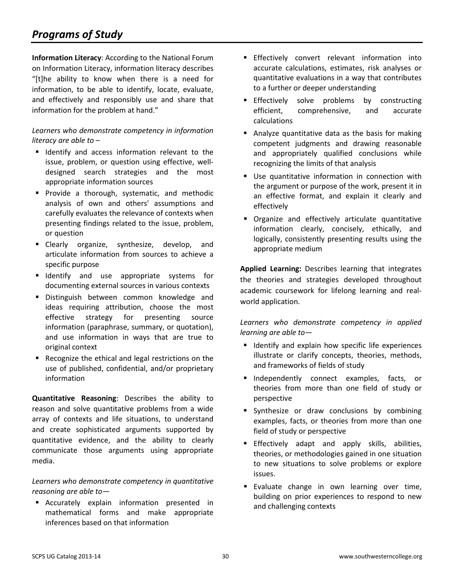## *Programs of Study*

**Information Literacy**: According to the National Forum on Information Literacy, information literacy describes "[t]he ability to know when there is a need for information, to be able to identify, locate, evaluate, and effectively and responsibly use and share that information for the problem at hand."

## *Learners who demonstrate competency in information literacy are able to* –

- **If** Identify and access information relevant to the issue, problem, or question using effective, welldesigned search strategies and the most appropriate information sources
- **Provide a thorough, systematic, and methodic** analysis of own and others' assumptions and carefully evaluates the relevance of contexts when presenting findings related to the issue, problem, or question
- **E** Clearly organize, synthesize, develop, and articulate information from sources to achieve a specific purpose
- **If Identify** and use appropriate systems for documenting external sources in various contexts
- **Distinguish between common knowledge and** ideas requiring attribution, choose the most effective strategy for presenting source information (paraphrase, summary, or quotation), and use information in ways that are true to original context
- Recognize the ethical and legal restrictions on the use of published, confidential, and/or proprietary information

**Quantitative Reasoning**: Describes the ability to reason and solve quantitative problems from a wide array of contexts and life situations, to understand and create sophisticated arguments supported by quantitative evidence, and the ability to clearly communicate those arguments using appropriate media.

## *Learners who demonstrate competency in quantitative reasoning are able to—*

**EXECUTER EXPLAINE EXPLAINE EXECUTER** EXPLAINE in mathematical forms and make appropriate inferences based on that information

- **Effectively convert relevant information into** accurate calculations, estimates, risk analyses or quantitative evaluations in a way that contributes to a further or deeper understanding
- **Effectively solve problems by constructing** efficient, comprehensive, and accurate calculations
- **Analyze quantitative data as the basis for making** competent judgments and drawing reasonable and appropriately qualified conclusions while recognizing the limits of that analysis
- **Use quantitative information in connection with** the argument or purpose of the work, present it in an effective format, and explain it clearly and effectively
- **•** Organize and effectively articulate quantitative information clearly, concisely, ethically, and logically, consistently presenting results using the appropriate medium

**Applied Learning:** Describes learning that integrates the theories and strategies developed throughout academic coursework for lifelong learning and realworld application.

*Learners who demonstrate competency in applied learning are able to—*

- **If** Identify and explain how specific life experiences illustrate or clarify concepts, theories, methods, and frameworks of fields of study
- **Independently connect examples, facts, or** theories from more than one field of study or perspective
- **Synthesize or draw conclusions by combining** examples, facts, or theories from more than one field of study or perspective
- **Effectively adapt and apply skills, abilities,** theories, or methodologies gained in one situation to new situations to solve problems or explore issues.
- **Evaluate change in own learning over time,** building on prior experiences to respond to new and challenging contexts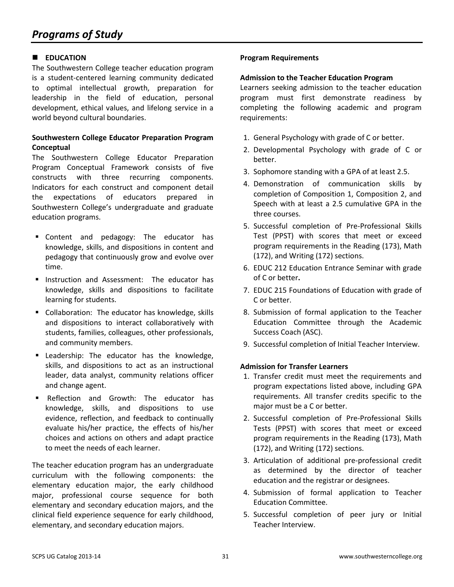## **EDUCATION**

The Southwestern College teacher education program is a student-centered learning community dedicated to optimal intellectual growth, preparation for leadership in the field of education, personal development, ethical values, and lifelong service in a world beyond cultural boundaries.

## **Southwestern College Educator Preparation Program Conceptual**

The Southwestern College Educator Preparation Program Conceptual Framework consists of five constructs with three recurring components. Indicators for each construct and component detail the expectations of educators prepared in Southwestern College's undergraduate and graduate education programs.

- Content and pedagogy: The educator has knowledge, skills, and dispositions in content and pedagogy that continuously grow and evolve over time.
- **Instruction and Assessment: The educator has** knowledge, skills and dispositions to facilitate learning for students.
- Collaboration: The educator has knowledge, skills and dispositions to interact collaboratively with students, families, colleagues, other professionals, and community members.
- **Example 2** Leadership: The educator has the knowledge, skills, and dispositions to act as an instructional leader, data analyst, community relations officer and change agent.
- Reflection and Growth: The educator has knowledge, skills, and dispositions to use evidence, reflection, and feedback to continually evaluate his/her practice, the effects of his/her choices and actions on others and adapt practice to meet the needs of each learner.

The teacher education program has an undergraduate curriculum with the following components: the elementary education major, the early childhood major, professional course sequence for both elementary and secondary education majors, and the clinical field experience sequence for early childhood, elementary, and secondary education majors.

## **Program Requirements**

#### **Admission to the Teacher Education Program**

Learners seeking admission to the teacher education program must first demonstrate readiness by completing the following academic and program requirements:

- 1. General Psychology with grade of C or better.
- 2. Developmental Psychology with grade of C or better.
- 3. Sophomore standing with a GPA of at least 2.5.
- 4. Demonstration of communication skills by completion of Composition 1, Composition 2, and Speech with at least a 2.5 cumulative GPA in the three courses.
- 5. Successful completion of Pre-Professional Skills Test (PPST) with scores that meet or exceed program requirements in the Reading (173), Math (172), and Writing (172) sections.
- 6. EDUC 212 Education Entrance Seminar with grade of C or better**.**
- 7. EDUC 215 Foundations of Education with grade of C or better.
- 8. Submission of formal application to the Teacher Education Committee through the Academic Success Coach (ASC).
- 9. Successful completion of Initial Teacher Interview.

## **Admission for Transfer Learners**

- 1. Transfer credit must meet the requirements and program expectations listed above, including GPA requirements. All transfer credits specific to the major must be a C or better.
- 2. Successful completion of Pre-Professional Skills Tests (PPST) with scores that meet or exceed program requirements in the Reading (173), Math (172), and Writing (172) sections.
- 3. Articulation of additional pre-professional credit as determined by the director of teacher education and the registrar or designees.
- 4. Submission of formal application to Teacher Education Committee.
- 5. Successful completion of peer jury or Initial Teacher Interview.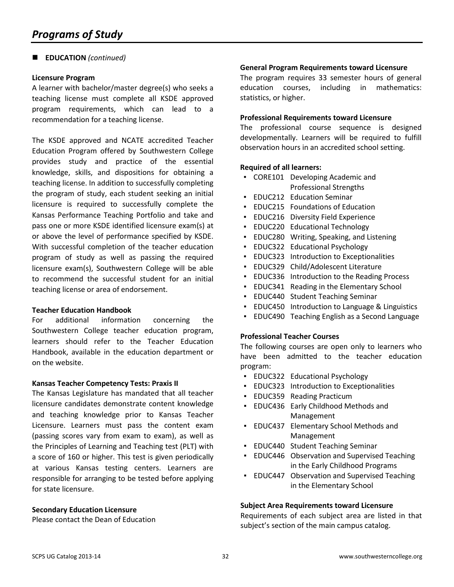## **EDUCATION** *(continued)*

#### **Licensure Program**

A learner with bachelor/master degree(s) who seeks a teaching license must complete all KSDE approved program requirements, which can lead to a recommendation for a teaching license.

The KSDE approved and NCATE accredited Teacher Education Program offered by Southwestern College provides study and practice of the essential knowledge, skills, and dispositions for obtaining a teaching license. In addition to successfully completing the program of study, each student seeking an initial licensure is required to successfully complete the Kansas Performance Teaching Portfolio and take and pass one or more KSDE identified licensure exam(s) at or above the level of performance specified by KSDE. With successful completion of the teacher education program of study as well as passing the required licensure exam(s), Southwestern College will be able to recommend the successful student for an initial teaching license or area of endorsement.

#### **Teacher Education Handbook**

For additional information concerning the Southwestern College teacher education program, learners should refer to the Teacher Education Handbook, available in the education department or on the website.

#### **Kansas Teacher Competency Tests: Praxis II**

The Kansas Legislature has mandated that all teacher licensure candidates demonstrate content knowledge and teaching knowledge prior to Kansas Teacher Licensure. Learners must pass the content exam (passing scores vary from exam to exam), as well as the Principles of Learning and Teaching test (PLT) with a score of 160 or higher. This test is given periodically at various Kansas testing centers. Learners are responsible for arranging to be tested before applying for state licensure.

#### **Secondary Education Licensure**

Please contact the Dean of Education

#### **General Program Requirements toward Licensure**

The program requires 33 semester hours of general education courses, including in mathematics: statistics, or higher.

#### **Professional Requirements toward Licensure**

The professional course sequence is designed developmentally. Learners will be required to fulfill observation hours in an accredited school setting.

#### **Required of all learners:**

- CORE101 Developing Academic and Professional Strengths
- **EDUC212 Education Seminar**
- EDUC215 Foundations of Education
- **EDUC216 Diversity Field Experience**
- EDUC220 Educational Technology
- EDUC280 Writing, Speaking, and Listening
- EDUC322 Educational Psychology
- EDUC323 Introduction to Exceptionalities
- EDUC329 Child/Adolescent Literature
- EDUC336 Introduction to the Reading Process
- EDUC341 Reading in the Elementary School
- EDUC440 Student Teaching Seminar
- **EDUC450 Introduction to Language & Linguistics**
- EDUC490 Teaching English as a Second Language

#### **Professional Teacher Courses**

The following courses are open only to learners who have been admitted to the teacher education program:

- EDUC322 Educational Psychology
- EDUC323 Introduction to Exceptionalities
- EDUC359 Reading Practicum
- EDUC436 Early Childhood Methods and Management
- EDUC437 Elementary School Methods and Management
- EDUC440 Student Teaching Seminar
- **EDUC446** Observation and Supervised Teaching in the Early Childhood Programs
- **EDUC447** Observation and Supervised Teaching in the Elementary School

#### **Subject Area Requirements toward Licensure**

Requirements of each subject area are listed in that subject's section of the main campus catalog.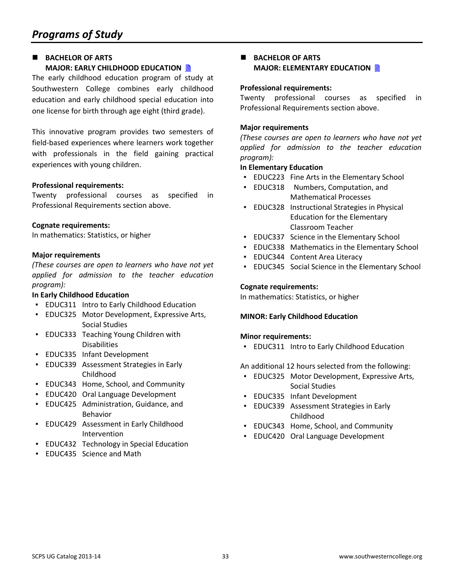## **BACHELOR OF ARTS MAJOR: EARLY CHILDHOOD EDUCATION**

The early childhood education program of study at Southwestern College combines early childhood education and early childhood special education into one license for birth through age eight (third grade).

This innovative program provides two semesters of field-based experiences where learners work together with professionals in the field gaining practical experiences with young children.

## **Professional requirements:**

Twenty professional courses as specified in Professional Requirements section above.

#### **Cognate requirements:**

In mathematics: Statistics, or higher

#### **Major requirements**

*(These courses are open to learners who have not yet applied for admission to the teacher education program):*

#### **In Early Childhood Education**

- EDUC311 Intro to Early Childhood Education
- EDUC325 Motor Development, Expressive Arts, Social Studies
- EDUC333 Teaching Young Children with Disabilities
- EDUC335 Infant Development
- EDUC339 Assessment Strategies in Early Childhood
- EDUC343 Home, School, and Community
- EDUC420 Oral Language Development
- EDUC425 Administration, Guidance, and Behavior
- EDUC429 Assessment in Early Childhood Intervention
- EDUC432 Technology in Special Education
- EDUC435 Science and Math

## **BACHELOR OF ARTS MAJOR: ELEMENTARY EDUCATION**

#### **Professional requirements:**

Twenty professional courses as specified in Professional Requirements section above.

#### **Major requirements**

*(These courses are open to learners who have not yet applied for admission to the teacher education program):*

#### **In Elementary Education**

- EDUC223 Fine Arts in the Elementary School
- EDUC318 Numbers, Computation, and Mathematical Processes
- EDUC328 Instructional Strategies in Physical Education for the Elementary Classroom Teacher
- EDUC337 Science in the Elementary School
- EDUC338 Mathematics in the Elementary School
- **EDUC344 Content Area Literacy**
- **EDUC345 Social Science in the Elementary School**

#### **Cognate requirements:**

In mathematics: Statistics, or higher

#### **MINOR: Early Childhood Education**

#### **Minor requirements:**

▪ EDUC311 Intro to Early Childhood Education

An additional 12 hours selected from the following:

- EDUC325 Motor Development, Expressive Arts, Social Studies
- EDUC335 Infant Development
- EDUC339 Assessment Strategies in Early Childhood
- EDUC343 Home, School, and Community
- EDUC420 Oral Language Development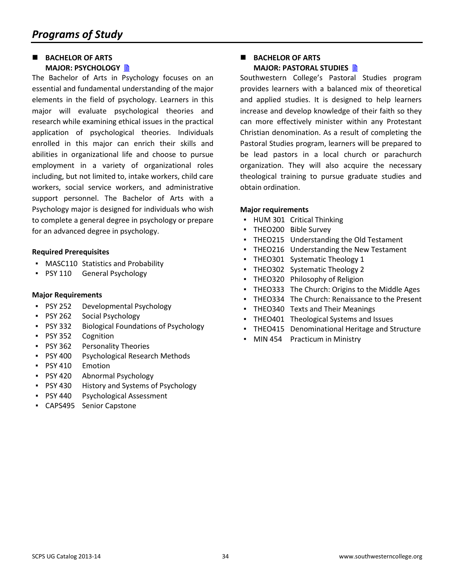## **BACHELOR OF ARTS MAJOR: PSYCHOLOGY**

The Bachelor of Arts in Psychology focuses on an essential and fundamental understanding of the major elements in the field of psychology. Learners in this major will evaluate psychological theories and research while examining ethical issues in the practical application of psychological theories. Individuals enrolled in this major can enrich their skills and abilities in organizational life and choose to pursue employment in a variety of organizational roles including, but not limited to, intake workers, child care workers, social service workers, and administrative support personnel. The Bachelor of Arts with a Psychology major is designed for individuals who wish to complete a general degree in psychology or prepare for an advanced degree in psychology.

#### **Required Prerequisites**

- MASC110 Statistics and Probability
- PSY 110 General Psychology

#### **Major Requirements**

- PSY 252 Developmental Psychology
- PSY 262 Social Psychology
- PSY 332 Biological Foundations of Psychology
- PSY 352 Cognition
- PSY 362 Personality Theories
- PSY 400 Psychological Research Methods
- PSY 410 Emotion
- PSY 420 Abnormal Psychology
- PSY 430 History and Systems of Psychology
- PSY 440 Psychological Assessment
- CAPS495 Senior Capstone

## **BACHELOR OF ARTS MAJOR: PASTORAL STUDIES**

Southwestern College's Pastoral Studies program provides learners with a balanced mix of theoretical and applied studies. It is designed to help learners increase and develop knowledge of their faith so they can more effectively minister within any Protestant Christian denomination. As a result of completing the Pastoral Studies program, learners will be prepared to be lead pastors in a local church or parachurch organization. They will also acquire the necessary theological training to pursue graduate studies and obtain ordination.

#### **Major requirements**

- HUM 301 Critical Thinking
- THEO200 Bible Survey
- THEO215 Understanding the Old Testament
- THEO216 Understanding the New Testament
- THEO301 Systematic Theology 1
- THEO302 Systematic Theology 2
- **THEO320 Philosophy of Religion**
- THEO333 The Church: Origins to the Middle Ages
- THEO334 The Church: Renaissance to the Present
- THEO340 Texts and Their Meanings
- THEO401 Theological Systems and Issues
- THEO415 Denominational Heritage and Structure
- MIN 454 Practicum in Ministry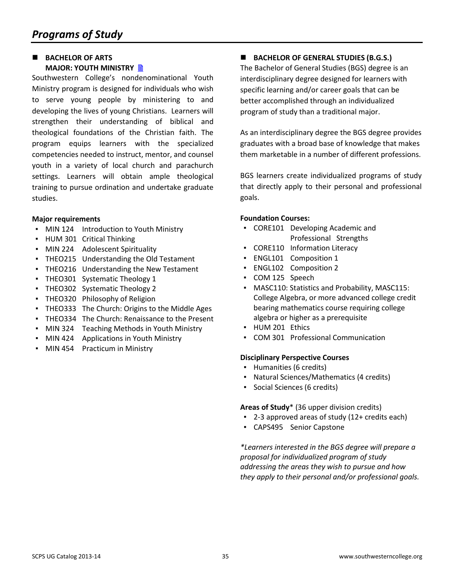### **BACHELOR OF ARTS MAJOR: YOUTH MINISTRY**

Southwestern College's nondenominational Youth Ministry program is designed for individuals who wish to serve young people by ministering to and developing the lives of young Christians. Learners will strengthen their understanding of biblical and theological foundations of the Christian faith. The program equips learners with the specialized competencies needed to instruct, mentor, and counsel youth in a variety of local church and parachurch settings. Learners will obtain ample theological training to pursue ordination and undertake graduate studies.

## **Major requirements**

- MIN 124 Introduction to Youth Ministry
- HUM 301 Critical Thinking
- MIN 224 Adolescent Spirituality
- THEO215 Understanding the Old Testament
- **THEO216 Understanding the New Testament**
- THEO301 Systematic Theology 1
- THEO302 Systematic Theology 2
- THEO320 Philosophy of Religion
- THEO333 The Church: Origins to the Middle Ages
- THEO334 The Church: Renaissance to the Present
- MIN 324 Teaching Methods in Youth Ministry
- MIN 424 Applications in Youth Ministry
- MIN 454 Practicum in Ministry

 **BACHELOR OF GENERAL STUDIES (B.G.S.)** The Bachelor of General Studies (BGS) degree is an interdisciplinary degree designed for learners with specific learning and/or career goals that can be better accomplished through an individualized program of study than a traditional major.

As an interdisciplinary degree the BGS degree provides graduates with a broad base of knowledge that makes them marketable in a number of different professions.

BGS learners create individualized programs of study that directly apply to their personal and professional goals.

## **Foundation Courses:**

- CORE101 Developing Academic and Professional Strengths
- CORE110 Information Literacy
- ENGL101 Composition 1
- ENGL102 Composition 2
- COM 125 Speech
- MASC110: Statistics and Probability, MASC115: College Algebra, or more advanced college credit bearing mathematics course requiring college algebra or higher as a prerequisite
- HUM 201 Ethics
- COM 301 Professional Communication

## **Disciplinary Perspective Courses**

- Humanities (6 credits)
- Natural Sciences/Mathematics (4 credits)
- Social Sciences (6 credits)

**Areas of Study**\* (36 upper division credits)

- 2-3 approved areas of study (12+ credits each)
- CAPS495 Senior Capstone

*\*Learners interested in the BGS degree will prepare a proposal for individualized program of study addressing the areas they wish to pursue and how they apply to their personal and/or professional goals.*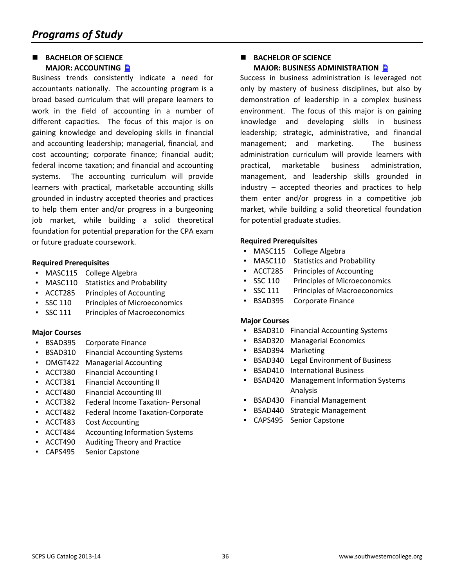#### **BACHELOR OF SCIENCE MAJOR: ACCOUNTING**

Business trends consistently indicate a need for accountants nationally. The accounting program is a broad based curriculum that will prepare learners to work in the field of accounting in a number of different capacities. The focus of this major is on gaining knowledge and developing skills in financial and accounting leadership; managerial, financial, and cost accounting; corporate finance; financial audit; federal income taxation; and financial and accounting systems. The accounting curriculum will provide learners with practical, marketable accounting skills grounded in industry accepted theories and practices to help them enter and/or progress in a burgeoning job market, while building a solid theoretical foundation for potential preparation for the CPA exam or future graduate coursework.

#### **Required Prerequisites**

- MASC115 College Algebra
- MASC110 Statistics and Probability
- ACCT285 Principles of Accounting
- SSC 110 Principles of Microeconomics
- SSC 111 Principles of Macroeconomics

#### **Major Courses**

- BSAD395 Corporate Finance
- **BSAD310** Financial Accounting Systems
- OMGT422 Managerial Accounting
- ACCT380 Financial Accounting I
- ACCT381 Financial Accounting II
- ACCT480 Financial Accounting III
- ACCT382 Federal Income Taxation- Personal
- ACCT482 Federal Income Taxation-Corporate
- ACCT483 Cost Accounting
- ACCT484 Accounting Information Systems
- ACCT490 Auditing Theory and Practice
- CAPS495 Senior Capstone

### **BACHELOR OF SCIENCE MAJOR: BUSINESS ADMINISTRATION**

Success in business administration is leveraged not only by mastery of business disciplines, but also by demonstration of leadership in a complex business environment. The focus of this major is on gaining knowledge and developing skills in business leadership; strategic, administrative, and financial management; and marketing. The business administration curriculum will provide learners with practical, marketable business administration, management, and leadership skills grounded in industry – accepted theories and practices to help them enter and/or progress in a competitive job market, while building a solid theoretical foundation for potential graduate studies.

#### **Required Prerequisites**

- MASC115 College Algebra
- MASC110 Statistics and Probability
- ACCT285 Principles of Accounting
- SSC 110 Principles of Microeconomics
- SSC 111 Principles of Macroeconomics
- **BSAD395** Corporate Finance

- **BSAD310 Financial Accounting Systems**
- **BSAD320** Managerial Economics
- BSAD394 Marketing
- BSAD340 Legal Environment of Business
- **BSAD410** International Business
- **BSAD420** Management Information Systems Analysis
- BSAD430 Financial Management
- BSAD440 Strategic Management
- CAPS495 Senior Capstone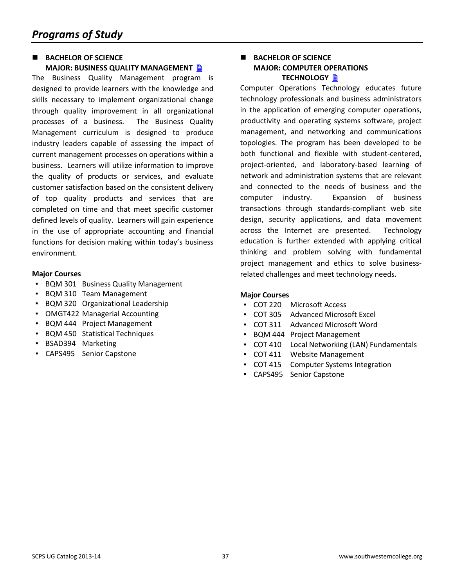#### **BACHELOR OF SCIENCE MAJOR: BUSINESS QUALITY MANAGEMENT**

The Business Quality Management program is designed to provide learners with the knowledge and skills necessary to implement organizational change through quality improvement in all organizational processes of a business. The Business Quality Management curriculum is designed to produce industry leaders capable of assessing the impact of current management processes on operations within a business. Learners will utilize information to improve the quality of products or services, and evaluate customer satisfaction based on the consistent delivery of top quality products and services that are completed on time and that meet specific customer defined levels of quality. Learners will gain experience in the use of appropriate accounting and financial functions for decision making within today's business environment.

#### **Major Courses**

- BQM 301 Business Quality Management
- BQM 310 Team Management
- BQM 320 Organizational Leadership
- OMGT422 Managerial Accounting
- BQM 444 Project Management
- BQM 450 Statistical Techniques
- BSAD394 Marketing
- CAPS495 Senior Capstone

## **BACHELOR OF SCIENCE MAJOR: COMPUTER OPERATIONS TECHNOLOGY** ■

Computer Operations Technology educates future technology professionals and business administrators in the application of emerging computer operations, productivity and operating systems software, project management, and networking and communications topologies. The program has been developed to be both functional and flexible with student-centered, project-oriented, and laboratory-based learning of network and administration systems that are relevant and connected to the needs of business and the computer industry. Expansion of business transactions through standards-compliant web site design, security applications, and data movement across the Internet are presented. Technology education is further extended with applying critical thinking and problem solving with fundamental project management and ethics to solve businessrelated challenges and meet technology needs.

- COT 220 Microsoft Access
- COT 305 Advanced Microsoft Excel
- COT 311 Advanced Microsoft Word
- BQM 444 Project Management
- COT 410 Local Networking (LAN) Fundamentals
- COT 411 Website Management
- COT 415 Computer Systems Integration
- CAPS495 Senior Capstone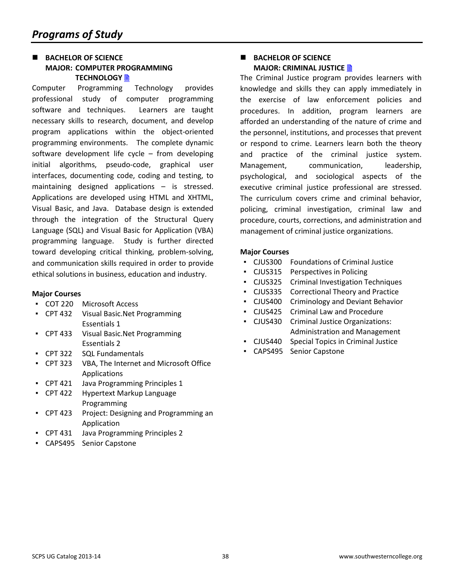## **BACHELOR OF SCIENCE MAJOR: COMPUTER PROGRAMMING TECHNOLOGY**

Computer Programming Technology provides professional study of computer programming software and techniques. Learners are taught necessary skills to research, document, and develop program applications within the object-oriented programming environments. The complete dynamic software development life cycle  $-$  from developing initial algorithms, pseudo-code, graphical user interfaces, documenting code, coding and testing, to maintaining designed applications – is stressed. Applications are developed using HTML and XHTML, Visual Basic, and Java. Database design is extended through the integration of the Structural Query Language (SQL) and Visual Basic for Application (VBA) programming language. Study is further directed toward developing critical thinking, problem-solving, and communication skills required in order to provide ethical solutions in business, education and industry.

#### **Major Courses**

- COT 220 Microsoft Access
- CPT 432 Visual Basic.Net Programming Essentials 1
- CPT 433 Visual Basic.Net Programming Essentials 2
- CPT 322 SQL Fundamentals
- CPT 323 VBA, The Internet and Microsoft Office Applications
- CPT 421 Java Programming Principles 1
- CPT 422 Hypertext Markup Language Programming
- CPT 423 Project: Designing and Programming an Application
- CPT 431 Java Programming Principles 2
- CAPS495 Senior Capstone

## **BACHELOR OF SCIENCE MAJOR: CRIMINAL JUSTICE**

The Criminal Justice program provides learners with knowledge and skills they can apply immediately in the exercise of law enforcement policies and procedures. In addition, program learners are afforded an understanding of the nature of crime and the personnel, institutions, and processes that prevent or respond to crime. Learners learn both the theory and practice of the criminal justice system. Management, communication, leadership, psychological, and sociological aspects of the executive criminal justice professional are stressed. The curriculum covers crime and criminal behavior, policing, criminal investigation, criminal law and procedure, courts, corrections, and administration and management of criminal justice organizations.

- CJUS300 Foundations of Criminal Justice
- CJUS315 Perspectives in Policing
- CJUS325 Criminal Investigation Techniques
- CJUS335 Correctional Theory and Practice
- CJUS400 Criminology and Deviant Behavior
- CJUS425 Criminal Law and Procedure
- CJUS430 Criminal Justice Organizations: Administration and Management
- CJUS440 Special Topics in Criminal Justice
- CAPS495 Senior Capstone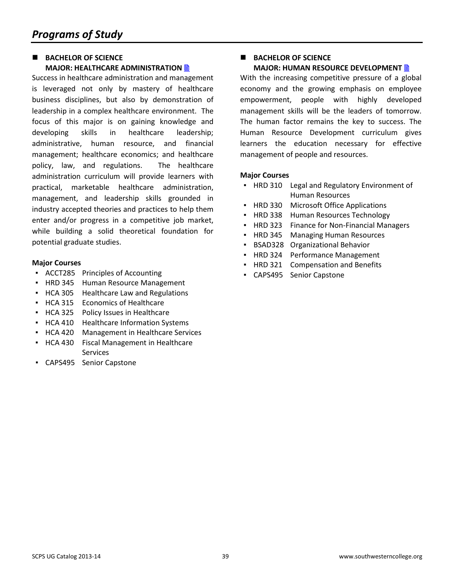## **BACHELOR OF SCIENCE MAJOR: HEALTHCARE ADMINISTRATION**

Success in healthcare administration and management is leveraged not only by mastery of healthcare business disciplines, but also by demonstration of leadership in a complex healthcare environment. The focus of this major is on gaining knowledge and developing skills in healthcare leadership; administrative, human resource, and financial management; healthcare economics; and healthcare policy, law, and regulations. The healthcare administration curriculum will provide learners with practical, marketable healthcare administration, management, and leadership skills grounded in industry accepted theories and practices to help them enter and/or progress in a competitive job market, while building a solid theoretical foundation for potential graduate studies.

## **Major Courses**

- ACCT285 Principles of Accounting
- HRD 345 Human Resource Management
- HCA 305 Healthcare Law and Regulations
- HCA 315 Economics of Healthcare
- HCA 325 Policy Issues in Healthcare
- HCA 410 Healthcare Information Systems
- HCA 420 Management in Healthcare Services
- HCA 430 Fiscal Management in Healthcare Services
- CAPS495 Senior Capstone

### **BACHELOR OF SCIENCE MAJOR: HUMAN RESOURCE DEVELOPMENT**

With the increasing competitive pressure of a global economy and the growing emphasis on employee empowerment, people with highly developed management skills will be the leaders of tomorrow. The human factor remains the key to success. The Human Resource Development curriculum gives learners the education necessary for effective management of people and resources.

- HRD 310 Legal and Regulatory Environment of Human Resources
- HRD 330 Microsoft Office Applications
- **HRD 338 Human Resources Technology**
- HRD 323 Finance for Non-Financial Managers
- **HRD 345 Managing Human Resources**
- BSAD328 Organizational Behavior
- HRD 324 Performance Management
- **HRD 321 Compensation and Benefits**
- CAPS495 Senior Capstone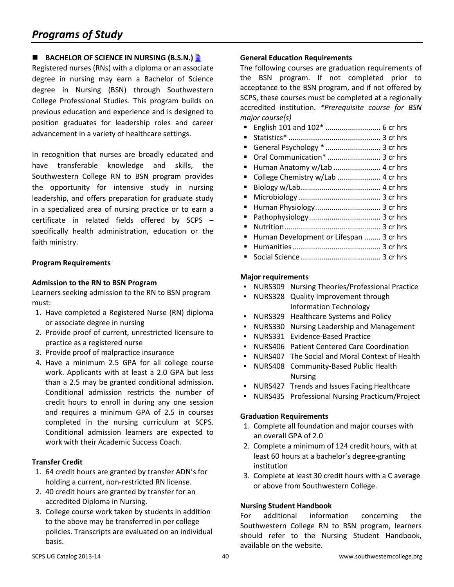## **BACHELOR OF SCIENCE IN NURSING (B.S.N.)**

Registered nurses (RNs) with a diploma or an associate degree in nursing may earn a Bachelor of Science degree in Nursing (BSN) through Southwestern College Professional Studies. This program builds on previous education and experience and is designed to position graduates for leadership roles and career advancement in a variety of healthcare settings.

In recognition that nurses are broadly educated and have transferable knowledge and skills, the Southwestern College RN to BSN program provides the opportunity for intensive study in nursing leadership, and offers preparation for graduate study in a specialized area of nursing practice or to earn a certificate in related fields offered by SCPS – specifically health administration, education or the faith ministry.

## **Program Requirements**

#### **Admission to the RN to BSN Program**

Learners seeking admission to the RN to BSN program must:

- 1. Have completed a Registered Nurse (RN) diploma or associate degree in nursing
- 2. Provide proof of current, unrestricted licensure to practice as a registered nurse
- 3. Provide proof of malpractice insurance
- 4. Have a minimum 2.5 GPA for all college course work. Applicants with at least a 2.0 GPA but less than a 2.5 may be granted conditional admission. Conditional admission restricts the number of credit hours to enroll in during any one session and requires a minimum GPA of 2.5 in courses completed in the nursing curriculum at SCPS. Conditional admission learners are expected to work with their Academic Success Coach.

## **Transfer Credit**

- 1. 64 credit hours are granted by transfer ADN's for holding a current, non-restricted RN license.
- 2. 40 credit hours are granted by transfer for an accredited Diploma in Nursing.
- 3. College course work taken by students in addition to the above may be transferred in per college policies. Transcripts are evaluated on an individual basis.

#### **General Education Requirements**

The following courses are graduation requirements of the BSN program. If not completed prior to acceptance to the BSN program, and if not offered by SCPS, these courses must be completed at a regionally accredited institution. *\*Prerequisite course for BSN major course(s)*

- English 101 and 102\* ........................... 6 cr hrs
- Statistics\* ............................................. 3 cr hrs
- General Psychology \*........................... 3 cr hrs
- Oral Communication<sup>\*</sup> ................................ 3 cr hrs
- Human Anatomy w/Lab .......................... 4 cr hrs
- College Chemistry w/Lab ........................... 4 cr hrs
- Biology w/Lab....................................... 4 cr hrs
- Microbiology ........................................ 3 cr hrs
- Human Physiology................................ 3 cr hrs
- Pathophysiology................................... 3 cr hrs
- Nutrition............................................... 3 cr hrs
- Human Development *or* Lifespan ........ 3 cr hrs
- Humanities........................................... 3 cr hrs
- Social Science ....................................... 3 cr hrs

#### **Major requirements**

- NURS309 Nursing Theories/Professional Practice
- NURS328 Quality Improvement through Information Technology
- NURS329 Healthcare Systems and Policy
- NURS330 Nursing Leadership and Management
- NURS331 Evidence-Based Practice
- NURS406 Patient Centered Care Coordination
- NURS407 The Social and Moral Context of Health
- NURS408 Community-Based Public Health Nursing
- NURS427 Trends and Issues Facing Healthcare
- NURS435 Professional Nursing Practicum/Project

## **Graduation Requirements**

- 1. Complete all foundation and major courses with an overall GPA of 2.0
- 2. Complete a minimum of 124 credit hours, with at least 60 hours at a bachelor's degree-granting institution
- 3. Complete at least 30 credit hours with a C average or above from Southwestern College.

## **Nursing Student Handbook**

For additional information concerning the Southwestern College RN to BSN program, learners should refer to the Nursing Student Handbook, available on the website.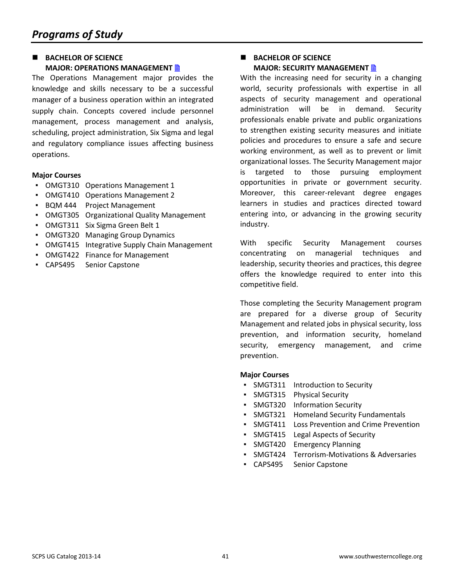## **BACHELOR OF SCIENCE MAJOR: OPERATIONS MANAGEMENT**

The Operations Management major provides the knowledge and skills necessary to be a successful manager of a business operation within an integrated supply chain. Concepts covered include personnel management, process management and analysis, scheduling, project administration, Six Sigma and legal and regulatory compliance issues affecting business operations.

## **Major Courses**

- OMGT310 Operations Management 1
- OMGT410 Operations Management 2
- BQM 444 Project Management
- OMGT305 Organizational Quality Management
- OMGT311 Six Sigma Green Belt 1
- **OMGT320 Managing Group Dynamics**
- OMGT415 Integrative Supply Chain Management
- OMGT422 Finance for Management
- CAPS495 Senior Capstone

## **BACHELOR OF SCIENCE MAJOR: SECURITY MANAGEMENT**

With the increasing need for security in a changing world, security professionals with expertise in all aspects of security management and operational administration will be in demand. Security professionals enable private and public organizations to strengthen existing security measures and initiate policies and procedures to ensure a safe and secure working environment, as well as to prevent or limit organizational losses. The Security Management major is targeted to those pursuing employment opportunities in private or government security. Moreover, this career-relevant degree engages learners in studies and practices directed toward entering into, or advancing in the growing security industry.

With specific Security Management courses concentrating on managerial techniques and leadership, security theories and practices, this degree offers the knowledge required to enter into this competitive field.

Those completing the Security Management program are prepared for a diverse group of Security Management and related jobs in physical security, loss prevention, and information security, homeland security, emergency management, and crime prevention.

- SMGT311 Introduction to Security
- SMGT315 Physical Security
- SMGT320 Information Security
- **SMGT321** Homeland Security Fundamentals
- SMGT411 Loss Prevention and Crime Prevention
- SMGT415 Legal Aspects of Security
- SMGT420 Emergency Planning
- SMGT424 Terrorism-Motivations & Adversaries
- CAPS495 Senior Capstone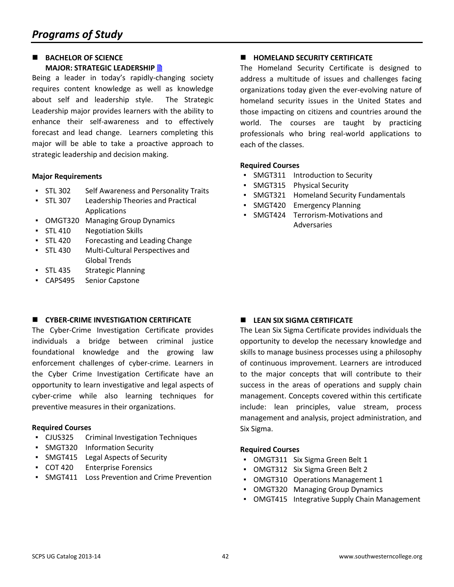## **BACHELOR OF SCIENCE MAJOR: STRATEGIC LEADERSHIP**

Being a leader in today's rapidly-changing society requires content knowledge as well as knowledge about self and leadership style. The Strategic Leadership major provides learners with the ability to enhance their self-awareness and to effectively forecast and lead change. Learners completing this major will be able to take a proactive approach to strategic leadership and decision making.

#### **Major Requirements**

- STL 302 Self Awareness and Personality Traits
- STL 307 Leadership Theories and Practical Applications
- OMGT320 Managing Group Dynamics
- STL 410 Negotiation Skills
- STL 420 Forecasting and Leading Change
- STL 430 Multi-Cultural Perspectives and Global Trends
- STL 435 Strategic Planning
- CAPS495 Senior Capstone

## **E** CYBER-CRIME INVESTIGATION CERTIFICATE

The Cyber-Crime Investigation Certificate provides individuals a bridge between criminal justice foundational knowledge and the growing law enforcement challenges of cyber-crime. Learners in the Cyber Crime Investigation Certificate have an opportunity to learn investigative and legal aspects of cyber-crime while also learning techniques for preventive measures in their organizations.

## **Required Courses**

- CJUS325 Criminal Investigation Techniques
- SMGT320 Information Security
- SMGT415 Legal Aspects of Security
- COT 420 Enterprise Forensics
- SMGT411 Loss Prevention and Crime Prevention

#### **HOMELAND SECURITY CERTIFICATE**

The Homeland Security Certificate is designed to address a multitude of issues and challenges facing organizations today given the ever-evolving nature of homeland security issues in the United States and those impacting on citizens and countries around the world. The courses are taught by practicing professionals who bring real-world applications to each of the classes.

#### **Required Courses**

- SMGT311 Introduction to Security
- SMGT315 Physical Security
- SMGT321 Homeland Security Fundamentals
- SMGT420 Emergency Planning
- SMGT424 Terrorism-Motivations and Adversaries

## **LEAN SIX SIGMA CERTIFICATE**

The Lean Six Sigma Certificate provides individuals the opportunity to develop the necessary knowledge and skills to manage business processes using a philosophy of continuous improvement. Learners are introduced to the major concepts that will contribute to their success in the areas of operations and supply chain management. Concepts covered within this certificate include: lean principles, value stream, process management and analysis, project administration, and Six Sigma.

#### **Required Courses**

- OMGT311 Six Sigma Green Belt 1
- OMGT312 Six Sigma Green Belt 2
- OMGT310 Operations Management 1
- OMGT320 Managing Group Dynamics
- OMGT415 Integrative Supply Chain Management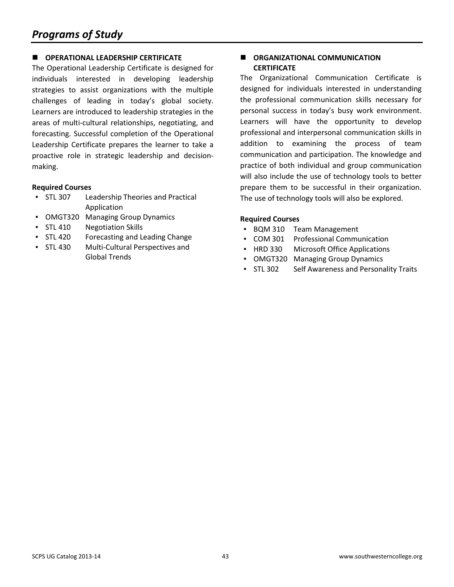## **OPERATIONAL LEADERSHIP CERTIFICATE**

The Operational Leadership Certificate is designed for individuals interested in developing leadership strategies to assist organizations with the multiple challenges of leading in today's global society. Learners are introduced to leadership strategies in the areas of multi-cultural relationships, negotiating, and forecasting. Successful completion of the Operational Leadership Certificate prepares the learner to take a proactive role in strategic leadership and decisionmaking.

#### **Required Courses**

- STL 307 Leadership Theories and Practical Application
- OMGT320 Managing Group Dynamics
- STL 410 Negotiation Skills
- STL 420 Forecasting and Leading Change
- STL 430 Multi-Cultural Perspectives and Global Trends

## **ORGANIZATIONAL COMMUNICATION CERTIFICATE**

The Organizational Communication Certificate is designed for individuals interested in understanding the professional communication skills necessary for personal success in today's busy work environment. Learners will have the opportunity to develop professional and interpersonal communication skills in addition to examining the process of team communication and participation. The knowledge and practice of both individual and group communication will also include the use of technology tools to better prepare them to be successful in their organization. The use of technology tools will also be explored.

#### **Required Courses**

- BQM 310 Team Management
- COM 301 Professional Communication
- HRD 330 Microsoft Office Applications
- OMGT320 Managing Group Dynamics
- STL 302 Self Awareness and Personality Traits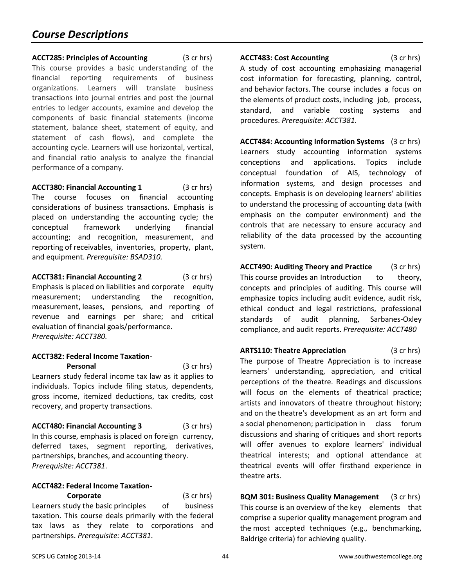<span id="page-43-0"></span>**ACCT285: Principles of Accounting** (3 cr hrs) This course provides a basic understanding of the financial reporting requirements of business organizations. Learners will translate business transactions into journal entries and post the journal entries to ledger accounts, examine and develop the components of basic financial statements (income statement, balance sheet, statement of equity, and statement of cash flows), and complete the accounting cycle. Learners will use horizontal, vertical, and financial ratio analysis to analyze the financial performance of a company.

**ACCT380: Financial Accounting 1** (3 cr hrs) The course focuses on financial accounting considerations of business transactions. Emphasis is placed on understanding the accounting cycle; the conceptual framework underlying financial accounting; and recognition, measurement, and reporting of receivables, inventories, property, plant, and equipment. *Prerequisite: BSAD310.*

**ACCT381: Financial Accounting 2** (3 cr hrs) Emphasis is placed on liabilities and corporate equity measurement; understanding the recognition, measurement, leases, pensions, and reporting of revenue and earnings per share; and critical evaluation of financial goals/performance. *Prerequisite: ACCT380.*

## **ACCT382: Federal Income Taxation-**

**Personal** (3 cr hrs) Learners study federal income tax law as it applies to individuals. Topics include filing status, dependents, gross income, itemized deductions, tax credits, cost recovery, and property transactions.

**ACCT480: Financial Accounting 3** (3 cr hrs) In this course, emphasis is placed on foreign currency, deferred taxes, segment reporting, derivatives, partnerships, branches, and accounting theory. *Prerequisite: ACCT381*.

## **ACCT482: Federal Income Taxation-**

**Corporate** (3 cr hrs) Learners study the basic principles of business taxation. This course deals primarily with the federal tax laws as they relate to corporations and partnerships. *Prerequisite: ACCT381*.

**ACCT483: Cost Accounting** (3 cr hrs) A study of cost accounting emphasizing managerial cost information for forecasting, planning, control, and behavior factors. The course includes a focus on the elements of product costs, including job, process, standard, and variable costing systems and procedures. *Prerequisite: ACCT381.*

**ACCT484: Accounting Information Systems** (3 cr hrs) Learners study accounting information systems conceptions and applications. Topics include conceptual foundation of AIS, technology of information systems, and design processes and concepts. Emphasis is on developing learners' abilities to understand the processing of accounting data (with emphasis on the computer environment) and the controls that are necessary to ensure accuracy and reliability of the data processed by the accounting system.

**ACCT490: Auditing Theory and Practice** (3 cr hrs) This course provides an Introduction to theory, concepts and principles of auditing. This course will emphasize topics including audit evidence, audit risk, ethical conduct and legal restrictions, professional standards of audit planning, Sarbanes-Oxley compliance, and audit reports. *Prerequisite: ACCT480*

**ARTS110: Theatre Appreciation** (3 cr hrs) The purpose of Theatre Appreciation is to increase learners' understanding, appreciation, and critical perceptions of the theatre. Readings and discussions will focus on the elements of theatrical practice; artists and innovators of theatre throughout history; and on the theatre's development as an art form and a social phenomenon; participation in class forum discussions and sharing of critiques and short reports will offer avenues to explore learners' individual theatrical interests; and optional attendance at theatrical events will offer firsthand experience in theatre arts.

<span id="page-43-1"></span>**BQM 301: Business Quality Management** (3 cr hrs) This course is an overview of the key elements that comprise a superior quality management program and the most accepted techniques (e.g., benchmarking, Baldrige criteria) for achieving quality.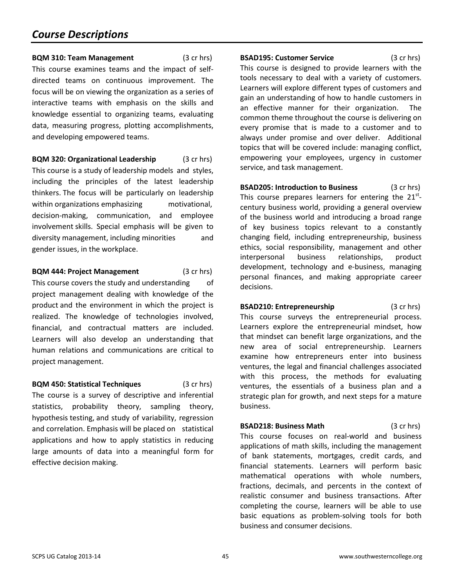**BQM 310: Team Management** (3 cr hrs) This course examines teams and the impact of selfdirected teams on continuous improvement. The focus will be on viewing the organization as a series of interactive teams with emphasis on the skills and knowledge essential to organizing teams, evaluating data, measuring progress, plotting accomplishments, and developing empowered teams.

**BQM 320: Organizational Leadership** (3 cr hrs) This course is a study of leadership models and styles, including the principles of the latest leadership thinkers. The focus will be particularly on leadership within organizations emphasizing motivational, decision-making, communication, and employee involvement skills. Special emphasis will be given to diversity management, including minorities and gender issues, in the workplace.

#### **BQM 444: Project Management** (3 cr hrs)

This course covers the study and understanding of project management dealing with knowledge of the product and the environment in which the project is realized. The knowledge of technologies involved, financial, and contractual matters are included. Learners will also develop an understanding that human relations and communications are critical to project management.

**BQM 450: Statistical Techniques** (3 cr hrs) The course is a survey of descriptive and inferential statistics, probability theory, sampling theory, hypothesis testing, and study of variability, regression and correlation. Emphasis will be placed on statistical applications and how to apply statistics in reducing large amounts of data into a meaningful form for effective decision making.

<span id="page-44-0"></span>**BSAD195: Customer Service** (3 cr hrs) This course is designed to provide learners with the tools necessary to deal with a variety of customers. Learners will explore different types of customers and gain an understanding of how to handle customers in an effective manner for their organization. The common theme throughout the course is delivering on every promise that is made to a customer and to always under promise and over deliver. Additional topics that will be covered include: managing conflict, empowering your employees, urgency in customer service, and task management.

**BSAD205: Introduction to Business** (3 cr hrs) This course prepares learners for entering the  $21^{st}$ century business world, providing a general overview of the business world and introducing a broad range of key business topics relevant to a constantly changing field, including entrepreneurship, business ethics, social responsibility, management and other interpersonal business relationships, product development, technology and e-business, managing personal finances, and making appropriate career decisions.

**BSAD210: Entrepreneurship** (3 cr hrs) This course surveys the entrepreneurial process. Learners explore the entrepreneurial mindset, how that mindset can benefit large organizations, and the new area of social entrepreneurship. Learners examine how entrepreneurs enter into business ventures, the legal and financial challenges associated with this process, the methods for evaluating ventures, the essentials of a business plan and a strategic plan for growth, and next steps for a mature business.

**BSAD218: Business Math** (3 cr hrs) This course focuses on real-world and business applications of math skills, including the management of bank statements, mortgages, credit cards, and financial statements. Learners will perform basic mathematical operations with whole numbers, fractions, decimals, and percents in the context of realistic consumer and business transactions. After completing the course, learners will be able to use basic equations as problem-solving tools for both business and consumer decisions.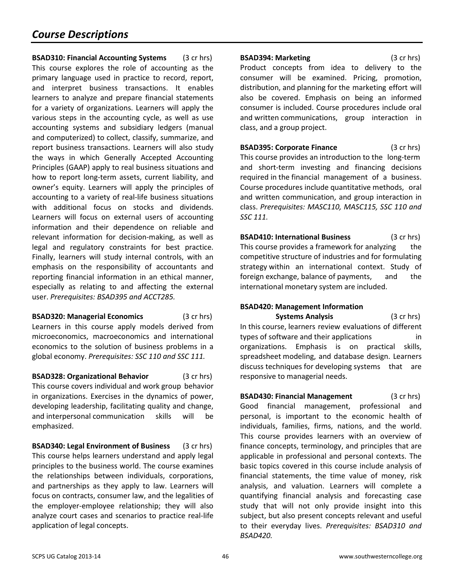**BSAD310: Financial Accounting Systems** (3 cr hrs) This course explores the role of accounting as the primary language used in practice to record, report, and interpret business transactions. It enables learners to analyze and prepare financial statements for a variety of organizations. Learners will apply the various steps in the accounting cycle, as well as use accounting systems and subsidiary ledgers (manual and computerized) to collect, classify, summarize, and report business transactions. Learners will also study the ways in which Generally Accepted Accounting Principles (GAAP) apply to real business situations and how to report long-term assets, current liability, and owner's equity. Learners will apply the principles of accounting to a variety of real-life business situations with additional focus on stocks and dividends. Learners will focus on external users of accounting information and their dependence on reliable and relevant information for decision-making, as well as legal and regulatory constraints for best practice. Finally, learners will study internal controls, with an emphasis on the responsibility of accountants and reporting financial information in an ethical manner, especially as relating to and affecting the external user. *Prerequisites: BSAD395 and ACCT285.*

**BSAD320: Managerial Economics** (3 cr hrs) Learners in this course apply models derived from microeconomics, macroeconomics and international economics to the solution of business problems in a global economy. *Prerequisites: SSC 110 and SSC 111.*

**BSAD328: Organizational Behavior** (3 cr hrs) This course covers individual and work group behavior in organizations. Exercises in the dynamics of power, developing leadership, facilitating quality and change, and interpersonal communication skills will be emphasized.

**BSAD340: Legal Environment of Business** (3 cr hrs) This course helps learners understand and apply legal principles to the business world. The course examines the relationships between individuals, corporations, and partnerships as they apply to law. Learners will focus on contracts, consumer law, and the legalities of the employer-employee relationship; they will also analyze court cases and scenarios to practice real-life application of legal concepts.

**BSAD394: Marketing** (3 cr hrs) Product concepts from idea to delivery to the consumer will be examined. Pricing, promotion, distribution, and planning for the marketing effort will also be covered. Emphasis on being an informed consumer is included. Course procedures include oral and written communications, group interaction in class, and a group project.

**BSAD395: Corporate Finance** (3 cr hrs) This course provides an introduction to the long-term and short-term investing and financing decisions required in the financial management of a business. Course procedures include quantitative methods, oral and written communication, and group interaction in class. *Prerequisites: MASC110, MASC115, SSC 110 and SSC 111.*

**BSAD410: International Business** (3 cr hrs) This course provides a framework for analyzing the competitive structure of industries and for formulating strategy within an international context. Study of foreign exchange, balance of payments, and the international monetary system are included.

## **BSAD420: Management Information**

**Systems Analysis** (3 cr hrs) In this course, learners review evaluations of different types of software and their applications organizations. Emphasis is on practical skills, spreadsheet modeling, and database design. Learners discuss techniques for developing systems that are responsive to managerial needs.

**BSAD430: Financial Management** (3 cr hrs) Good financial management, professional and personal, is important to the economic health of individuals, families, firms, nations, and the world. This course provides learners with an overview of finance concepts, terminology, and principles that are applicable in professional and personal contexts. The basic topics covered in this course include analysis of financial statements, the time value of money, risk analysis, and valuation. Learners will complete a quantifying financial analysis and forecasting case study that will not only provide insight into this subject, but also present concepts relevant and useful to their everyday lives. *Prerequisites: BSAD310 and BSAD420.*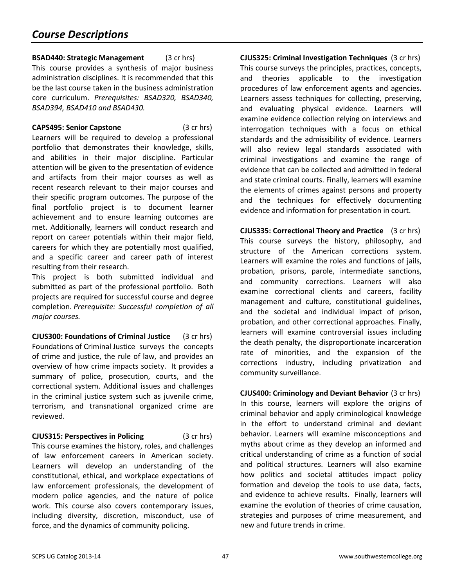**BSAD440: Strategic Management** (3 cr hrs) This course provides a synthesis of major business administration disciplines. It is recommended that this be the last course taken in the business administration core curriculum. *Prerequisites: BSAD320, BSAD340, BSAD394, BSAD410 and BSAD430.*

**CAPS495: Senior Capstone** (3 cr hrs) Learners will be required to develop a professional portfolio that demonstrates their knowledge, skills, and abilities in their major discipline. Particular attention will be given to the presentation of evidence and artifacts from their major courses as well as recent research relevant to their major courses and their specific program outcomes. The purpose of the final portfolio project is to document learner achievement and to ensure learning outcomes are met. Additionally, learners will conduct research and report on career potentials within their major field, careers for which they are potentially most qualified, and a specific career and career path of interest resulting from their research.

This project is both submitted individual and submitted as part of the professional portfolio. Both projects are required for successful course and degree completion. *Prerequisite: Successful completion of all major courses.*

<span id="page-46-0"></span>**CJUS300: Foundations of Criminal Justice** (3 cr hrs) Foundations of Criminal Justice surveys the concepts of crime and justice, the rule of law, and provides an overview of how crime impacts society. It provides a summary of police, prosecution, courts, and the correctional system. Additional issues and challenges in the criminal justice system such as juvenile crime, terrorism, and transnational organized crime are reviewed.

**CJUS315: Perspectives in Policing** (3 cr hrs) This course examines the history, roles, and challenges of law enforcement careers in American society. Learners will develop an understanding of the constitutional, ethical, and workplace expectations of law enforcement professionals, the development of modern police agencies, and the nature of police work. This course also covers contemporary issues, including diversity, discretion, misconduct, use of force, and the dynamics of community policing.

**CJUS325: Criminal Investigation Techniques** (3 cr hrs) This course surveys the principles, practices, concepts, and theories applicable to the investigation procedures of law enforcement agents and agencies. Learners assess techniques for collecting, preserving, and evaluating physical evidence. Learners will examine evidence collection relying on interviews and interrogation techniques with a focus on ethical standards and the admissibility of evidence. Learners will also review legal standards associated with criminal investigations and examine the range of evidence that can be collected and admitted in federal and state criminal courts. Finally, learners will examine the elements of crimes against persons and property and the techniques for effectively documenting evidence and information for presentation in court.

**CJUS335: Correctional Theory and Practice** (3 cr hrs) This course surveys the history, philosophy, and structure of the American corrections system. Learners will examine the roles and functions of jails, probation, prisons, parole, intermediate sanctions, and community corrections. Learners will also examine correctional clients and careers, facility management and culture, constitutional guidelines, and the societal and individual impact of prison, probation, and other correctional approaches. Finally, learners will examine controversial issues including the death penalty, the disproportionate incarceration rate of minorities, and the expansion of the corrections industry, including privatization and community surveillance.

**CJUS400: Criminology and Deviant Behavior** (3 cr hrs) In this course, learners will explore the origins of criminal behavior and apply criminological knowledge in the effort to understand criminal and deviant behavior. Learners will examine misconceptions and myths about crime as they develop an informed and critical understanding of crime as a function of social and political structures. Learners will also examine how politics and societal attitudes impact policy formation and develop the tools to use data, facts, and evidence to achieve results. Finally, learners will examine the evolution of theories of crime causation, strategies and purposes of crime measurement, and new and future trends in crime.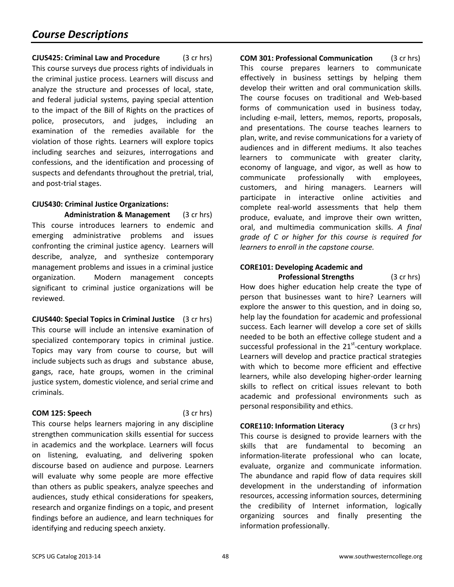**CJUS425: Criminal Law and Procedure** (3 cr hrs) This course surveys due process rights of individuals in the criminal justice process. Learners will discuss and analyze the structure and processes of local, state, and federal judicial systems, paying special attention to the impact of the Bill of Rights on the practices of police, prosecutors, and judges, including an examination of the remedies available for the violation of those rights. Learners will explore topics including searches and seizures, interrogations and confessions, and the identification and processing of suspects and defendants throughout the pretrial, trial, and post-trial stages.

## **CJUS430: Criminal Justice Organizations:**

**Administration & Management** (3 cr hrs) This course introduces learners to endemic and emerging administrative problems and issues confronting the criminal justice agency. Learners will describe, analyze, and synthesize contemporary management problems and issues in a criminal justice organization. Modern management concepts significant to criminal justice organizations will be reviewed.

**CJUS440: Special Topics in Criminal Justice** (3 cr hrs) This course will include an intensive examination of specialized contemporary topics in criminal justice. Topics may vary from course to course, but will include subjects such as drugs and substance abuse, gangs, race, hate groups, women in the criminal justice system, domestic violence, and serial crime and criminals.

## **COM 125: Speech** (3 cr hrs)

This course helps learners majoring in any discipline strengthen communication skills essential for success in academics and the workplace. Learners will focus on listening, evaluating, and delivering spoken discourse based on audience and purpose. Learners will evaluate why some people are more effective than others as public speakers, analyze speeches and audiences, study ethical considerations for speakers, research and organize findings on a topic, and present findings before an audience, and learn techniques for identifying and reducing speech anxiety.

**COM 301: Professional Communication** (3 cr hrs) This course prepares learners to communicate effectively in business settings by helping them develop their written and oral communication skills. The course focuses on traditional and Web-based forms of communication used in business today, including e-mail, letters, memos, reports, proposals, and presentations. The course teaches learners to plan, write, and revise communications for a variety of audiences and in different mediums. It also teaches learners to communicate with greater clarity, economy of language, and vigor, as well as how to communicate professionally with employees, customers, and hiring managers. Learners will participate in interactive online activities and complete real-world assessments that help them produce, evaluate, and improve their own written, oral, and multimedia communication skills. *A final grade of C or higher for this course is required for learners to enroll in the capstone course.*

## **CORE101: Developing Academic and Professional Strengths** (3 cr hrs)

How does higher education help create the type of person that businesses want to hire? Learners will explore the answer to this question, and in doing so, help lay the foundation for academic and professional success. Each learner will develop a core set of skills needed to be both an effective college student and a successful professional in the  $21<sup>st</sup>$ -century workplace. Learners will develop and practice practical strategies with which to become more efficient and effective learners, while also developing higher-order learning skills to reflect on critical issues relevant to both academic and professional environments such as personal responsibility and ethics.

## **CORE110: Information Literacy** (3 cr hrs)

This course is designed to provide learners with the skills that are fundamental to becoming an information-literate professional who can locate, evaluate, organize and communicate information. The abundance and rapid flow of data requires skill development in the understanding of information resources, accessing information sources, determining the credibility of Internet information, logically organizing sources and finally presenting the information professionally.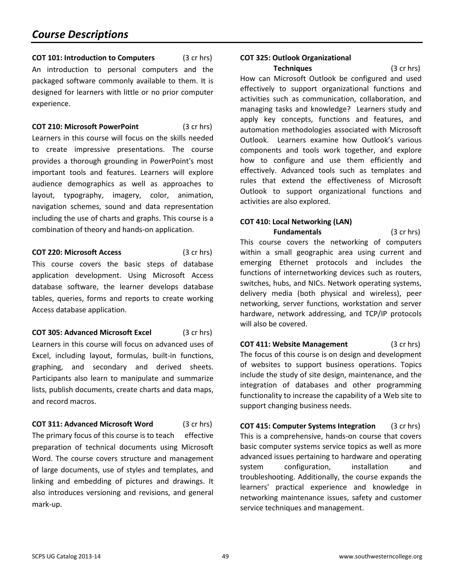<span id="page-48-0"></span>**COT 101: Introduction to Computers** (3 cr hrs) An introduction to personal computers and the packaged software commonly available to them. It is designed for learners with little or no prior computer experience.

**COT 210: Microsoft PowerPoint** (3 cr hrs)

Learners in this course will focus on the skills needed to create impressive presentations. The course provides a thorough grounding in PowerPoint's most important tools and features. Learners will explore audience demographics as well as approaches to layout, typography, imagery, color, animation, navigation schemes, sound and data representation including the use of charts and graphs. This course is a combination of theory and hands-on application.

**COT 220: Microsoft Access** (3 cr hrs)

This course covers the basic steps of database application development. Using Microsoft Access database software, the learner develops database tables, queries, forms and reports to create working Access database application.

**COT 305: Advanced Microsoft Excel** (3 cr hrs) Learners in this course will focus on advanced uses of Excel, including layout, formulas, built-in functions, graphing, and secondary and derived sheets. Participants also learn to manipulate and summarize lists, publish documents, create charts and data maps, and record macros.

**COT 311: Advanced Microsoft Word** (3 cr hrs) The primary focus of this course is to teach effective preparation of technical documents using Microsoft Word. The course covers structure and management of large documents, use of styles and templates, and linking and embedding of pictures and drawings. It also introduces versioning and revisions, and general mark-up.

## **COT 325: Outlook Organizational**

**Techniques** (3 cr hrs) How can Microsoft Outlook be configured and used effectively to support organizational functions and activities such as communication, collaboration, and managing tasks and knowledge? Learners study and apply key concepts, functions and features, and automation methodologies associated with Microsoft Outlook. Learners examine how Outlook's various components and tools work together, and explore how to configure and use them efficiently and effectively. Advanced tools such as templates and rules that extend the effectiveness of Microsoft Outlook to support organizational functions and activities are also explored.

## **COT 410: Local Networking (LAN)**

**Fundamentals** (3 cr hrs) This course covers the networking of computers within a small geographic area using current and emerging Ethernet protocols and includes the functions of internetworking devices such as routers, switches, hubs, and NICs. Network operating systems, delivery media (both physical and wireless), peer networking, server functions, workstation and server hardware, network addressing, and TCP/IP protocols will also be covered.

**COT 411: Website Management** (3 cr hrs) The focus of this course is on design and development of websites to support business operations. Topics include the study of site design, maintenance, and the integration of databases and other programming functionality to increase the capability of a Web site to support changing business needs.

**COT 415: Computer Systems Integration** (3 cr hrs) This is a comprehensive, hands-on course that covers basic computer systems service topics as well as more advanced issues pertaining to hardware and operating system configuration, installation and troubleshooting. Additionally, the course expands the learners' practical experience and knowledge in networking maintenance issues, safety and customer service techniques and management.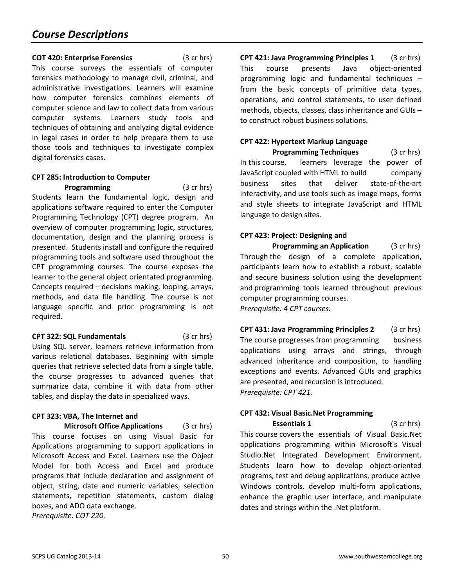## **COT 420: Enterprise Forensics** (3 cr hrs)

This course surveys the essentials of computer forensics methodology to manage civil, criminal, and administrative investigations. Learners will examine how computer forensics combines elements of computer science and law to collect data from various computer systems. Learners study tools and techniques of obtaining and analyzing digital evidence in legal cases in order to help prepare them to use those tools and techniques to investigate complex digital forensics cases.

## <span id="page-49-0"></span>**CPT 285: Introduction to Computer**

**Programming** (3 cr hrs) Students learn the fundamental logic, design and applications software required to enter the Computer Programming Technology (CPT) degree program. An overview of computer programming logic, structures, documentation, design and the planning process is presented. Students install and configure the required programming tools and software used throughout the CPT programming courses. The course exposes the learner to the general object orientated programming. Concepts required – decisions making, looping, arrays, methods, and data file handling. The course is not language specific and prior programming is not required.

## **CPT 322: SQL Fundamentals** (3 cr hrs)

Using SQL server, learners retrieve information from various relational databases. Beginning with simple queries that retrieve selected data from a single table, the course progresses to advanced queries that summarize data, combine it with data from other tables, and display the data in specialized ways.

## **CPT 323: VBA, The Internet and**

**Microsoft Office Applications** (3 cr hrs) This course focuses on using Visual Basic for Applications programming to support applications in Microsoft Access and Excel. Learners use the Object Model for both Access and Excel and produce programs that include declaration and assignment of object, string, date and numeric variables, selection statements, repetition statements, custom dialog boxes, and ADO data exchange. *Prerequisite: COT 220.*

**CPT 421: Java Programming Principles 1** (3 cr hrs) This course presents Java object-oriented programming logic and fundamental techniques – from the basic concepts of primitive data types, operations, and control statements, to user defined methods, objects, classes, class inheritance and GUIs – to construct robust business solutions.

## **CPT 422: Hypertext Markup Language**

**Programming Techniques** (3 cr hrs) In this course, learners leverage the power of JavaScript coupled with HTML to build company business sites that deliver state-of-the-art interactivity, and use tools such as image maps, forms and style sheets to integrate JavaScript and HTML language to design sites.

## **CPT 423: Project: Designing and**

**Programming an Application** (3 cr hrs) Through the design of a complete application, participants learn how to establish a robust, scalable and secure business solution using the development and programming tools learned throughout previous computer programming courses. *Prerequisite: 4 CPT courses.*

**CPT 431: Java Programming Principles 2** (3 cr hrs) The course progresses from programming business applications using arrays and strings, through advanced inheritance and composition, to handling exceptions and events. Advanced GUIs and graphics are presented, and recursion is introduced. *Prerequisite: CPT 421.*

## **CPT 432: Visual Basic.Net Programming**

**Essentials 1** (3 cr hrs) This course covers the essentials of Visual Basic.Net applications programming within Microsoft's Visual Studio.Net Integrated Development Environment. Students learn how to develop object-oriented programs, test and debug applications, produce active Windows controls, develop multi-form applications, enhance the graphic user interface, and manipulate dates and strings within the .Net platform.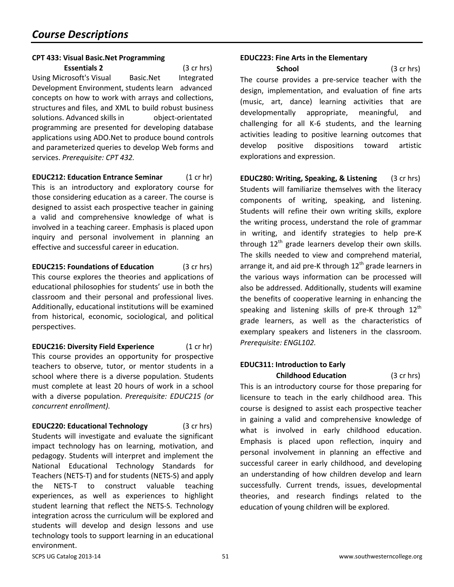## **CPT 433: Visual Basic.Net Programming**

**Essentials 2** (3 cr hrs) Using Microsoft's Visual Basic.Net Integrated Development Environment, students learn advanced concepts on how to work with arrays and collections, structures and files, and XML to build robust business solutions. Advanced skills in object-orientated programming are presented for developing database applications using ADO.Net to produce bound controls and parameterized queries to develop Web forms and services. *Prerequisite: CPT 432.*

<span id="page-50-0"></span>**EDUC212: Education Entrance Seminar** (1 cr hr) This is an introductory and exploratory course for those considering education as a career. The course is designed to assist each prospective teacher in gaining a valid and comprehensive knowledge of what is involved in a teaching career. Emphasis is placed upon inquiry and personal involvement in planning an effective and successful career in education.

**EDUC215: Foundations of Education** (3 cr hrs) This course explores the theories and applications of educational philosophies for students' use in both the classroom and their personal and professional lives. Additionally, educational institutions will be examined from historical, economic, sociological, and political perspectives.

**EDUC216: Diversity Field Experience** (1 cr hr) This course provides an opportunity for prospective teachers to observe, tutor, or mentor students in a school where there is a diverse population. Students must complete at least 20 hours of work in a school with a diverse population. *Prerequisite: EDUC215 (or concurrent enrollment).*

**EDUC220: Educational Technology** (3 cr hrs) Students will investigate and evaluate the significant impact technology has on learning, motivation, and pedagogy. Students will interpret and implement the National Educational Technology Standards for Teachers (NETS-T) and for students (NETS-S) and apply the NETS-T to construct valuable teaching experiences, as well as experiences to highlight student learning that reflect the NETS-S. Technology integration across the curriculum will be explored and students will develop and design lessons and use technology tools to support learning in an educational environment.

## **EDUC223: Fine Arts in the Elementary**

**School** (3 cr hrs) The course provides a pre-service teacher with the design, implementation, and evaluation of fine arts (music, art, dance) learning activities that are developmentally appropriate, meaningful, and challenging for all K-6 students, and the learning activities leading to positive learning outcomes that develop positive dispositions toward artistic explorations and expression.

**EDUC280: Writing, Speaking, & Listening** (3 cr hrs) Students will familiarize themselves with the literacy components of writing, speaking, and listening. Students will refine their own writing skills, explore the writing process, understand the role of grammar in writing, and identify strategies to help pre-K through  $12<sup>th</sup>$  grade learners develop their own skills. The skills needed to view and comprehend material, arrange it, and aid pre-K through  $12<sup>th</sup>$  grade learners in the various ways information can be processed will also be addressed. Additionally, students will examine the benefits of cooperative learning in enhancing the speaking and listening skills of pre-K through  $12<sup>th</sup>$ grade learners, as well as the characteristics of exemplary speakers and listeners in the classroom. *Prerequisite: ENGL102.*

### **EDUC311: Introduction to Early Childhood Education** (3 cr hrs)

This is an introductory course for those preparing for licensure to teach in the early childhood area. This course is designed to assist each prospective teacher in gaining a valid and comprehensive knowledge of what is involved in early childhood education. Emphasis is placed upon reflection, inquiry and personal involvement in planning an effective and successful career in early childhood, and developing an understanding of how children develop and learn successfully. Current trends, issues, developmental theories, and research findings related to the education of young children will be explored.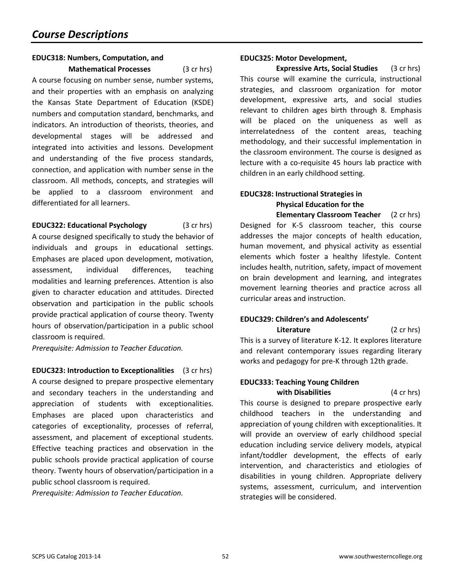## **EDUC318: Numbers, Computation, and**

**Mathematical Processes** (3 cr hrs) A course focusing on number sense, number systems, and their properties with an emphasis on analyzing the Kansas State Department of Education (KSDE) numbers and computation standard, benchmarks, and indicators. An introduction of theorists, theories, and developmental stages will be addressed and integrated into activities and lessons. Development and understanding of the five process standards, connection, and application with number sense in the classroom. All methods, concepts, and strategies will be applied to a classroom environment and differentiated for all learners.

## **EDUC322: Educational Psychology** (3 cr hrs)

A course designed specifically to study the behavior of individuals and groups in educational settings. Emphases are placed upon development, motivation, assessment, individual differences, teaching modalities and learning preferences. Attention is also given to character education and attitudes. Directed observation and participation in the public schools provide practical application of course theory. Twenty hours of observation/participation in a public school classroom is required.

*Prerequisite: Admission to Teacher Education.*

**EDUC323: Introduction to Exceptionalities** (3 cr hrs) A course designed to prepare prospective elementary and secondary teachers in the understanding and appreciation of students with exceptionalities. Emphases are placed upon characteristics and categories of exceptionality, processes of referral, assessment, and placement of exceptional students. Effective teaching practices and observation in the public schools provide practical application of course theory. Twenty hours of observation/participation in a public school classroom is required.

*Prerequisite: Admission to Teacher Education.*

#### **EDUC325: Motor Development,**

**Expressive Arts, Social Studies** (3 cr hrs) This course will examine the curricula, instructional strategies, and classroom organization for motor development, expressive arts, and social studies relevant to children ages birth through 8. Emphasis will be placed on the uniqueness as well as interrelatedness of the content areas, teaching methodology, and their successful implementation in the classroom environment. The course is designed as lecture with a co-requisite 45 hours lab practice with children in an early childhood setting.

## **EDUC328: Instructional Strategies in Physical Education for the**

**Elementary Classroom Teacher** (2 cr hrs) Designed for K-5 classroom teacher, this course addresses the major concepts of health education, human movement, and physical activity as essential elements which foster a healthy lifestyle. Content includes health, nutrition, safety, impact of movement on brain development and learning, and integrates movement learning theories and practice across all curricular areas and instruction.

## **EDUC329: Children's and Adolescents'**

**Literature** (2 cr hrs) This is a survey of literature K-12. It explores literature and relevant contemporary issues regarding literary works and pedagogy for pre-K through 12th grade.

## **EDUC333: Teaching Young Children with Disabilities** (4 cr hrs)

This course is designed to prepare prospective early childhood teachers in the understanding and appreciation of young children with exceptionalities. It will provide an overview of early childhood special education including service delivery models, atypical infant/toddler development, the effects of early intervention, and characteristics and etiologies of disabilities in young children. Appropriate delivery systems, assessment, curriculum, and intervention strategies will be considered.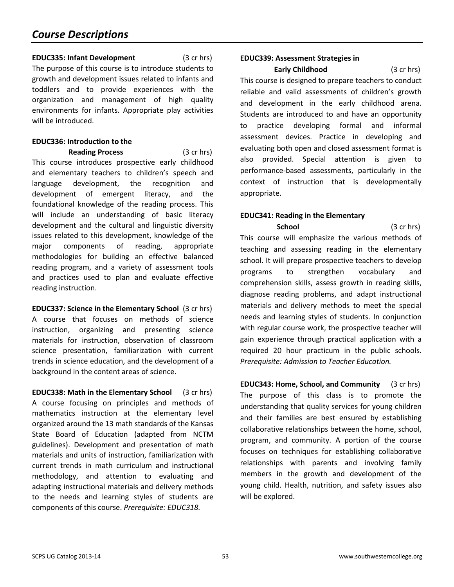## **EDUC335: Infant Development** (3 cr hrs) The purpose of this course is to introduce students to growth and development issues related to infants and toddlers and to provide experiences with the organization and management of high quality environments for infants. Appropriate play activities will be introduced.

## **EDUC336: Introduction to the**

**Reading Process** (3 cr hrs) This course introduces prospective early childhood and elementary teachers to children's speech and language development, the recognition and development of emergent literacy, and the foundational knowledge of the reading process. This will include an understanding of basic literacy development and the cultural and linguistic diversity issues related to this development, knowledge of the major components of reading, appropriate methodologies for building an effective balanced reading program, and a variety of assessment tools and practices used to plan and evaluate effective reading instruction.

**EDUC337: Science in the Elementary School** (3 cr hrs) A course that focuses on methods of science instruction, organizing and presenting science materials for instruction, observation of classroom science presentation, familiarization with current trends in science education, and the development of a background in the content areas of science.

**EDUC338: Math in the Elementary School** (3 cr hrs) A course focusing on principles and methods of mathematics instruction at the elementary level organized around the 13 math standards of the Kansas State Board of Education (adapted from NCTM guidelines). Development and presentation of math materials and units of instruction, familiarization with current trends in math curriculum and instructional methodology, and attention to evaluating and adapting instructional materials and delivery methods to the needs and learning styles of students are components of this course. *Prerequisite: EDUC318.*

#### **EDUC339: Assessment Strategies in**

**Early Childhood** (3 cr hrs) This course is designed to prepare teachers to conduct reliable and valid assessments of children's growth and development in the early childhood arena. Students are introduced to and have an opportunity to practice developing formal and informal assessment devices. Practice in developing and evaluating both open and closed assessment format is also provided. Special attention is given to performance-based assessments, particularly in the context of instruction that is developmentally appropriate.

## **EDUC341: Reading in the Elementary**

**School** (3 cr hrs) This course will emphasize the various methods of teaching and assessing reading in the elementary school. It will prepare prospective teachers to develop programs to strengthen vocabulary and comprehension skills, assess growth in reading skills, diagnose reading problems, and adapt instructional materials and delivery methods to meet the special needs and learning styles of students. In conjunction with regular course work, the prospective teacher will gain experience through practical application with a required 20 hour practicum in the public schools. *Prerequisite: Admission to Teacher Education.*

**EDUC343: Home, School, and Community** (3 cr hrs) The purpose of this class is to promote the understanding that quality services for young children and their families are best ensured by establishing collaborative relationships between the home, school, program, and community. A portion of the course focuses on techniques for establishing collaborative relationships with parents and involving family members in the growth and development of the young child. Health, nutrition, and safety issues also will be explored.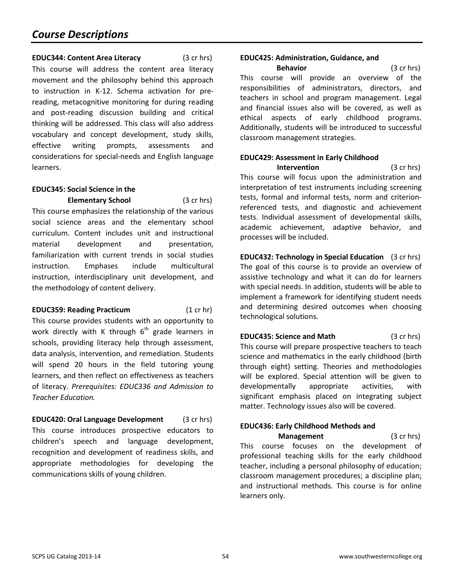## **EDUC344: Content Area Literacy** (3 cr hrs)

This course will address the content area literacy movement and the philosophy behind this approach to instruction in K-12. Schema activation for prereading, metacognitive monitoring for during reading and post-reading discussion building and critical thinking will be addressed. This class will also address vocabulary and concept development, study skills, effective writing prompts, assessments and considerations for special-needs and English language learners.

## **EDUC345: Social Science in the**

**Elementary School** (3 cr hrs) This course emphasizes the relationship of the various social science areas and the elementary school curriculum. Content includes unit and instructional material development and presentation, familiarization with current trends in social studies instruction. Emphases include multicultural instruction, interdisciplinary unit development, and the methodology of content delivery.

## **EDUC359: Reading Practicum** (1 cr hr)

This course provides students with an opportunity to work directly with K through  $6<sup>th</sup>$  grade learners in schools, providing literacy help through assessment, data analysis, intervention, and remediation. Students will spend 20 hours in the field tutoring young learners, and then reflect on effectiveness as teachers of literacy. *Prerequisites: EDUC336 and Admission to Teacher Education.*

**EDUC420: Oral Language Development** (3 cr hrs) This course introduces prospective educators to children's speech and language development, recognition and development of readiness skills, and appropriate methodologies for developing the communications skills of young children.

## **EDUC425: Administration, Guidance, and**

**Behavior** (3 cr hrs) This course will provide an overview of the responsibilities of administrators, directors, and teachers in school and program management. Legal and financial issues also will be covered, as well as ethical aspects of early childhood programs. Additionally, students will be introduced to successful classroom management strategies.

## **EDUC429: Assessment in Early Childhood**

**Intervention** (3 cr hrs) This course will focus upon the administration and interpretation of test instruments including screening tests, formal and informal tests, norm and criterionreferenced tests, and diagnostic and achievement tests. Individual assessment of developmental skills, academic achievement, adaptive behavior, and processes will be included.

**EDUC432: Technology in Special Education** (3 cr hrs) The goal of this course is to provide an overview of assistive technology and what it can do for learners with special needs. In addition, students will be able to implement a framework for identifying student needs and determining desired outcomes when choosing technological solutions.

## **EDUC435: Science and Math** (3 cr hrs) This course will prepare prospective teachers to teach science and mathematics in the early childhood (birth through eight) setting. Theories and methodologies will be explored. Special attention will be given to developmentally appropriate activities, with significant emphasis placed on integrating subject matter. Technology issues also will be covered.

## **EDUC436: Early Childhood Methods and**

**Management** (3 cr hrs) This course focuses on the development of professional teaching skills for the early childhood teacher, including a personal philosophy of education; classroom management procedures; a discipline plan; and instructional methods. This course is for online learners only.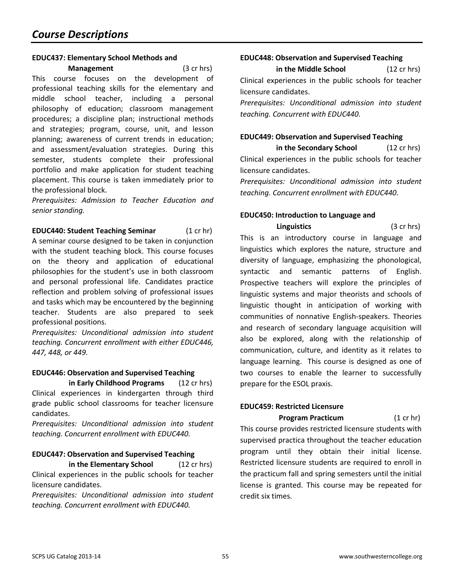#### **EDUC437: Elementary School Methods and**

**Management** (3 cr hrs) This course focuses on the development of professional teaching skills for the elementary and middle school teacher, including a personal philosophy of education; classroom management procedures; a discipline plan; instructional methods and strategies; program, course, unit, and lesson planning; awareness of current trends in education; and assessment/evaluation strategies. During this semester, students complete their professional portfolio and make application for student teaching placement. This course is taken immediately prior to the professional block.

*Prerequisites: Admission to Teacher Education and senior standing.*

**EDUC440: Student Teaching Seminar** (1 cr hr) A seminar course designed to be taken in conjunction with the student teaching block. This course focuses on the theory and application of educational philosophies for the student's use in both classroom and personal professional life. Candidates practice reflection and problem solving of professional issues and tasks which may be encountered by the beginning teacher. Students are also prepared to seek professional positions.

*Prerequisites: Unconditional admission into student teaching. Concurrent enrollment with either EDUC446, 447, 448, or 449.*

#### **EDUC446: Observation and Supervised Teaching in Early Childhood Programs** (12 cr hrs)

Clinical experiences in kindergarten through third grade public school classrooms for teacher licensure candidates.

*Prerequisites: Unconditional admission into student teaching. Concurrent enrollment with EDUC440.*

## **EDUC447: Observation and Supervised Teaching**

**in the Elementary School** (12 cr hrs) Clinical experiences in the public schools for teacher licensure candidates.

*Prerequisites: Unconditional admission into student teaching. Concurrent enrollment with EDUC440.* 

## **EDUC448: Observation and Supervised Teaching**

**in the Middle School** (12 cr hrs)

Clinical experiences in the public schools for teacher licensure candidates.

*Prerequisites: Unconditional admission into student teaching. Concurrent with EDUC440.*

## **EDUC449: Observation and Supervised Teaching**

**in the Secondary School** (12 cr hrs) Clinical experiences in the public schools for teacher licensure candidates.

*Prerequisites: Unconditional admission into student teaching. Concurrent enrollment with EDUC440.* 

## **EDUC450: Introduction to Language and**

**Linguistics** (3 cr hrs) This is an introductory course in language and linguistics which explores the nature, structure and diversity of language, emphasizing the phonological, syntactic and semantic patterns of English. Prospective teachers will explore the principles of linguistic systems and major theorists and schools of linguistic thought in anticipation of working with communities of nonnative English-speakers. Theories and research of secondary language acquisition will also be explored, along with the relationship of communication, culture, and identity as it relates to language learning. This course is designed as one of two courses to enable the learner to successfully prepare for the ESOL praxis.

## **EDUC459: Restricted Licensure**

**Program Practicum** (1 cr hr)

This course provides restricted licensure students with supervised practica throughout the teacher education program until they obtain their initial license. Restricted licensure students are required to enroll in the practicum fall and spring semesters until the initial license is granted. This course may be repeated for credit six times.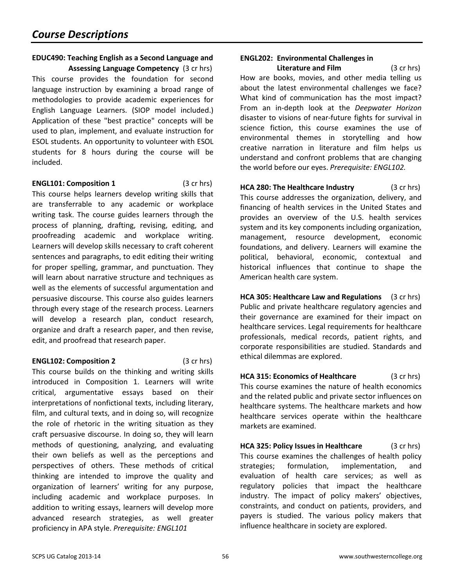### **EDUC490: Teaching English as a Second Language and Assessing Language Competency** (3 cr hrs)

This course provides the foundation for second language instruction by examining a broad range of methodologies to provide academic experiences for English Language Learners. (SIOP model included.) Application of these "best practice" concepts will be used to plan, implement, and evaluate instruction for ESOL students. An opportunity to volunteer with ESOL students for 8 hours during the course will be included.

#### **ENGL101: Composition 1** (3 cr hrs)

This course helps learners develop writing skills that are transferrable to any academic or workplace writing task. The course guides learners through the process of planning, drafting, revising, editing, and proofreading academic and workplace writing. Learners will develop skills necessary to craft coherent sentences and paragraphs, to edit editing their writing for proper spelling, grammar, and punctuation. They will learn about narrative structure and techniques as well as the elements of successful argumentation and persuasive discourse. This course also guides learners through every stage of the research process. Learners will develop a research plan, conduct research, organize and draft a research paper, and then revise, edit, and proofread that research paper.

## **ENGL102: Composition 2** (3 cr hrs)

This course builds on the thinking and writing skills introduced in Composition 1. Learners will write critical, argumentative essays based on their interpretations of nonfictional texts, including literary, film, and cultural texts, and in doing so, will recognize the role of rhetoric in the writing situation as they craft persuasive discourse. In doing so, they will learn methods of questioning, analyzing, and evaluating their own beliefs as well as the perceptions and perspectives of others. These methods of critical thinking are intended to improve the quality and organization of learners' writing for any purpose, including academic and workplace purposes. In addition to writing essays, learners will develop more advanced research strategies, as well greater proficiency in APA style. *Prerequisite: ENGL101*

## **ENGL202: Environmental Challenges in**

**Literature and Film** (3 cr hrs) How are books, movies, and other media telling us about the latest environmental challenges we face? What kind of communication has the most impact? From an in-depth look at the *Deepwater Horizon* disaster to visions of near-future fights for survival in science fiction, this course examines the use of environmental themes in storytelling and how creative narration in literature and film helps us understand and confront problems that are changing the world before our eyes. *Prerequisite: ENGL102.*

<span id="page-55-0"></span>**HCA 280: The Healthcare Industry** (3 cr hrs) This course addresses the organization, delivery, and financing of health services in the United States and provides an overview of the U.S. health services system and its key components including organization, management, resource development, economic foundations, and delivery. Learners will examine the political, behavioral, economic, contextual and historical influences that continue to shape the American health care system.

**HCA 305: Healthcare Law and Regulations** (3 cr hrs) Public and private healthcare regulatory agencies and their governance are examined for their impact on healthcare services. Legal requirements for healthcare professionals, medical records, patient rights, and corporate responsibilities are studied. Standards and ethical dilemmas are explored.

**HCA 315: Economics of Healthcare** (3 cr hrs) This course examines the nature of health economics and the related public and private sector influences on healthcare systems. The healthcare markets and how healthcare services operate within the healthcare markets are examined.

**HCA 325: Policy Issues in Healthcare** (3 cr hrs) This course examines the challenges of health policy strategies; formulation, implementation, and evaluation of health care services; as well as regulatory policies that impact the healthcare industry. The impact of policy makers' objectives, constraints, and conduct on patients, providers, and payers is studied. The various policy makers that influence healthcare in society are explored.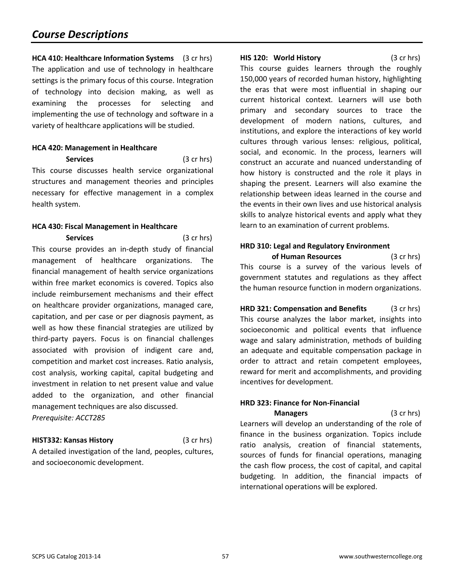## *Course Descriptions*

**HCA 410: Healthcare Information Systems** (3 cr hrs) The application and use of technology in healthcare settings is the primary focus of this course. Integration of technology into decision making, as well as examining the processes for selecting and implementing the use of technology and software in a variety of healthcare applications will be studied.

#### **HCA 420: Management in Healthcare**

**Services** (3 cr hrs) This course discusses health service organizational structures and management theories and principles necessary for effective management in a complex health system.

#### **HCA 430: Fiscal Management in Healthcare**

**Services** (3 cr hrs) This course provides an in-depth study of financial management of healthcare organizations. The financial management of health service organizations within free market economics is covered. Topics also include reimbursement mechanisms and their effect on healthcare provider organizations, managed care, capitation, and per case or per diagnosis payment, as well as how these financial strategies are utilized by third-party payers. Focus is on financial challenges associated with provision of indigent care and, competition and market cost increases. Ratio analysis, cost analysis, working capital, capital budgeting and investment in relation to net present value and value added to the organization, and other financial management techniques are also discussed. *Prerequisite: ACCT285*

#### **HIST332: Kansas History** (3 cr hrs)

and socioeconomic development.

A detailed investigation of the land, peoples, cultures,

**HIS 120: World History** (3 cr hrs)

This course guides learners through the roughly 150,000 years of recorded human history, highlighting the eras that were most influential in shaping our current historical context. Learners will use both primary and secondary sources to trace the development of modern nations, cultures, and institutions, and explore the interactions of key world cultures through various lenses: religious, political, social, and economic. In the process, learners will construct an accurate and nuanced understanding of how history is constructed and the role it plays in shaping the present. Learners will also examine the relationship between ideas learned in the course and the events in their own lives and use historical analysis skills to analyze historical events and apply what they learn to an examination of current problems.

#### <span id="page-56-0"></span>**HRD 310: Legal and Regulatory Environment**

**of Human Resources** (3 cr hrs) This course is a survey of the various levels of government statutes and regulations as they affect the human resource function in modern organizations.

**HRD 321: Compensation and Benefits** (3 cr hrs) This course analyzes the labor market, insights into socioeconomic and political events that influence wage and salary administration, methods of building an adequate and equitable compensation package in order to attract and retain competent employees, reward for merit and accomplishments, and providing incentives for development.

#### **HRD 323: Finance for Non-Financial Managers** (3 cr hrs)

Learners will develop an understanding of the role of finance in the business organization. Topics include ratio analysis, creation of financial statements, sources of funds for financial operations, managing the cash flow process, the cost of capital, and capital budgeting. In addition, the financial impacts of international operations will be explored.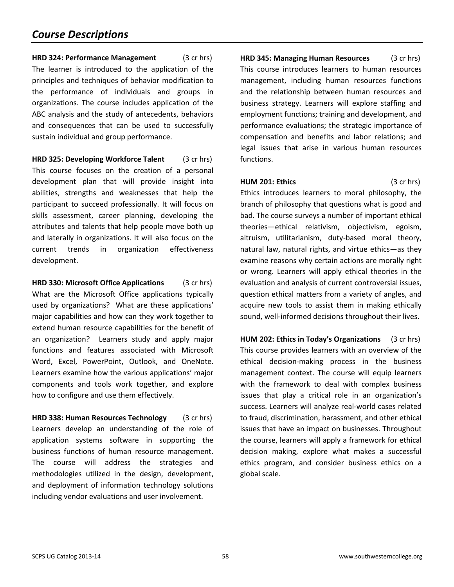**HRD 324: Performance Management** (3 cr hrs) The learner is introduced to the application of the principles and techniques of behavior modification to the performance of individuals and groups in organizations. The course includes application of the ABC analysis and the study of antecedents, behaviors and consequences that can be used to successfully sustain individual and group performance.

**HRD 325: Developing Workforce Talent** (3 cr hrs) This course focuses on the creation of a personal development plan that will provide insight into abilities, strengths and weaknesses that help the participant to succeed professionally. It will focus on skills assessment, career planning, developing the attributes and talents that help people move both up and laterally in organizations. It will also focus on the current trends in organization effectiveness development.

**HRD 330: Microsoft Office Applications** (3 cr hrs) What are the Microsoft Office applications typically used by organizations? What are these applications' major capabilities and how can they work together to extend human resource capabilities for the benefit of an organization? Learners study and apply major functions and features associated with Microsoft Word, Excel, PowerPoint, Outlook, and OneNote. Learners examine how the various applications' major components and tools work together, and explore how to configure and use them effectively.

**HRD 338: Human Resources Technology** (3 cr hrs) Learners develop an understanding of the role of application systems software in supporting the business functions of human resource management. The course will address the strategies and methodologies utilized in the design, development, and deployment of information technology solutions including vendor evaluations and user involvement.

**HRD 345: Managing Human Resources** (3 cr hrs) This course introduces learners to human resources management, including human resources functions and the relationship between human resources and business strategy. Learners will explore staffing and employment functions; training and development, and performance evaluations; the strategic importance of compensation and benefits and labor relations; and legal issues that arise in various human resources functions.

#### **HUM 201: Ethics** (3 cr hrs)

Ethics introduces learners to moral philosophy, the branch of philosophy that questions what is good and bad. The course surveys a number of important ethical theories—ethical relativism, objectivism, egoism, altruism, utilitarianism, duty-based moral theory, natural law, natural rights, and virtue ethics—as they examine reasons why certain actions are morally right or wrong. Learners will apply ethical theories in the evaluation and analysis of current controversial issues, question ethical matters from a variety of angles, and acquire new tools to assist them in making ethically sound, well-informed decisions throughout their lives.

**HUM 202: Ethics in Today's Organizations** (3 cr hrs) This course provides learners with an overview of the ethical decision-making process in the business management context. The course will equip learners with the framework to deal with complex business issues that play a critical role in an organization's success. Learners will analyze real-world cases related to fraud, discrimination, harassment, and other ethical issues that have an impact on businesses. Throughout the course, learners will apply a framework for ethical decision making, explore what makes a successful ethics program, and consider business ethics on a global scale.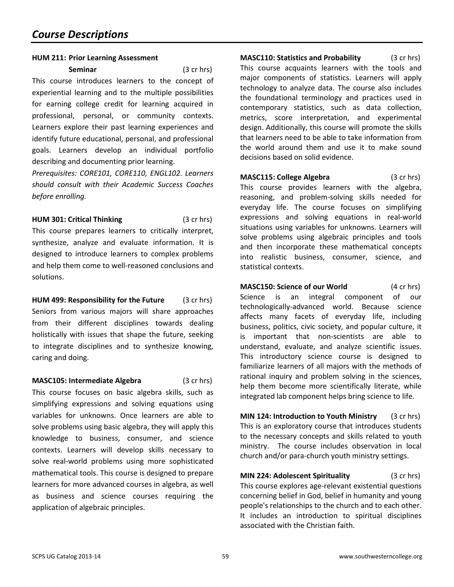#### **HUM 211: Prior Learning Assessment**

**Seminar** (3 cr hrs) This course introduces learners to the concept of experiential learning and to the multiple possibilities for earning college credit for learning acquired in professional, personal, or community contexts. Learners explore their past learning experiences and identify future educational, personal, and professional goals. Learners develop an individual portfolio describing and documenting prior learning.

*Prerequisites: CORE101, CORE110, ENGL102. Learners should consult with their Academic Success Coaches before enrolling.*

**HUM 301: Critical Thinking** (3 cr hrs)

This course prepares learners to critically interpret, synthesize, analyze and evaluate information. It is designed to introduce learners to complex problems and help them come to well-reasoned conclusions and solutions.

**HUM 499: Responsibility for the Future** (3 cr hrs) Seniors from various majors will share approaches from their different disciplines towards dealing holistically with issues that shape the future, seeking to integrate disciplines and to synthesize knowing, caring and doing.

**MASC105: Intermediate Algebra** (3 cr hrs) This course focuses on basic algebra skills, such as simplifying expressions and solving equations using variables for unknowns. Once learners are able to solve problems using basic algebra, they will apply this knowledge to business, consumer, and science contexts. Learners will develop skills necessary to solve real-world problems using more sophisticated mathematical tools. This course is designed to prepare learners for more advanced courses in algebra, as well as business and science courses requiring the application of algebraic principles.

**MASC110: Statistics and Probability** (3 cr hrs) This course acquaints learners with the tools and major components of statistics. Learners will apply technology to analyze data. The course also includes the foundational terminology and practices used in contemporary statistics, such as data collection, metrics, score interpretation, and experimental design. Additionally, this course will promote the skills that learners need to be able to take information from the world around them and use it to make sound decisions based on solid evidence.

**MASC115: College Algebra** (3 cr hrs) This course provides learners with the algebra, reasoning, and problem-solving skills needed for everyday life. The course focuses on simplifying expressions and solving equations in real-world situations using variables for unknowns. Learners will solve problems using algebraic principles and tools and then incorporate these mathematical concepts into realistic business, consumer, science, and statistical contexts.

<span id="page-58-0"></span>**MASC150: Science of our World** (4 cr hrs) Science is an integral component of our technologically-advanced world. Because science affects many facets of everyday life, including business, politics, civic society, and popular culture, it is important that non-scientists are able to understand, evaluate, and analyze scientific issues. This introductory science course is designed to familiarize learners of all majors with the methods of rational inquiry and problem solving in the sciences, help them become more scientifically literate, while integrated lab component helps bring science to life.

**MIN 124: Introduction to Youth Ministry** (3 cr hrs) This is an exploratory course that introduces students to the necessary concepts and skills related to youth ministry. The course includes observation in local church and/or para-church youth ministry settings.

**MIN 224: Adolescent Spirituality** (3 cr hrs) This course explores age-relevant existential questions concerning belief in God, belief in humanity and young people's relationships to the church and to each other. It includes an introduction to spiritual disciplines associated with the Christian faith.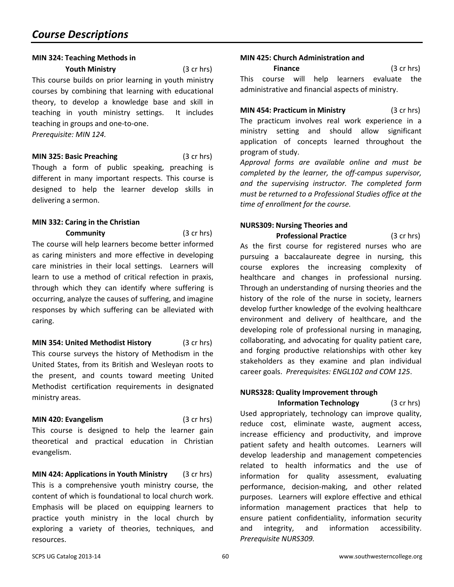#### **MIN 324: Teaching Methods in**

**Youth Ministry** (3 cr hrs)

This course builds on prior learning in youth ministry courses by combining that learning with educational theory, to develop a knowledge base and skill in teaching in youth ministry settings. It includes teaching in groups and one-to-one.

*Prerequisite: MIN 124.*

**MIN 325: Basic Preaching** (3 cr hrs) Though a form of public speaking, preaching is different in many important respects. This course is designed to help the learner develop skills in delivering a sermon.

## **MIN 332: Caring in the Christian**

caring.

**Community** (3 cr hrs) The course will help learners become better informed as caring ministers and more effective in developing care ministries in their local settings. Learners will learn to use a method of critical refection in praxis, through which they can identify where suffering is occurring, analyze the causes of suffering, and imagine responses by which suffering can be alleviated with

**MIN 354: United Methodist History** (3 cr hrs) This course surveys the history of Methodism in the United States, from its British and Wesleyan roots to the present, and counts toward meeting United Methodist certification requirements in designated ministry areas.

**MIN 420: Evangelism** (3 cr hrs) This course is designed to help the learner gain theoretical and practical education in Christian evangelism.

**MIN 424: Applications in Youth Ministry** (3 cr hrs) This is a comprehensive youth ministry course, the content of which is foundational to local church work. Emphasis will be placed on equipping learners to practice youth ministry in the local church by exploring a variety of theories, techniques, and resources.

## **MIN 425: Church Administration and**

**Finance** (3 cr hrs) This course will help learners evaluate the administrative and financial aspects of ministry.

**MIN 454: Practicum in Ministry** (3 cr hrs) The practicum involves real work experience in a ministry setting and should allow significant application of concepts learned throughout the program of study.

*Approval forms are available online and must be completed by the learner, the off-campus supervisor, and the supervising instructor. The completed form must be returned to a Professional Studies office at the time of enrollment for the course.*

## <span id="page-59-0"></span>**NURS309: Nursing Theories and**

**Professional Practice** (3 cr hrs) As the first course for registered nurses who are pursuing a baccalaureate degree in nursing, this course explores the increasing complexity of healthcare and changes in professional nursing. Through an understanding of nursing theories and the history of the role of the nurse in society, learners develop further knowledge of the evolving healthcare environment and delivery of healthcare, and the developing role of professional nursing in managing, collaborating, and advocating for quality patient care, and forging productive relationships with other key stakeholders as they examine and plan individual career goals. *Prerequisites: ENGL102 and COM 125*.

## **NURS328: Quality Improvement through**

**Information Technology** (3 cr hrs) Used appropriately, technology can improve quality, reduce cost, eliminate waste, augment access, increase efficiency and productivity, and improve patient safety and health outcomes. Learners will develop leadership and management competencies related to health informatics and the use of information for quality assessment, evaluating performance, decision-making, and other related purposes. Learners will explore effective and ethical information management practices that help to ensure patient confidentiality, information security and integrity, and information accessibility. *Prerequisite NURS309.*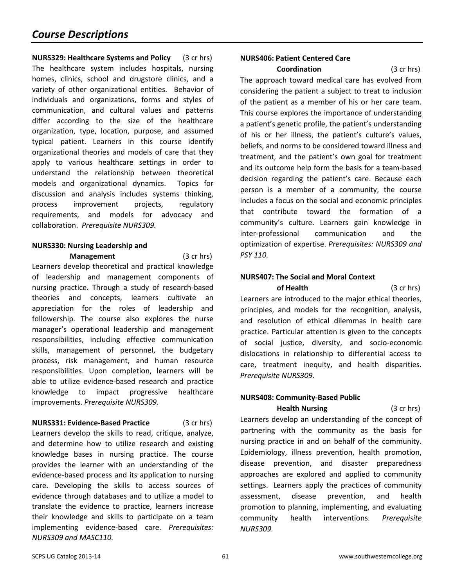**NURS329: Healthcare Systems and Policy** (3 cr hrs) The healthcare system includes hospitals, nursing homes, clinics, school and drugstore clinics, and a variety of other organizational entities. Behavior of individuals and organizations, forms and styles of communication, and cultural values and patterns differ according to the size of the healthcare organization, type, location, purpose, and assumed typical patient. Learners in this course identify organizational theories and models of care that they apply to various healthcare settings in order to understand the relationship between theoretical models and organizational dynamics. Topics for discussion and analysis includes systems thinking, process improvement projects, regulatory requirements, and models for advocacy and collaboration. *Prerequisite NURS309.*

## **NURS330: Nursing Leadership and**

**Management** (3 cr hrs) Learners develop theoretical and practical knowledge of leadership and management components of nursing practice. Through a study of research-based theories and concepts, learners cultivate an appreciation for the roles of leadership and followership. The course also explores the nurse manager's operational leadership and management responsibilities, including effective communication skills, management of personnel, the budgetary process, risk management, and human resource responsibilities. Upon completion, learners will be able to utilize evidence-based research and practice knowledge to impact progressive healthcare improvements. *Prerequisite NURS309.*

**NURS331: Evidence-Based Practice** (3 cr hrs) Learners develop the skills to read, critique, analyze, and determine how to utilize research and existing knowledge bases in nursing practice. The course provides the learner with an understanding of the evidence-based process and its application to nursing care. Developing the skills to access sources of evidence through databases and to utilize a model to translate the evidence to practice, learners increase their knowledge and skills to participate on a team implementing evidence-based care. *Prerequisites: NURS309 and MASC110.*

## **NURS406: Patient Centered Care**

**Coordination** (3 cr hrs) The approach toward medical care has evolved from considering the patient a subject to treat to inclusion of the patient as a member of his or her care team. This course explores the importance of understanding a patient's genetic profile, the patient's understanding of his or her illness, the patient's culture's values, beliefs, and norms to be considered toward illness and treatment, and the patient's own goal for treatment and its outcome help form the basis for a team-based decision regarding the patient's care. Because each person is a member of a community, the course includes a focus on the social and economic principles that contribute toward the formation of a community's culture. Learners gain knowledge in inter-professional communication and the optimization of expertise. *Prerequisites: NURS309 and PSY 110.*

## **NURS407: The Social and Moral Context**

**of Health** (3 cr hrs) Learners are introduced to the major ethical theories, principles, and models for the recognition, analysis, and resolution of ethical dilemmas in health care practice. Particular attention is given to the concepts of social justice, diversity, and socio-economic dislocations in relationship to differential access to care, treatment inequity, and health disparities. *Prerequisite NURS309.*

## **NURS408: Community-Based Public**

**Health Nursing** (3 cr hrs) Learners develop an understanding of the concept of partnering with the community as the basis for nursing practice in and on behalf of the community. Epidemiology, illness prevention, health promotion, disease prevention, and disaster preparedness approaches are explored and applied to community settings. Learners apply the practices of community assessment, disease prevention, and health promotion to planning, implementing, and evaluating community health interventions. *Prerequisite NURS309.*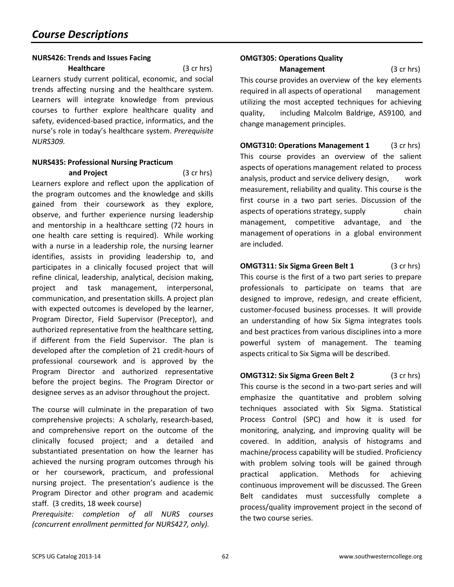## **NURS426: Trends and Issues Facing**

**Healthcare** (3 cr hrs) Learners study current political, economic, and social trends affecting nursing and the healthcare system. Learners will integrate knowledge from previous courses to further explore healthcare quality and safety, evidenced-based practice, informatics, and the nurse's role in today's healthcare system. *Prerequisite NURS309.*

## **NURS435: Professional Nursing Practicum**

**and Project** (3 cr hrs) Learners explore and reflect upon the application of the program outcomes and the knowledge and skills gained from their coursework as they explore, observe, and further experience nursing leadership and mentorship in a healthcare setting (72 hours in one health care setting is required). While working with a nurse in a leadership role, the nursing learner identifies, assists in providing leadership to, and participates in a clinically focused project that will refine clinical, leadership, analytical, decision making, project and task management, interpersonal, communication, and presentation skills. A project plan with expected outcomes is developed by the learner, Program Director, Field Supervisor (Preceptor), and authorized representative from the healthcare setting, if different from the Field Supervisor. The plan is developed after the completion of 21 credit-hours of professional coursework and is approved by the Program Director and authorized representative before the project begins. The Program Director or designee serves as an advisor throughout the project.

The course will culminate in the preparation of two comprehensive projects: A scholarly, research-based, and comprehensive report on the outcome of the clinically focused project; and a detailed and substantiated presentation on how the learner has achieved the nursing program outcomes through his or her coursework, practicum, and professional nursing project. The presentation's audience is the Program Director and other program and academic staff. (3 credits, 18 week course)

*Prerequisite: completion of all NURS courses (concurrent enrollment permitted for NURS427, only).*

## <span id="page-61-0"></span>**OMGT305: Operations Quality**

**Management** (3 cr hrs) This course provides an overview of the key elements required in all aspects of operational management utilizing the most accepted techniques for achieving quality, including Malcolm Baldrige, AS9100, and change management principles.

**OMGT310: Operations Management 1** (3 cr hrs) This course provides an overview of the salient aspects of operations management related to process analysis, product and service delivery design, work measurement, reliability and quality. This course is the first course in a two part series. Discussion of the aspects of operations strategy, supply chain management, competitive advantage, and the management of operations in a global environment are included.

**OMGT311: Six Sigma Green Belt 1** (3 cr hrs) This course is the first of a two part series to prepare professionals to participate on teams that are designed to improve, redesign, and create efficient, customer-focused business processes. It will provide an understanding of how Six Sigma integrates tools and best practices from various disciplines into a more powerful system of management. The teaming aspects critical to Six Sigma will be described.

**OMGT312: Six Sigma Green Belt 2** (3 cr hrs) This course is the second in a two-part series and will emphasize the quantitative and problem solving techniques associated with Six Sigma. Statistical Process Control (SPC) and how it is used for monitoring, analyzing, and improving quality will be covered. In addition, analysis of histograms and machine/process capability will be studied. Proficiency with problem solving tools will be gained through practical application. Methods for achieving continuous improvement will be discussed. The Green Belt candidates must successfully complete a process/quality improvement project in the second of the two course series.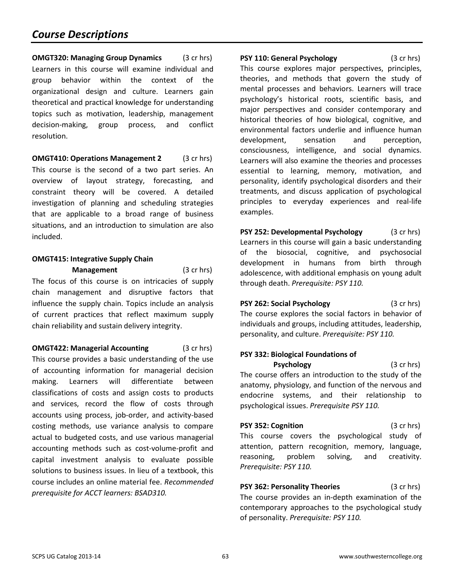## *Course Descriptions*

**OMGT320: Managing Group Dynamics** (3 cr hrs) Learners in this course will examine individual and group behavior within the context of the organizational design and culture. Learners gain theoretical and practical knowledge for understanding topics such as motivation, leadership, management decision-making, group process, and conflict resolution.

**OMGT410: Operations Management 2** (3 cr hrs) This course is the second of a two part series. An overview of layout strategy, forecasting, and constraint theory will be covered. A detailed investigation of planning and scheduling strategies that are applicable to a broad range of business situations, and an introduction to simulation are also included.

## **OMGT415: Integrative Supply Chain**

**Management** (3 cr hrs) The focus of this course is on intricacies of supply chain management and disruptive factors that influence the supply chain. Topics include an analysis of current practices that reflect maximum supply chain reliability and sustain delivery integrity.

**OMGT422: Managerial Accounting** (3 cr hrs) This course provides a basic understanding of the use of accounting information for managerial decision making. Learners will differentiate between classifications of costs and assign costs to products and services, record the flow of costs through accounts using process, job-order, and activity-based costing methods, use variance analysis to compare actual to budgeted costs, and use various managerial accounting methods such as cost-volume-profit and capital investment analysis to evaluate possible solutions to business issues. In lieu of a textbook, this course includes an online material fee. *Recommended prerequisite for ACCT learners: BSAD310.*

<span id="page-62-0"></span>**PSY 110: General Psychology** (3 cr hrs) This course explores major perspectives, principles, theories, and methods that govern the study of mental processes and behaviors. Learners will trace psychology's historical roots, scientific basis, and major perspectives and consider contemporary and historical theories of how biological, cognitive, and environmental factors underlie and influence human development, sensation and perception, consciousness, intelligence, and social dynamics. Learners will also examine the theories and processes essential to learning, memory, motivation, and personality, identify psychological disorders and their treatments, and discuss application of psychological principles to everyday experiences and real-life examples.

**PSY 252: Developmental Psychology** (3 cr hrs) Learners in this course will gain a basic understanding of the biosocial, cognitive, and psychosocial development in humans from birth through adolescence, with additional emphasis on young adult through death. *Prerequisite: PSY 110.*

**PSY 262: Social Psychology** (3 cr hrs) The course explores the social factors in behavior of individuals and groups, including attitudes, leadership, personality, and culture. *Prerequisite: PSY 110.*

## **PSY 332: Biological Foundations of**

**Psychology** (3 cr hrs) The course offers an introduction to the study of the anatomy, physiology, and function of the nervous and endocrine systems, and their relationship to psychological issues. *Prerequisite PSY 110.*

**PSY 352: Cognition** (3 cr hrs) This course covers the psychological study of attention, pattern recognition, memory, language, reasoning, problem solving, and creativity. *Prerequisite: PSY 110.*

**PSY 362: Personality Theories** (3 cr hrs) The course provides an in-depth examination of the contemporary approaches to the psychological study of personality. *Prerequisite: PSY 110.*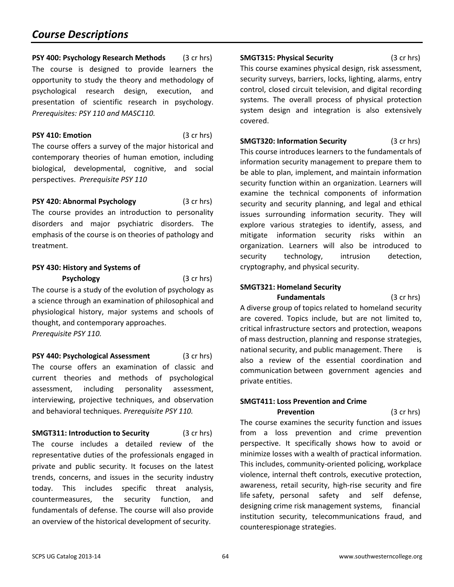## *Course Descriptions*

**PSY 400: Psychology Research Methods** (3 cr hrs) The course is designed to provide learners the opportunity to study the theory and methodology of psychological research design, execution, and presentation of scientific research in psychology. *Prerequisites: PSY 110 and MASC110.*

**PSY 410: Emotion** (3 cr hrs) The course offers a survey of the major historical and contemporary theories of human emotion, including biological, developmental, cognitive, and social perspectives. *Prerequisite PSY 110*

**PSY 420: Abnormal Psychology** (3 cr hrs) The course provides an introduction to personality disorders and major psychiatric disorders. The emphasis of the course is on theories of pathology and treatment.

## **PSY 430: History and Systems of**

**Psychology** (3 cr hrs) The course is a study of the evolution of psychology as a science through an examination of philosophical and physiological history, major systems and schools of thought, and contemporary approaches. *Prerequisite PSY 110.*

**PSY 440: Psychological Assessment** (3 cr hrs) The course offers an examination of classic and current theories and methods of psychological assessment, including personality assessment, interviewing, projective techniques, and observation and behavioral techniques. *Prerequisite PSY 110.*

<span id="page-63-0"></span>**SMGT311: Introduction to Security** (3 cr hrs) The course includes a detailed review of the representative duties of the professionals engaged in private and public security. It focuses on the latest trends, concerns, and issues in the security industry today. This includes specific threat analysis, countermeasures, the security function, and fundamentals of defense. The course will also provide an overview of the historical development of security.

**SMGT315: Physical Security** (3 cr hrs) This course examines physical design, risk assessment, security surveys, barriers, locks, lighting, alarms, entry control, closed circuit television, and digital recording systems. The overall process of physical protection system design and integration is also extensively covered.

**SMGT320: Information Security** (3 cr hrs) This course introduces learners to the fundamentals of information security management to prepare them to be able to plan, implement, and maintain information security function within an organization. Learners will examine the technical components of information security and security planning, and legal and ethical issues surrounding information security. They will explore various strategies to identify, assess, and mitigate information security risks within an organization. Learners will also be introduced to security technology, intrusion detection, cryptography, and physical security.

## **SMGT321: Homeland Security**

**Fundamentals** (3 cr hrs) A diverse group of topics related to homeland security are covered. Topics include, but are not limited to, critical infrastructure sectors and protection, weapons of mass destruction, planning and response strategies, national security, and public management. There is also a review of the essential coordination and communication between government agencies and private entities.

## **SMGT411: Loss Prevention and Crime**

**Prevention** (3 cr hrs) The course examines the security function and issues from a loss prevention and crime prevention perspective. It specifically shows how to avoid or minimize losses with a wealth of practical information. This includes, community-oriented policing, workplace violence, internal theft controls, executive protection, awareness, retail security, high-rise security and fire life safety, personal safety and self defense, designing crime risk management systems, financial institution security, telecommunications fraud, and counterespionage strategies.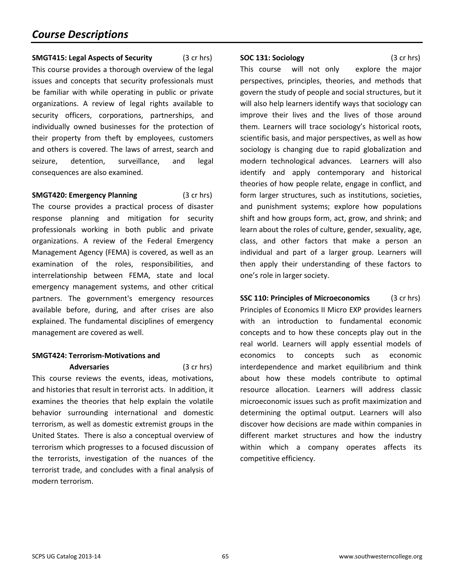**SMGT415: Legal Aspects of Security** (3 cr hrs) This course provides a thorough overview of the legal issues and concepts that security professionals must be familiar with while operating in public or private organizations. A review of legal rights available to security officers, corporations, partnerships, and individually owned businesses for the protection of their property from theft by employees, customers and others is covered. The laws of arrest, search and seizure, detention, surveillance, and legal consequences are also examined.

#### **SMGT420: Emergency Planning** (3 cr hrs)

The course provides a practical process of disaster response planning and mitigation for security professionals working in both public and private organizations. A review of the Federal Emergency Management Agency (FEMA) is covered, as well as an examination of the roles, responsibilities, and interrelationship between FEMA, state and local emergency management systems, and other critical partners. The government's emergency resources available before, during, and after crises are also explained. The fundamental disciplines of emergency management are covered as well.

## **SMGT424: Terrorism-Motivations and**

**Adversaries** (3 cr hrs) This course reviews the events, ideas, motivations, and histories that result in terrorist acts. In addition, it examines the theories that help explain the volatile behavior surrounding international and domestic terrorism, as well as domestic extremist groups in the United States. There is also a conceptual overview of terrorism which progresses to a focused discussion of the terrorists, investigation of the nuances of the terrorist trade, and concludes with a final analysis of modern terrorism.

#### **SOC 131: Sociology** (3 cr hrs)

This course will not only explore the major perspectives, principles, theories, and methods that govern the study of people and social structures, but it will also help learners identify ways that sociology can improve their lives and the lives of those around them. Learners will trace sociology's historical roots, scientific basis, and major perspectives, as well as how sociology is changing due to rapid globalization and modern technological advances. Learners will also identify and apply contemporary and historical theories of how people relate, engage in conflict, and form larger structures, such as institutions, societies, and punishment systems; explore how populations shift and how groups form, act, grow, and shrink; and learn about the roles of culture, gender, sexuality, age, class, and other factors that make a person an individual and part of a larger group. Learners will then apply their understanding of these factors to one's role in larger society.

**SSC 110: Principles of Microeconomics** (3 cr hrs) Principles of Economics II Micro EXP provides learners with an introduction to fundamental economic concepts and to how these concepts play out in the real world. Learners will apply essential models of economics to concepts such as economic interdependence and market equilibrium and think about how these models contribute to optimal resource allocation. Learners will address classic microeconomic issues such as profit maximization and determining the optimal output. Learners will also discover how decisions are made within companies in different market structures and how the industry within which a company operates affects its competitive efficiency.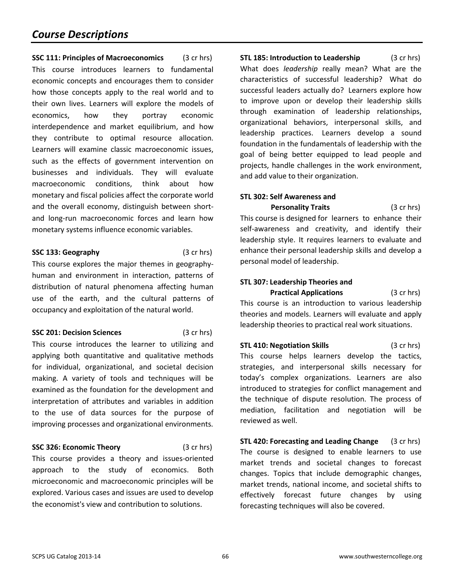**SSC 111: Principles of Macroeconomics** (3 cr hrs) This course introduces learners to fundamental economic concepts and encourages them to consider how those concepts apply to the real world and to their own lives. Learners will explore the models of economics, how they portray economic interdependence and market equilibrium, and how they contribute to optimal resource allocation. Learners will examine classic macroeconomic issues, such as the effects of government intervention on businesses and individuals. They will evaluate macroeconomic conditions, think about how monetary and fiscal policies affect the corporate world and the overall economy, distinguish between shortand long-run macroeconomic forces and learn how monetary systems influence economic variables.

#### **SSC 133: Geography** (3 cr hrs)

This course explores the major themes in geographyhuman and environment in interaction, patterns of distribution of natural phenomena affecting human use of the earth, and the cultural patterns of occupancy and exploitation of the natural world.

**SSC 201: Decision Sciences** (3 cr hrs)

This course introduces the learner to utilizing and applying both quantitative and qualitative methods for individual, organizational, and societal decision making. A variety of tools and techniques will be examined as the foundation for the development and interpretation of attributes and variables in addition to the use of data sources for the purpose of improving processes and organizational environments.

#### **SSC 326: Economic Theory** (3 cr hrs)

This course provides a theory and issues-oriented approach to the study of economics. Both microeconomic and macroeconomic principles will be explored. Various cases and issues are used to develop the economist's view and contribution to solutions.

<span id="page-65-0"></span>**STL 185: Introduction to Leadership** (3 cr hrs) What does *leadership* really mean? What are the characteristics of successful leadership? What do successful leaders actually do? Learners explore how to improve upon or develop their leadership skills through examination of leadership relationships, organizational behaviors, interpersonal skills, and leadership practices. Learners develop a sound foundation in the fundamentals of leadership with the goal of being better equipped to lead people and projects, handle challenges in the work environment, and add value to their organization.

## **STL 302: Self Awareness and**

**Personality Traits** (3 cr hrs) This course is designed for learners to enhance their self-awareness and creativity, and identify their leadership style. It requires learners to evaluate and enhance their personal leadership skills and develop a personal model of leadership.

## **STL 307: Leadership Theories and Practical Applications** (3 cr hrs)

This course is an introduction to various leadership theories and models. Learners will evaluate and apply leadership theories to practical real work situations.

**STL 410: Negotiation Skills** (3 cr hrs) This course helps learners develop the tactics, strategies, and interpersonal skills necessary for today's complex organizations. Learners are also introduced to strategies for conflict management and the technique of dispute resolution. The process of mediation, facilitation and negotiation will be reviewed as well.

**STL 420: Forecasting and Leading Change** (3 cr hrs) The course is designed to enable learners to use market trends and societal changes to forecast changes. Topics that include demographic changes, market trends, national income, and societal shifts to effectively forecast future changes by using forecasting techniques will also be covered.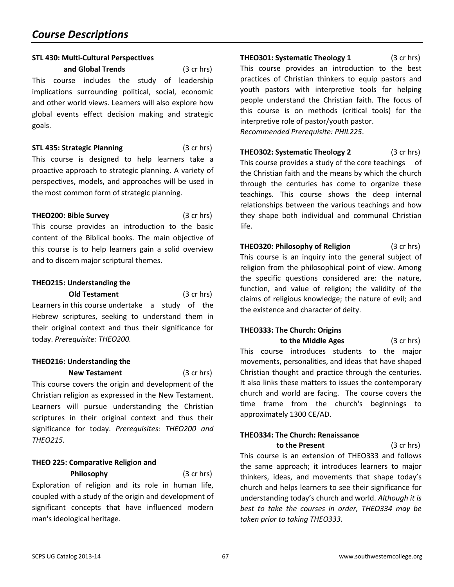### **STL 430: Multi-Cultural Perspectives**

**and Global Trends** (3 cr hrs) This course includes the study of leadership implications surrounding political, social, economic and other world views. Learners will also explore how global events effect decision making and strategic goals.

**STL 435: Strategic Planning** (3 cr hrs) This course is designed to help learners take a proactive approach to strategic planning. A variety of perspectives, models, and approaches will be used in the most common form of strategic planning.

#### <span id="page-66-0"></span>**THEO200: Bible Survey** (3 cr hrs)

This course provides an introduction to the basic content of the Biblical books. The main objective of this course is to help learners gain a solid overview and to discern major scriptural themes.

## **THEO215: Understanding the**

**Old Testament** (3 cr hrs) Learners in this course undertake a study of the Hebrew scriptures, seeking to understand them in their original context and thus their significance for today. *Prerequisite: THEO200.*

## **THEO216: Understanding the**

**New Testament** (3 cr hrs) This course covers the origin and development of the Christian religion as expressed in the New Testament. Learners will pursue understanding the Christian scriptures in their original context and thus their significance for today. *Prerequisites: THEO200 and THEO215.*

## **THEO 225: Comparative Religion and Philosophy** (3 cr hrs)

Exploration of religion and its role in human life, coupled with a study of the origin and development of significant concepts that have influenced modern man's ideological heritage.

**THEO301: Systematic Theology 1** (3 cr hrs) This course provides an introduction to the best practices of Christian thinkers to equip pastors and youth pastors with interpretive tools for helping people understand the Christian faith. The focus of this course is on methods (critical tools) for the interpretive role of pastor/youth pastor. *Recommended Prerequisite: PHIL225*.

**THEO302: Systematic Theology 2** (3 cr hrs) This course provides a study of the core teachings of the Christian faith and the means by which the church through the centuries has come to organize these teachings. This course shows the deep internal relationships between the various teachings and how they shape both individual and communal Christian life.

**THEO320: Philosophy of Religion** (3 cr hrs) This course is an inquiry into the general subject of religion from the philosophical point of view. Among the specific questions considered are: the nature, function, and value of religion; the validity of the claims of religious knowledge; the nature of evil; and the existence and character of deity.

## **THEO333: The Church: Origins**

**to the Middle Ages** (3 cr hrs) This course introduces students to the major movements, personalities, and ideas that have shaped Christian thought and practice through the centuries. It also links these matters to issues the contemporary church and world are facing. The course covers the time frame from the church's beginnings to approximately 1300 CE/AD.

## **THEO334: The Church: Renaissance**

**to the Present** (3 cr hrs) This course is an extension of THEO333 and follows the same approach; it introduces learners to major thinkers, ideas, and movements that shape today's church and helps learners to see their significance for understanding today's church and world. *Although it is best to take the courses in order, THEO334 may be taken prior to taking THEO333.*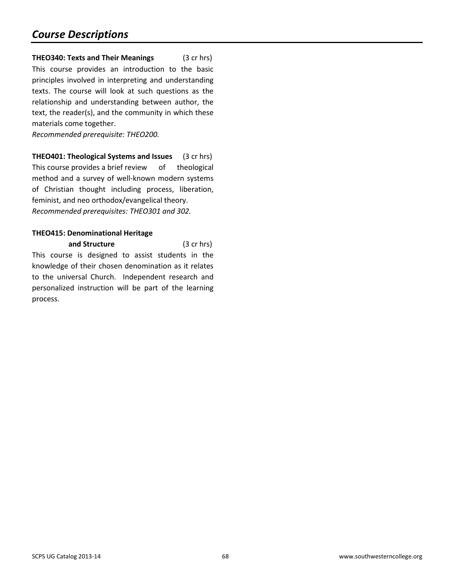**THEO340: Texts and Their Meanings** (3 cr hrs) This course provides an introduction to the basic principles involved in interpreting and understanding texts. The course will look at such questions as the relationship and understanding between author, the text, the reader(s), and the community in which these materials come together.

*Recommended prerequisite: THEO200.*

**THEO401: Theological Systems and Issues** (3 cr hrs) This course provides a brief review of theological method and a survey of well-known modern systems of Christian thought including process, liberation, feminist, and neo orthodox/evangelical theory. *Recommended prerequisites: THEO301 and 302.*

## **THEO415: Denominational Heritage**

**and Structure** (3 cr hrs) This course is designed to assist students in the knowledge of their chosen denomination as it relates to the universal Church. Independent research and personalized instruction will be part of the learning process.